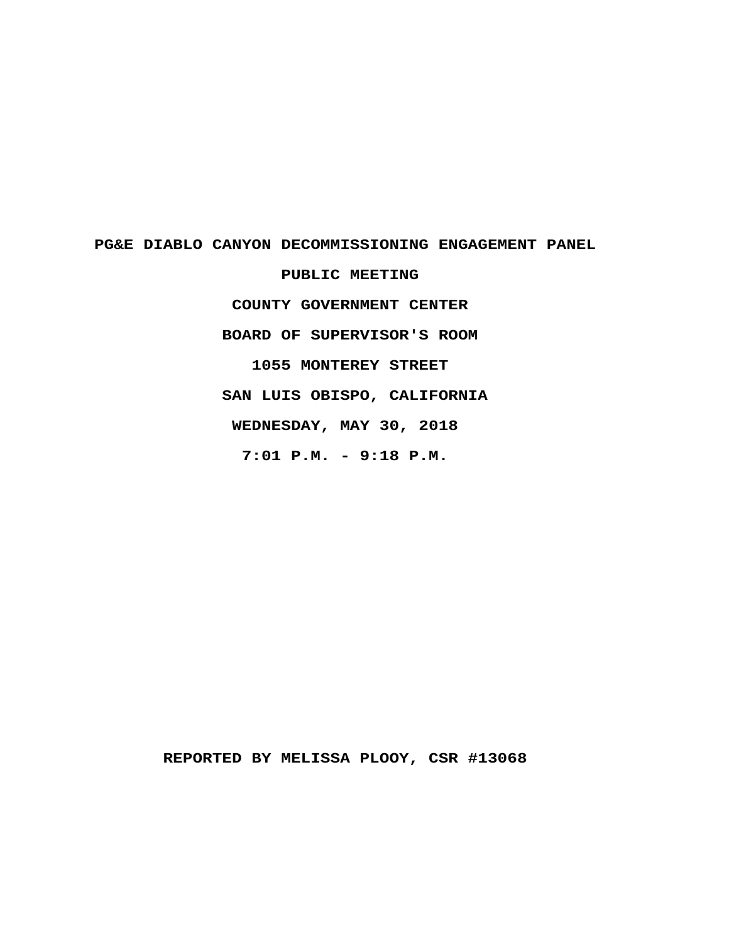# PG&E DIABLO CANYON DECOMMISSIONING ENGAGEMENT PANEL PUBLIC MEETING COUNTY GOVERNMENT CENTER BOARD OF SUPERVISOR'S ROOM 1055 MONTEREY STREET

SAN LUIS OBISPO, CALIFORNIA

WEDNESDAY, MAY 30, 2018

 $7:01$  P.M. - 9:18 P.M.

REPORTED BY MELISSA PLOOY, CSR #13068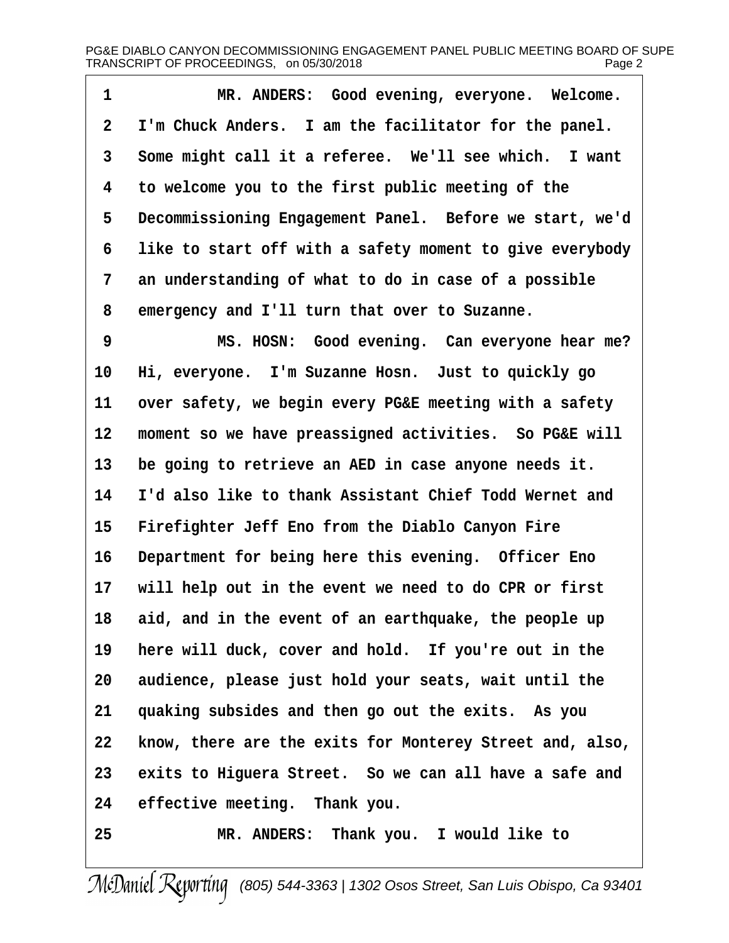| 1  | MR. ANDERS: Good evening, everyone. Welcome.             |
|----|----------------------------------------------------------|
| 2  | I'm Chuck Anders. I am the facilitator for the panel.    |
| 3  | Some might call it a referee. We'll see which. I want    |
| 4  | to welcome you to the first public meeting of the        |
| 5  | Decommissioning Engagement Panel. Before we start, we'd  |
| 6  | like to start off with a safety moment to give everybody |
| 7  | an understanding of what to do in case of a possible     |
| 8  | emergency and I'll turn that over to Suzanne.            |
| 9  | MS. HOSN: Good evening. Can everyone hear me?            |
| 10 | Hi, everyone. I'm Suzanne Hosn. Just to quickly go       |
| 11 | over safety, we begin every PG&E meeting with a safety   |
| 12 | moment so we have preassigned activities. So PG&E will   |
| 13 | be going to retrieve an AED in case anyone needs it.     |
| 14 | I'd also like to thank Assistant Chief Todd Wernet and   |
| 15 | Firefighter Jeff Eno from the Diablo Canyon Fire         |
| 16 | Department for being here this evening. Officer Eno      |
| 17 | will help out in the event we need to do CPR or first    |
|    | 18 aid, and in the event of an earthquake, the people up |
| 19 | here will duck, cover and hold. If you're out in the     |
| 20 | audience, please just hold your seats, wait until the    |
| 21 | quaking subsides and then go out the exits. As you       |
| 22 | know, there are the exits for Monterey Street and, also, |
| 23 | exits to Higuera Street. So we can all have a safe and   |
| 24 | effective meeting. Thank you.                            |
| 25 | MR. ANDERS: Thank you. I would like to                   |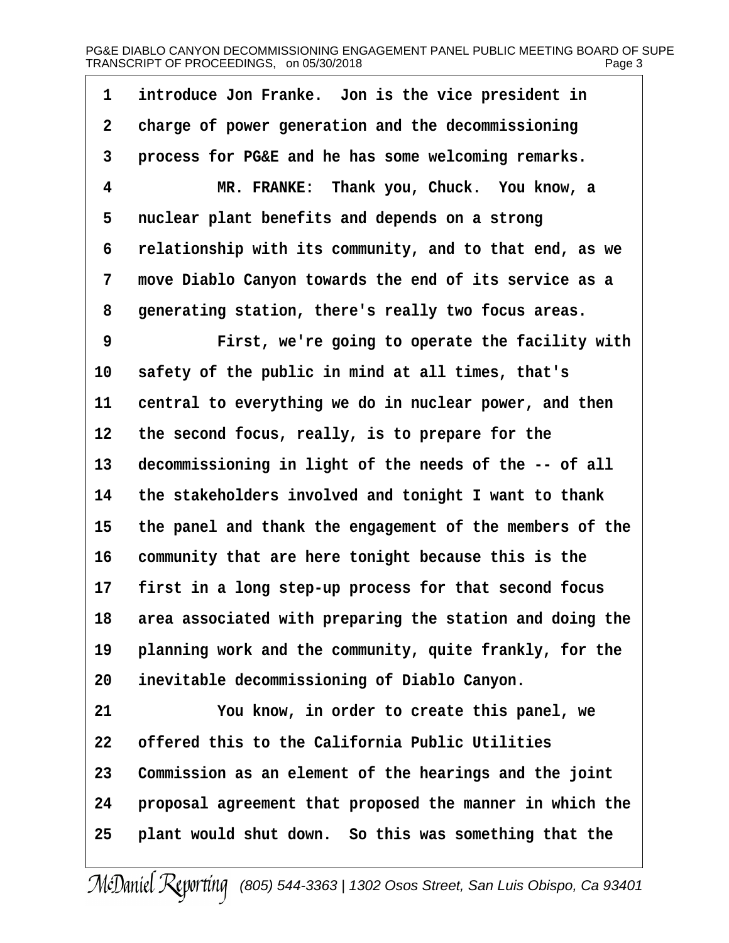# PG&E DIABLO CANYON DECOMMISSIONING ENGAGEMENT PANEL PUBLIC MEETING BOARD OF SUPE TRANSCRIPT OF PROCEEDINGS, on 05/30/2018 Page 3

| 1              | introduce Jon Franke. Jon is the vice president in       |
|----------------|----------------------------------------------------------|
| $\overline{2}$ | charge of power generation and the decommissioning       |
| 3              | process for PG&E and he has some welcoming remarks.      |
| 4              | MR. FRANKE: Thank you, Chuck. You know, a                |
| 5              | nuclear plant benefits and depends on a strong           |
| 6              | relationship with its community, and to that end, as we  |
| 7              | move Diablo Canyon towards the end of its service as a   |
| 8              | generating station, there's really two focus areas.      |
| 9              | First, we're going to operate the facility with          |
| 10             | safety of the public in mind at all times, that's        |
| 11             | central to everything we do in nuclear power, and then   |
| 12             | the second focus, really, is to prepare for the          |
| 13             | decommissioning in light of the needs of the -- of all   |
| 14             | the stakeholders involved and tonight I want to thank    |
| 15             | the panel and thank the engagement of the members of the |
| 16             | community that are here tonight because this is the      |
| 17             | first in a long step-up process for that second focus    |
| 18             | area associated with preparing the station and doing the |
| 19             | planning work and the community, quite frankly, for the  |
| 20             | inevitable decommissioning of Diablo Canyon.             |
| 21             | You know, in order to create this panel, we              |
| 22             | offered this to the California Public Utilities          |
| 23             | Commission as an element of the hearings and the joint   |
| 24             | proposal agreement that proposed the manner in which the |
| 25             | plant would shut down. So this was something that the    |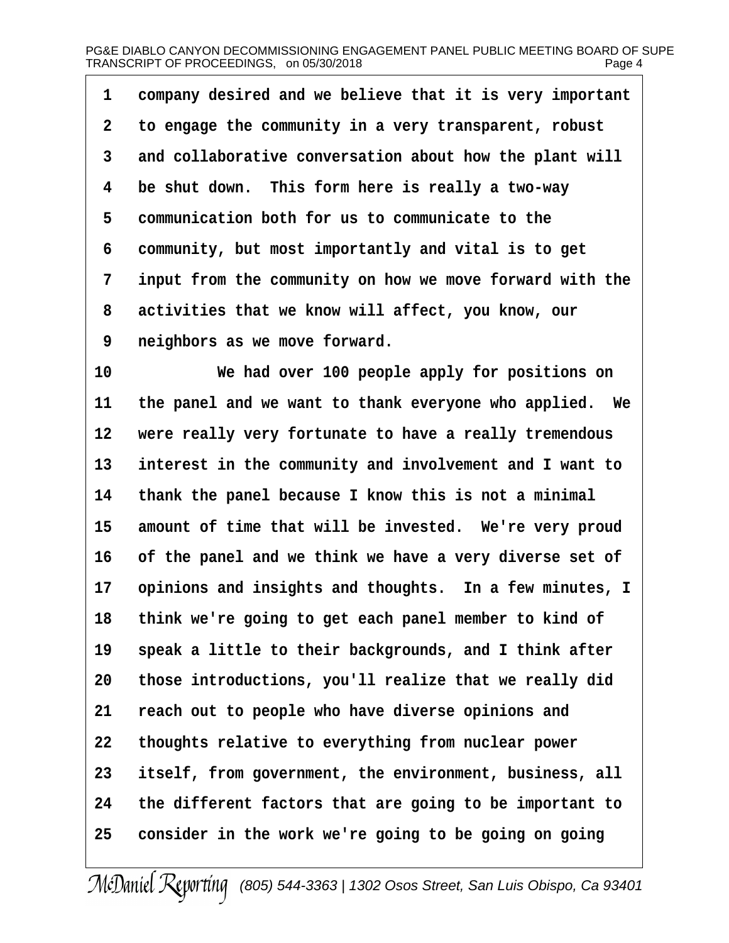|  |  |  | 1 company desired and we believe that it is very important |
|--|--|--|------------------------------------------------------------|
|--|--|--|------------------------------------------------------------|

- 2 to engage the community in a very transparent, robust
- 3 and collaborative conversation about how the plant will
- 4 be shut down. This form here is really a two-way
- 5 communication both for us to communicate to the
- 6 community, but most importantly and vital is to get
- 7 input from the community on how we move forward with the
- 8 activities that we know will affect, you know, our
- 9 neighbors as we move forward.
- 10 We had over 100 people apply for positions on
- 11 the panel and we want to thank everyone who applied. We
- 12 were really very fortunate to have a really tremendous
- 13 interest in the community and involvement and I want to
- 14 thank the panel because I know this is not a minimal
- 15 amount of time that will be invested. We're very proud
- 16 of the panel and we think we have a very diverse set of
- 17 opinions and insights and thoughts. In a few minutes, I
- 18 think we're going to get each panel member to kind of
- 19 speak a little to their backgrounds, and I think after
- 20 those introductions, you'll realize that we really did
- 21 reach out to people who have diverse opinions and
- 22 thoughts relative to everything from nuclear power
- 23 itself, from government, the environment, business, all
- 24 the different factors that are going to be important to
- 25 consider in the work we're going to be going on going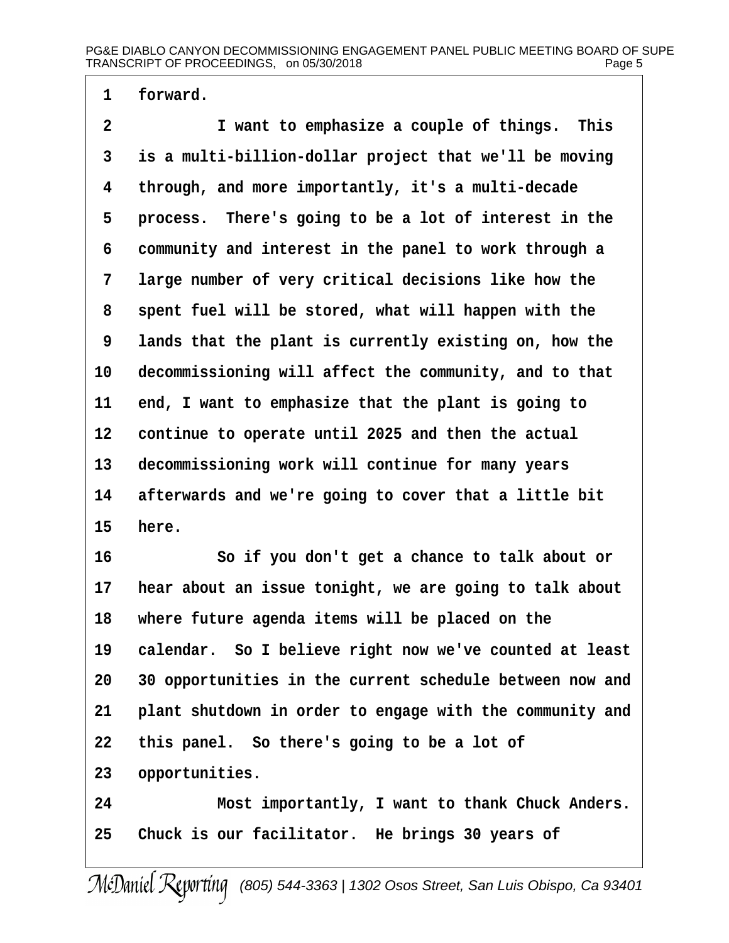1 forward.

2 I want to emphasize a couple of things. This 3 is a multi-billion-dollar project that we'll be moving 4 through, and more importantly, it's a multi-decade 5 process. There's going to be a lot of interest in the 6 community and interest in the panel to work through a 7 large number of very critical decisions like how the 8 spent fuel will be stored, what will happen with the 9 lands that the plant is currently existing on, how the 10 decommissioning will affect the community, and to that 11 end, I want to emphasize that the plant is going to 12 continue to operate until 2025 and then the actual 13 decommissioning work will continue for many years 14 afterwards and we're going to cover that a little bit 15 here. 16 **· · · · So if you don't get a chance to talk about or** 17 hear about an issue tonight, we are going to talk about 18 where future agenda items will be placed on the 19 calendar. So I believe right now we've counted at least 20 30 opportunities in the current schedule between now and 21 plant shutdown in order to engage with the community and 22 this panel. So there's going to be a lot of 23 opportunities. 24 Most importantly, I want to thank Chuck Anders. 25 Chuck is our facilitator. He brings 30 years of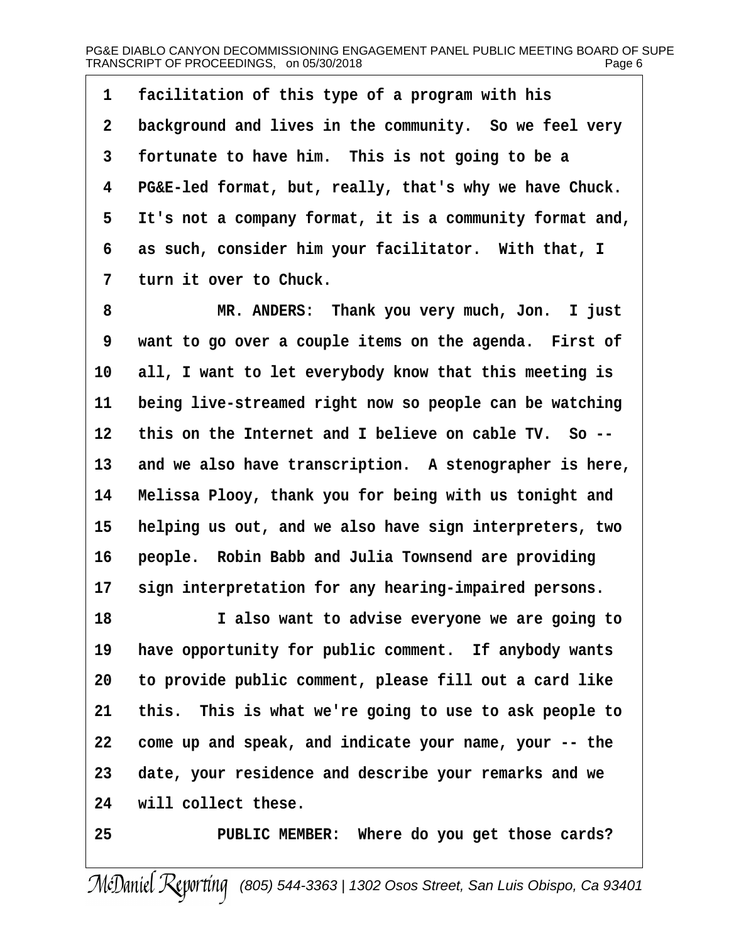1 facilitation of this type of a program with his 2 background and lives in the community. So we feel very 3 fortunate to have him. This is not going to be a 4 PG&E-led format, but, really, that's why we have Chuck. 5 It's not a company format, it is a community format and, 6 as such, consider him your facilitator. With that, I 7 turn it over to Chuck. 8 MR. ANDERS: Thank you very much, Jon. I just 9 want to go over a couple items on the agenda. First of 10 all, I want to let everybody know that this meeting is 11 being live-streamed right now so people can be watching 12 this on the Internet and I believe on cable TV. So --13 and we also have transcription. A stenographer is here, 14 Melissa Plooy, thank you for being with us tonight and 15 helping us out, and we also have sign interpreters, two 16 people. Robin Babb and Julia Townsend are providing 17 sign interpretation for any hearing-impaired persons. 18 I also want to advise everyone we are going to 19 have opportunity for public comment. If anybody wants 20 to provide public comment, please fill out a card like 21 this. This is what we're going to use to ask people to 22 come up and speak, and indicate your name, your -- the 23 date, your residence and describe your remarks and we 24 will collect these. 25 PUBLIC MEMBER: Where do you get those cards?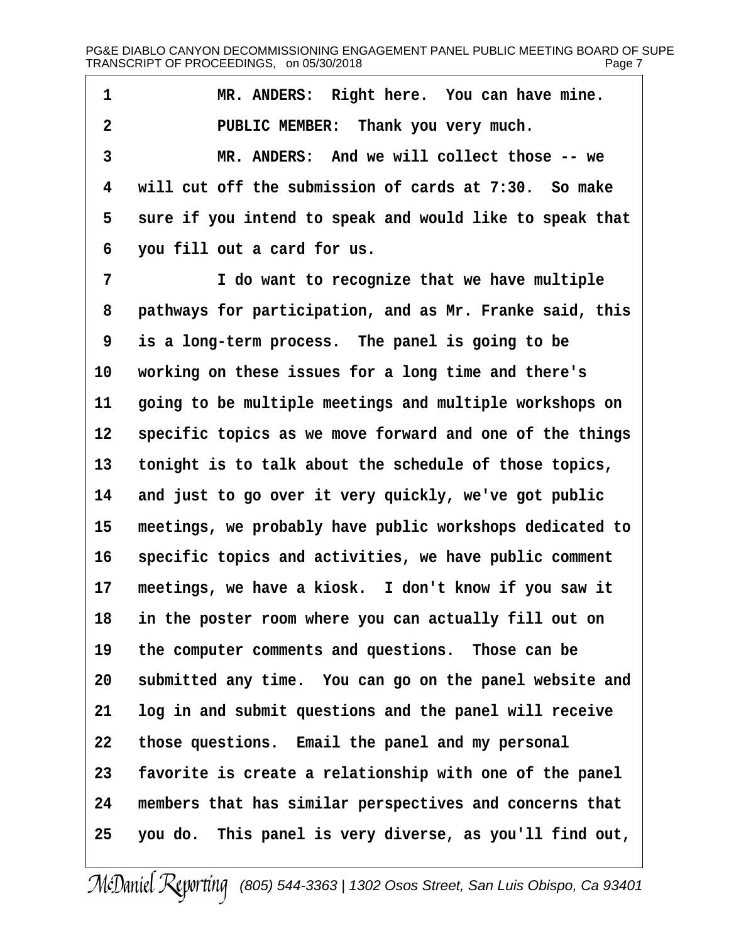| 1  | MR. ANDERS: Right here. You can have mine.               |
|----|----------------------------------------------------------|
| 2  | PUBLIC MEMBER: Thank you very much.                      |
| 3  | MR. ANDERS: And we will collect those -- we              |
| 4  | will cut off the submission of cards at 7:30. So make    |
| 5  | sure if you intend to speak and would like to speak that |
| 6  | you fill out a card for us.                              |
| 7  | I do want to recognize that we have multiple             |
| 8  | pathways for participation, and as Mr. Franke said, this |
| 9  | is a long-term process. The panel is going to be         |
| 10 | working on these issues for a long time and there's      |
| 11 | going to be multiple meetings and multiple workshops on  |
| 12 | specific topics as we move forward and one of the things |
| 13 | tonight is to talk about the schedule of those topics,   |
| 14 | and just to go over it very quickly, we've got public    |
| 15 | meetings, we probably have public workshops dedicated to |
| 16 | specific topics and activities, we have public comment   |
| 17 | meetings, we have a kiosk. I don't know if you saw it    |
| 18 | in the poster room where you can actually fill out on    |
| 19 | the computer comments and questions. Those can be        |
| 20 | submitted any time. You can go on the panel website and  |
| 21 | log in and submit questions and the panel will receive   |
| 22 | those questions. Email the panel and my personal         |
| 23 | favorite is create a relationship with one of the panel  |
| 24 | members that has similar perspectives and concerns that  |
| 25 | you do. This panel is very diverse, as you'll find out,  |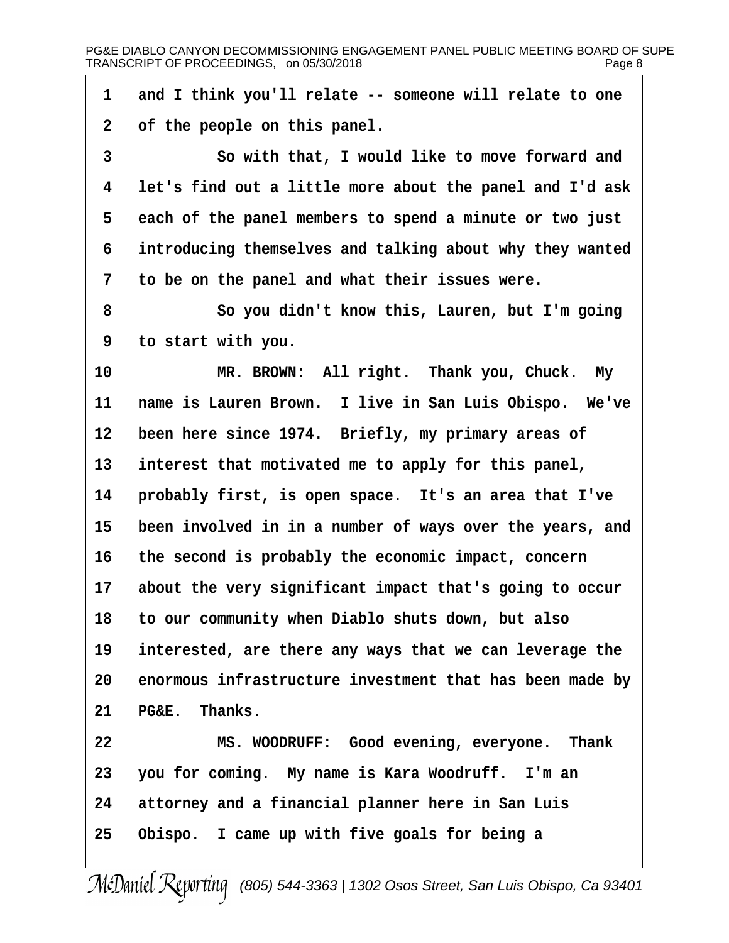1 and I think you'll relate -- someone will relate to one 2 of the people on this panel. 3 **So with that, I would like to move forward and** 4 let's find out a little more about the panel and I'd ask 5 each of the panel members to spend a minute or two just 6 introducing themselves and talking about why they wanted 7 to be on the panel and what their issues were. 8 **· · So you didn't know this, Lauren, but I'm going** ·9· ·to start with you. 10 MR. BROWN: All right. Thank you, Chuck. My 11 name is Lauren Brown. I live in San Luis Obispo. We've 12 been here since 1974. Briefly, my primary areas of 13 interest that motivated me to apply for this panel, 14 probably first, is open space. It's an area that I've 15 been involved in in a number of ways over the years, and 16 the second is probably the economic impact, concern 17 about the very significant impact that's going to occur 18 to our community when Diablo shuts down, but also 19 interested, are there any ways that we can leverage the 20 enormous infrastructure investment that has been made by 21 PG&E. Thanks. 22 MS. WOODRUFF: Good evening, everyone. Thank 23 you for coming. My name is Kara Woodruff. I'm an 24 attorney and a financial planner here in San Luis 25 Obispo. I came up with five goals for being a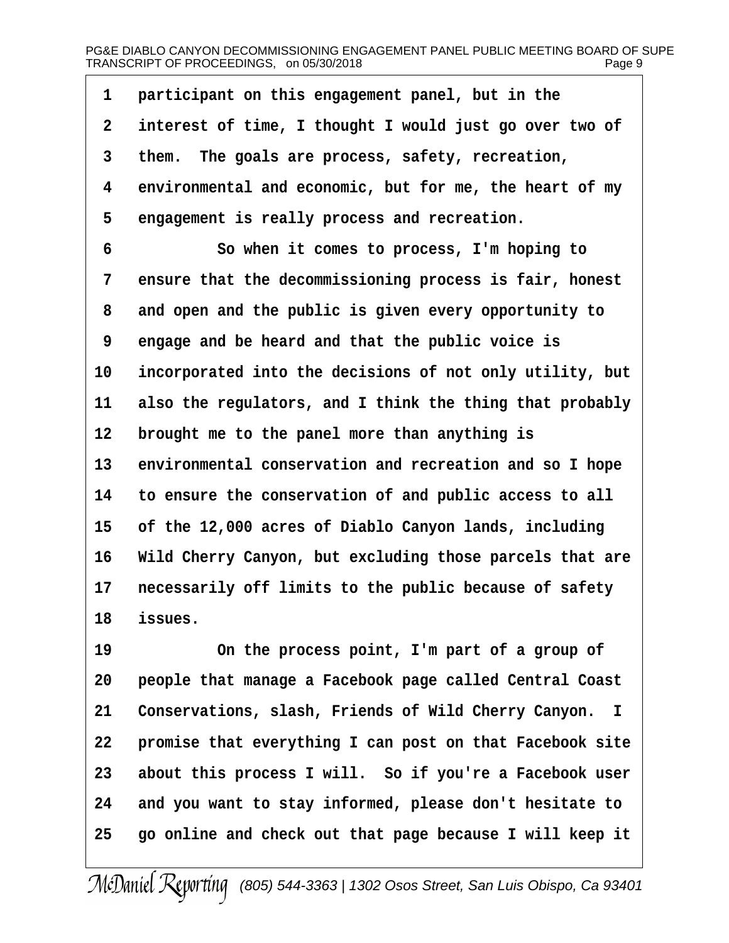# PG&E DIABLO CANYON DECOMMISSIONING ENGAGEMENT PANEL PUBLIC MEETING BOARD OF SUPE TRANSCRIPT OF PROCEEDINGS, on 05/30/2018 Page 9

| 1              | participant on this engagement panel, but in the         |
|----------------|----------------------------------------------------------|
| $\overline{2}$ | interest of time, I thought I would just go over two of  |
| 3              | them. The goals are process, safety, recreation,         |
| 4              | environmental and economic, but for me, the heart of my  |
| 5              | engagement is really process and recreation.             |
| 6              | So when it comes to process, I'm hoping to               |
| 7              | ensure that the decommissioning process is fair, honest  |
| 8              | and open and the public is given every opportunity to    |
| 9              | engage and be heard and that the public voice is         |
| 10             | incorporated into the decisions of not only utility, but |
| 11             | also the regulators, and I think the thing that probably |
| 12             | brought me to the panel more than anything is            |
| 13             | environmental conservation and recreation and so I hope  |
| 14             | to ensure the conservation of and public access to all   |
| 15             | of the 12,000 acres of Diablo Canyon lands, including    |
| 16             | Wild Cherry Canyon, but excluding those parcels that are |
| 17             | necessarily off limits to the public because of safety   |
| 18             | issues.                                                  |
| 19             | On the process point, I'm part of a group of             |
| 20             | people that manage a Facebook page called Central Coast  |
| 21             | Conservations, slash, Friends of Wild Cherry Canyon. I   |
| 22             | promise that everything I can post on that Facebook site |
| 23             | about this process I will. So if you're a Facebook user  |
| 24             | and you want to stay informed, please don't hesitate to  |
| 25             | go online and check out that page because I will keep it |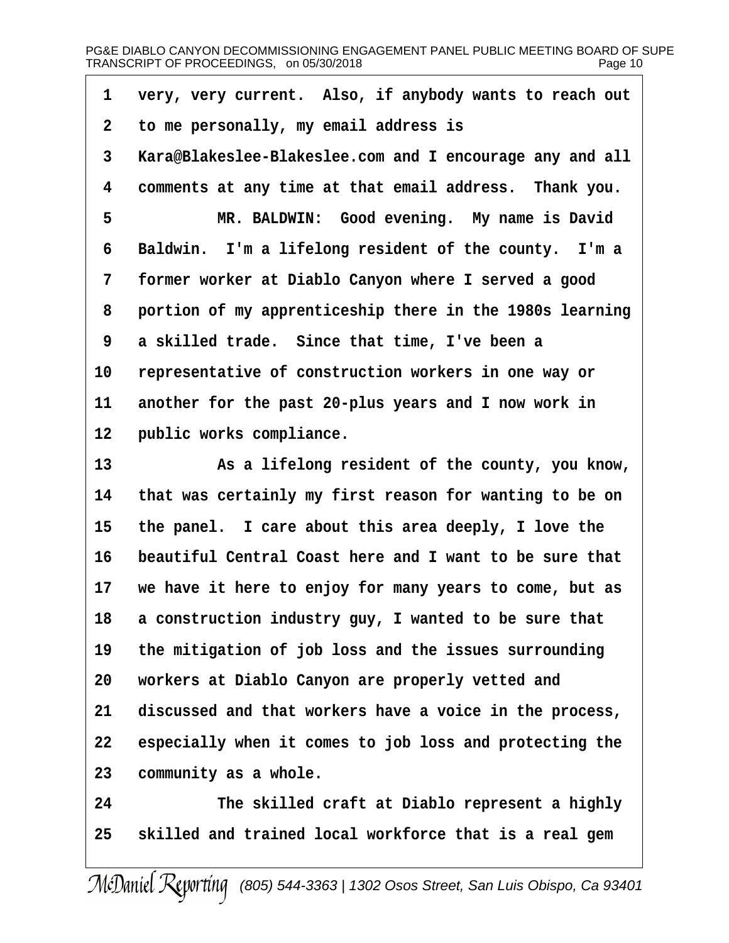# PG&E DIABLO CANYON DECOMMISSIONING ENGAGEMENT PANEL PUBLIC MEETING BOARD OF SUPE TRANSCRIPT OF PROCEEDINGS,on 05/30/2018 Page 10

| 1               | very, very current. Also, if anybody wants to reach out  |
|-----------------|----------------------------------------------------------|
| $\overline{2}$  | to me personally, my email address is                    |
| 3               | Kara@Blakeslee-Blakeslee.com and I encourage any and all |
| 4               | comments at any time at that email address. Thank you.   |
| 5               | MR. BALDWIN: Good evening. My name is David              |
| 6               | Baldwin. I'm a lifelong resident of the county. I'm a    |
| 7               | former worker at Diablo Canyon where I served a good     |
| 8               | portion of my apprenticeship there in the 1980s learning |
| 9               | a skilled trade. Since that time, I've been a            |
| 10              | representative of construction workers in one way or     |
| 11              | another for the past 20-plus years and I now work in     |
| 12 <sub>2</sub> | public works compliance.                                 |
| 13              | As a lifelong resident of the county, you know,          |
| 14              | that was certainly my first reason for wanting to be on  |
| 15              | the panel. I care about this area deeply, I love the     |
| 16              | beautiful Central Coast here and I want to be sure that  |
| 17              | we have it here to enjoy for many years to come, but as  |
| 18              | a construction industry guy, I wanted to be sure that    |
| 19              | the mitigation of job loss and the issues surrounding    |
| 20              | workers at Diablo Canyon are properly vetted and         |
| 21              | discussed and that workers have a voice in the process,  |
| 22              | especially when it comes to job loss and protecting the  |
| 23              | community as a whole.                                    |
| 24              | The skilled craft at Diablo represent a highly           |
| 25              | skilled and trained local workforce that is a real gem   |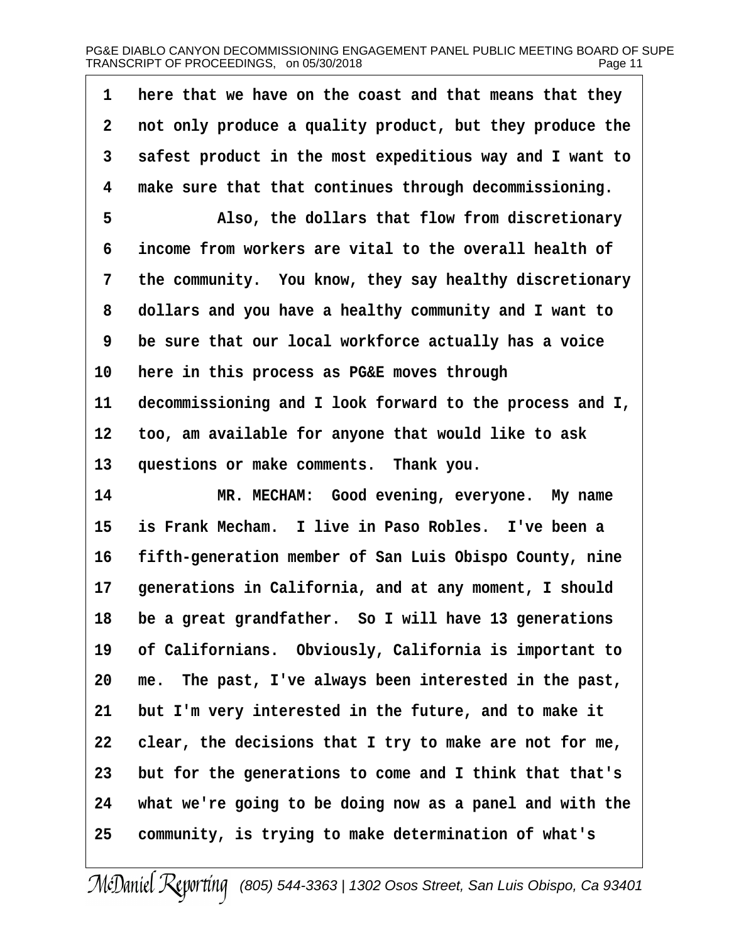# PG&E DIABLO CANYON DECOMMISSIONING ENGAGEMENT PANEL PUBLIC MEETING BOARD OF SUPE TRANSCRIPT OF PROCEEDINGS,on 05/30/2018 Page 11

| 2  | not only produce a quality product, but they produce the |
|----|----------------------------------------------------------|
|    |                                                          |
| 3  | safest product in the most expeditious way and I want to |
| 4  | make sure that that continues through decommissioning.   |
| 5  | Also, the dollars that flow from discretionary           |
| 6  | income from workers are vital to the overall health of   |
| 7  | the community. You know, they say healthy discretionary  |
| 8  | dollars and you have a healthy community and I want to   |
| 9  | be sure that our local workforce actually has a voice    |
| 10 | here in this process as PG&E moves through               |
| 11 | decommissioning and I look forward to the process and I, |
| 12 | too, am available for anyone that would like to ask      |
| 13 | questions or make comments. Thank you.                   |
| 14 | MR. MECHAM: Good evening, everyone. My name              |
| 15 | is Frank Mecham. I live in Paso Robles. I've been a      |
| 16 | fifth-generation member of San Luis Obispo County, nine  |
| 17 | generations in California, and at any moment, I should   |
| 18 | be a great grandfather. So I will have 13 generations    |
| 19 | of Californians. Obviously, California is important to   |
| 20 | me. The past, I've always been interested in the past,   |
| 21 | but I'm very interested in the future, and to make it    |
| 22 | clear, the decisions that I try to make are not for me,  |
| 23 | but for the generations to come and I think that that's  |
|    |                                                          |
| 24 | what we're going to be doing now as a panel and with the |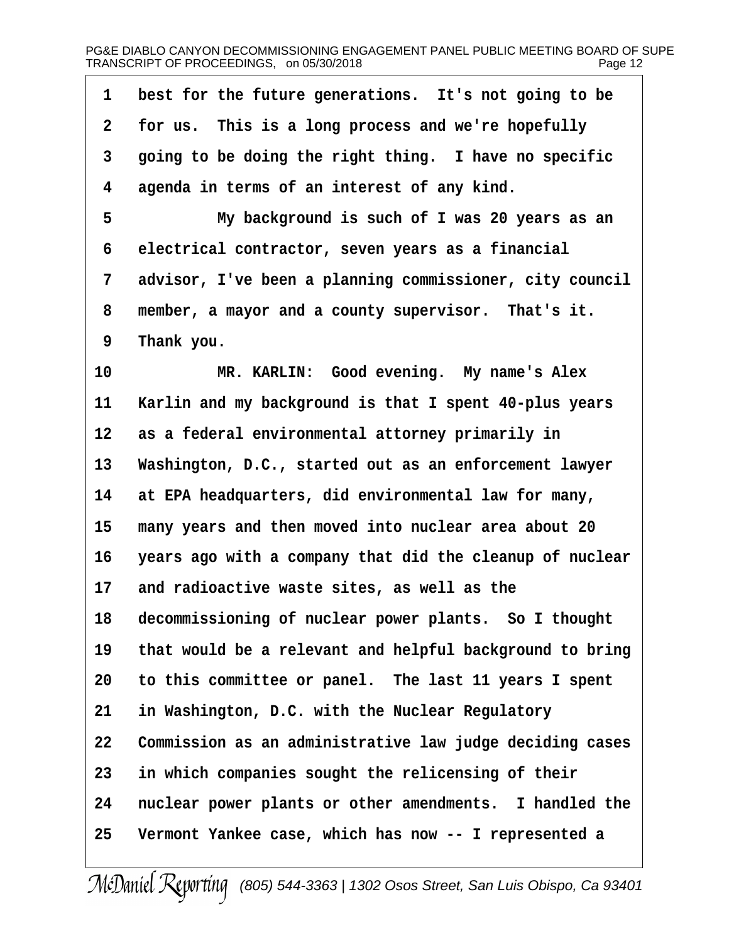# PG&E DIABLO CANYON DECOMMISSIONING ENGAGEMENT PANEL PUBLIC MEETING BOARD OF SUPE TRANSCRIPT OF PROCEEDINGS,on 05/30/2018 Page 12

| 1               | best for the future generations. It's not going to be    |
|-----------------|----------------------------------------------------------|
| $\overline{2}$  | for us. This is a long process and we're hopefully       |
| 3               | going to be doing the right thing. I have no specific    |
| 4               | agenda in terms of an interest of any kind.              |
| 5               | My background is such of I was 20 years as an            |
| 6               | electrical contractor, seven years as a financial        |
| 7               | advisor, I've been a planning commissioner, city council |
| 8               | member, a mayor and a county supervisor. That's it.      |
| 9               | Thank you.                                               |
| 10              | MR. KARLIN: Good evening. My name's Alex                 |
| 11              | Karlin and my background is that I spent 40-plus years   |
| 12 <sup>1</sup> | as a federal environmental attorney primarily in         |
| 13              | Washington, D.C., started out as an enforcement lawyer   |
| 14              | at EPA headquarters, did environmental law for many,     |
| 15              | many years and then moved into nuclear area about 20     |
| 16              | years ago with a company that did the cleanup of nuclear |
| 17              | and radioactive waste sites, as well as the              |
| 18              | decommissioning of nuclear power plants. So I thought    |
| 19              | that would be a relevant and helpful background to bring |
| 20              | to this committee or panel. The last 11 years I spent    |
| 21              | in Washington, D.C. with the Nuclear Regulatory          |
| 22              | Commission as an administrative law judge deciding cases |
| 23              | in which companies sought the relicensing of their       |
| 24              | nuclear power plants or other amendments. I handled the  |
| 25              | Vermont Yankee case, which has now -- I represented a    |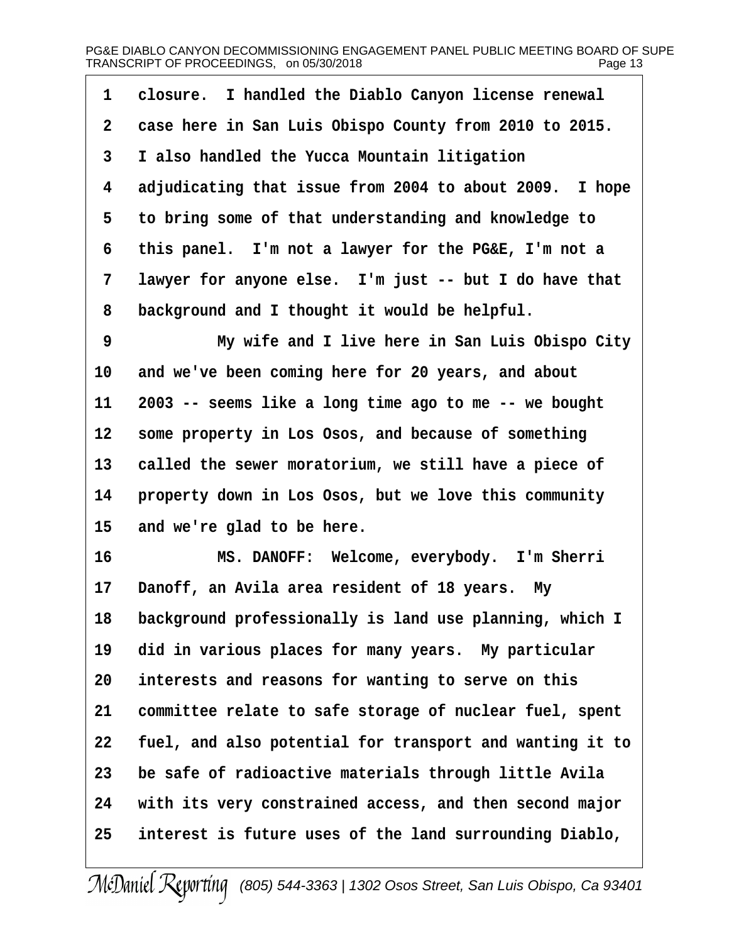| 1  | closure. I handled the Diablo Canyon license renewal     |
|----|----------------------------------------------------------|
| 2  | case here in San Luis Obispo County from 2010 to 2015.   |
| 3  | I also handled the Yucca Mountain litigation             |
| 4  | adjudicating that issue from 2004 to about 2009. I hope  |
| 5  | to bring some of that understanding and knowledge to     |
| 6  | this panel. I'm not a lawyer for the PG&E, I'm not a     |
| 7  | lawyer for anyone else. I'm just -- but I do have that   |
| 8  | background and I thought it would be helpful.            |
| 9  | My wife and I live here in San Luis Obispo City          |
| 10 | and we've been coming here for 20 years, and about       |
| 11 | 2003 -- seems like a long time ago to me -- we bought    |
| 12 | some property in Los Osos, and because of something      |
| 13 | called the sewer moratorium, we still have a piece of    |
| 14 | property down in Los Osos, but we love this community    |
| 15 | and we're glad to be here.                               |
| 16 | MS. DANOFF: Welcome, everybody. I'm Sherri               |
| 17 | Danoff, an Avila area resident of 18 years. My           |
| 18 | background professionally is land use planning, which I  |
| 19 | did in various places for many years. My particular      |
| 20 | interests and reasons for wanting to serve on this       |
| 21 | committee relate to safe storage of nuclear fuel, spent  |
| 22 | fuel, and also potential for transport and wanting it to |
| 23 | be safe of radioactive materials through little Avila    |
| 24 | with its very constrained access, and then second major  |
| 25 | interest is future uses of the land surrounding Diablo,  |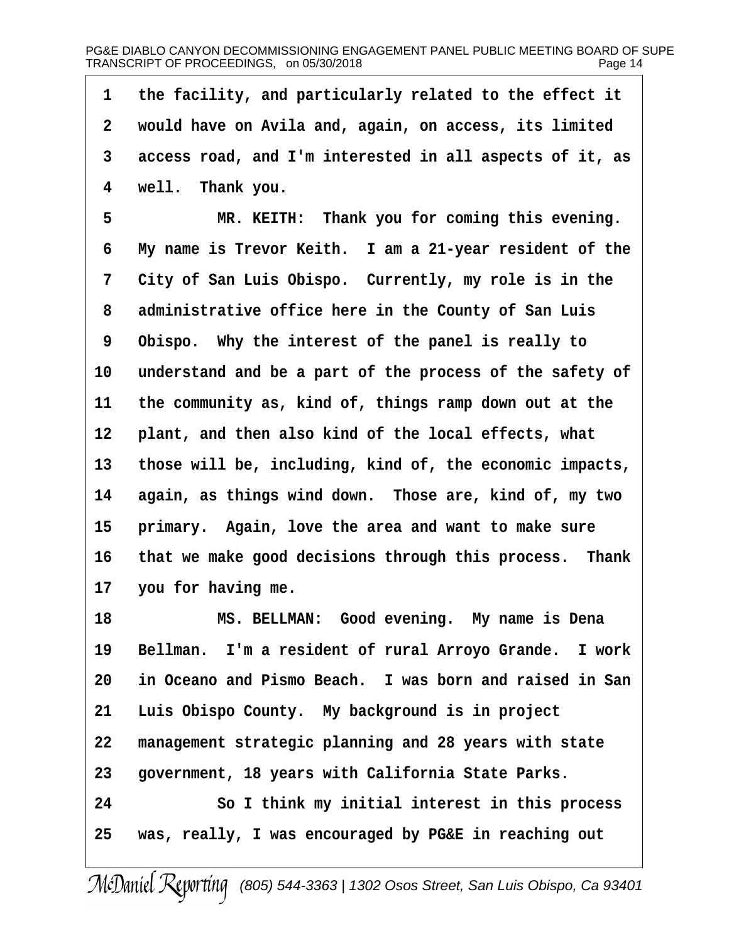·1· ·the facility, and particularly related to the effect it 2 would have on Avila and, again, on access, its limited 3 access road, and I'm interested in all aspects of it, as 4 well. Thank you. 5 MR. KEITH: Thank you for coming this evening. 6 My name is Trevor Keith. I am a 21-year resident of the 7 City of San Luis Obispo. Currently, my role is in the 8 administrative office here in the County of San Luis 9 Obispo. Why the interest of the panel is really to 10 understand and be a part of the process of the safety of 11 the community as, kind of, things ramp down out at the 12 plant, and then also kind of the local effects, what 13 those will be, including, kind of, the economic impacts, 14 again, as things wind down. Those are, kind of, my two 15 primary. Again, love the area and want to make sure 16 that we make good decisions through this process. Thank 17 you for having me. 18 MS. BELLMAN: Good evening. My name is Dena 19 Bellman. I'm a resident of rural Arroyo Grande. I work 20 in Oceano and Pismo Beach. I was born and raised in San 21 Luis Obispo County. My background is in project 22 management strategic planning and 28 years with state 23 government, 18 years with California State Parks. 24 **· · · · So I think my initial interest in this process** 25 was, really, I was encouraged by PG&E in reaching out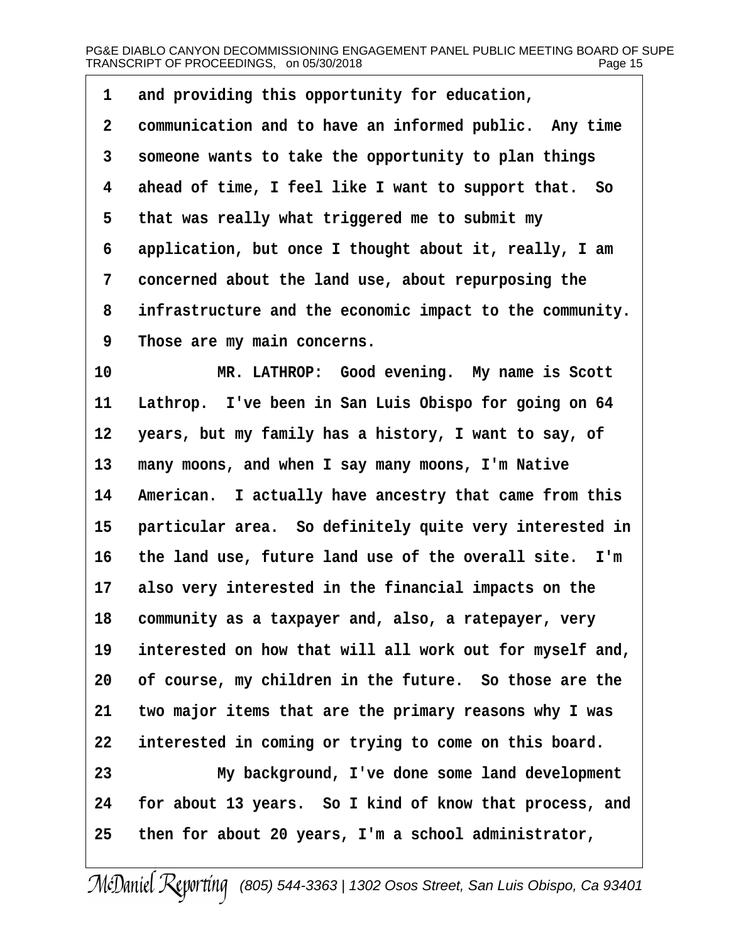- 1 and providing this opportunity for education,
- 2 communication and to have an informed public. Any time
- 3 someone wants to take the opportunity to plan things
- 4 ahead of time, I feel like I want to support that. So
- 5 that was really what triggered me to submit my
- 6 application, but once I thought about it, really, I am
- 7 concerned about the land use, about repurposing the
- 8 infrastructure and the economic impact to the community.
- 9 Those are my main concerns.
- 10 MR. LATHROP: Good evening. My name is Scott
- 11 Lathrop. I've been in San Luis Obispo for going on 64
- 12 years, but my family has a history, I want to say, of
- 13 many moons, and when I say many moons, I'm Native
- 14 American. I actually have ancestry that came from this
- 15 particular area. So definitely quite very interested in
- 16 the land use, future land use of the overall site. I'm
- 17 also very interested in the financial impacts on the
- 18 community as a taxpayer and, also, a ratepayer, very
- 19 interested on how that will all work out for myself and,
- 20 of course, my children in the future. So those are the
- 21 two major items that are the primary reasons why I was
- 22 interested in coming or trying to come on this board.
- 23 My background, I've done some land development 24 for about 13 years. So I kind of know that process, and
- 25 then for about 20 years, I'm a school administrator,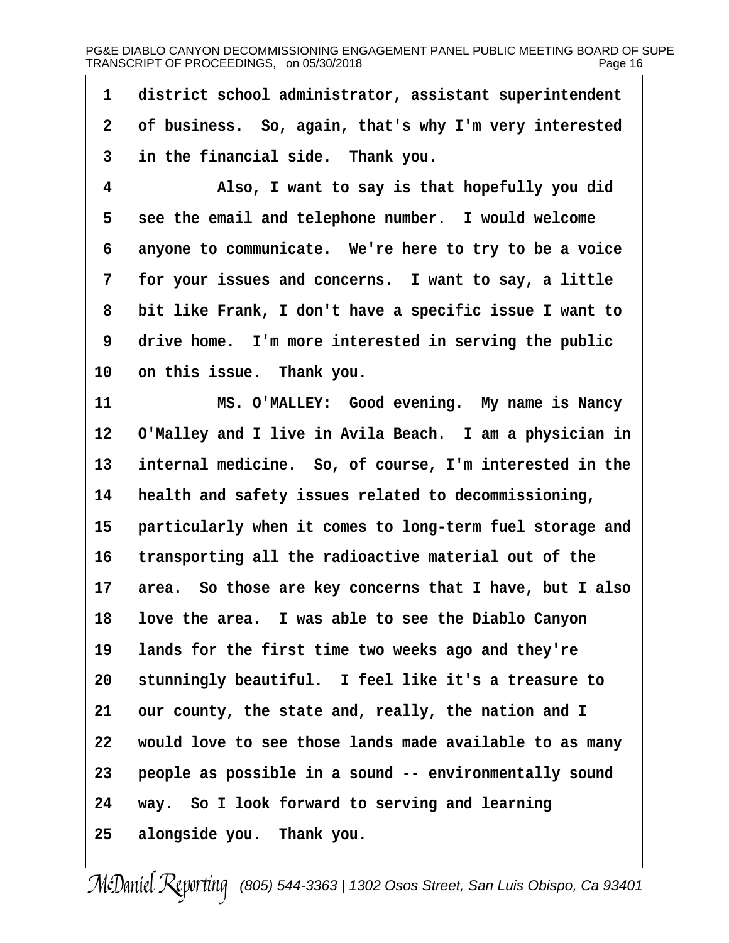1 district school administrator, assistant superintendent 2 of business. So, again, that's why I'm very interested 3 in the financial side. Thank you. 4 Also, I want to say is that hopefully you did 5 see the email and telephone number. I would welcome 6 anyone to communicate. We're here to try to be a voice 7 for your issues and concerns. I want to say, a little 8 bit like Frank, I don't have a specific issue I want to 9 drive home. I'm more interested in serving the public 10 on this issue. Thank you. 11 MS. O'MALLEY: Good evening. My name is Nancy 12 O'Malley and I live in Avila Beach. I am a physician in 13 internal medicine. So, of course, I'm interested in the 14 health and safety issues related to decommissioning, 15 particularly when it comes to long-term fuel storage and 16 transporting all the radioactive material out of the 17 area. So those are key concerns that I have, but I also 18 love the area. I was able to see the Diablo Canyon 19 lands for the first time two weeks ago and they're 20 stunningly beautiful. I feel like it's a treasure to 21 our county, the state and, really, the nation and I 22 would love to see those lands made available to as many 23 people as possible in a sound -- environmentally sound 24 way. So I look forward to serving and learning 25 alongside you. Thank you.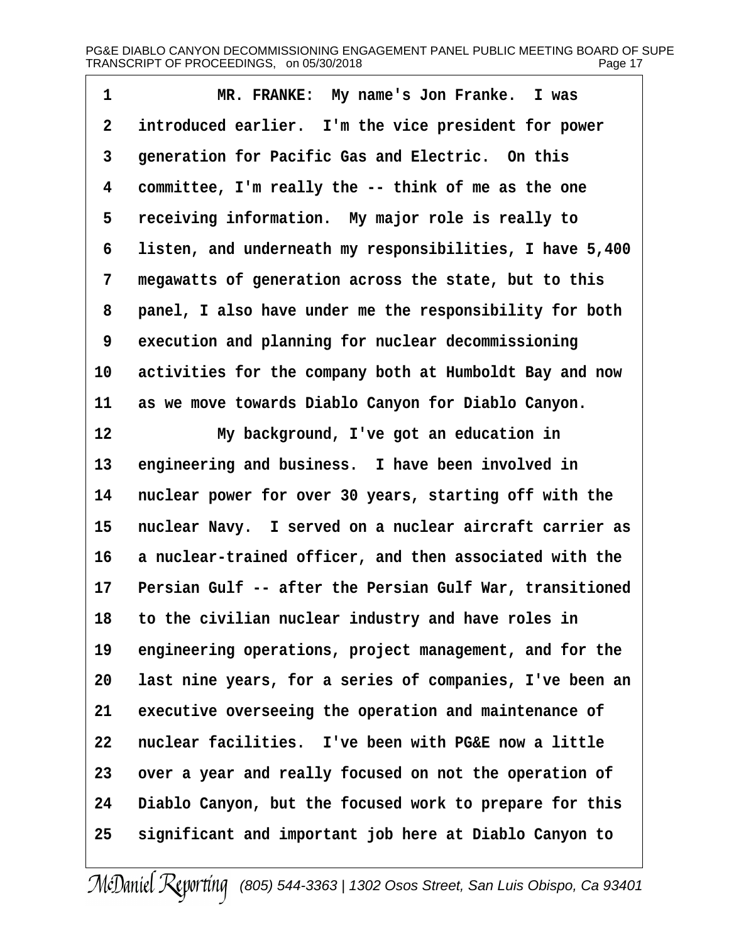1 MR. FRANKE: My name's Jon Franke. I was 2 introduced earlier. I'm the vice president for power 3 generation for Pacific Gas and Electric. On this 4 committee, I'm really the -- think of me as the one 5 receiving information. My major role is really to 6 listen, and underneath my responsibilities, I have 5,400 7 megawatts of generation across the state, but to this 8 panel, I also have under me the responsibility for both 9 execution and planning for nuclear decommissioning 10 activities for the company both at Humboldt Bay and now 11 as we move towards Diablo Canyon for Diablo Canyon. 12 My background, I've got an education in 13 engineering and business. I have been involved in 14 nuclear power for over 30 years, starting off with the 15 nuclear Navy. I served on a nuclear aircraft carrier as 16 a nuclear-trained officer, and then associated with the 17 Persian Gulf -- after the Persian Gulf War, transitioned 18 to the civilian nuclear industry and have roles in 19 engineering operations, project management, and for the 20 last nine years, for a series of companies, I've been an 21 executive overseeing the operation and maintenance of 22 nuclear facilities. I've been with PG&E now a little 23 over a year and really focused on not the operation of 24 Diablo Canyon, but the focused work to prepare for this 25 significant and important job here at Diablo Canyon to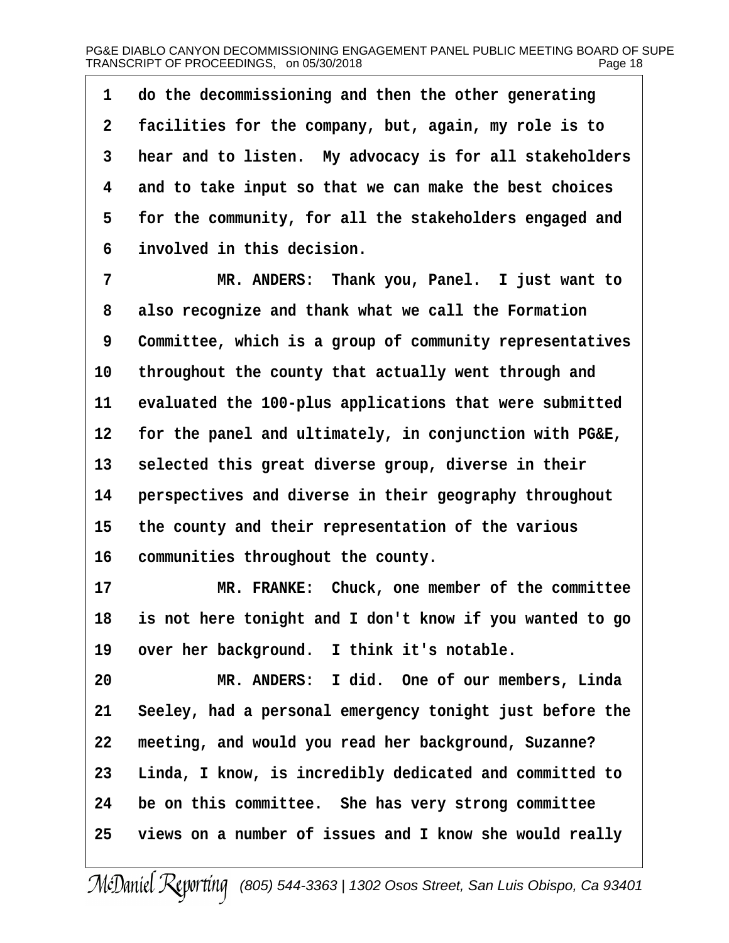1 do the decommissioning and then the other generating 2 facilities for the company, but, again, my role is to 3 hear and to listen. My advocacy is for all stakeholders 4 and to take input so that we can make the best choices 5 for the community, for all the stakeholders engaged and 6 involved in this decision. 7 MR. ANDERS: Thank you, Panel. I just want to 8 also recognize and thank what we call the Formation 9 Committee, which is a group of community representatives 10 throughout the county that actually went through and 11 evaluated the 100-plus applications that were submitted 12 for the panel and ultimately, in conjunction with PG&E, 13 selected this great diverse group, diverse in their 14 perspectives and diverse in their geography throughout 15 the county and their representation of the various 16 communities throughout the county. 17 MR. FRANKE: Chuck, one member of the committee 18 is not here tonight and I don't know if you wanted to go 19 over her background. I think it's notable. 20 MR. ANDERS: I did. One of our members, Linda 21 Seeley, had a personal emergency tonight just before the 22 meeting, and would you read her background, Suzanne? 23 Linda, I know, is incredibly dedicated and committed to 24 be on this committee. She has very strong committee 25 views on a number of issues and I know she would really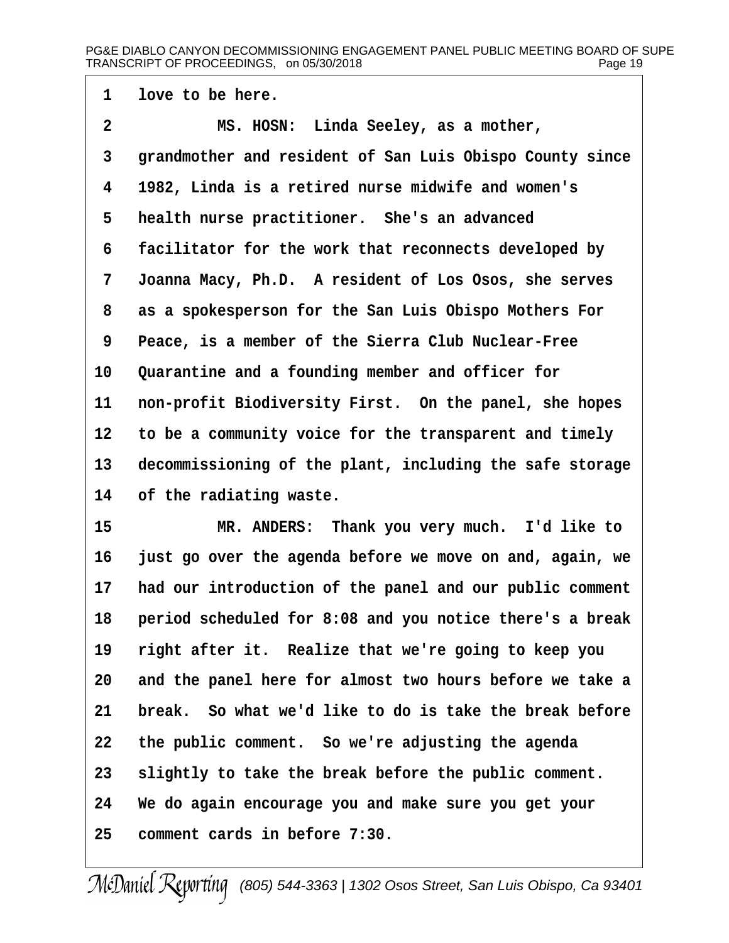# PG&E DIABLO CANYON DECOMMISSIONING ENGAGEMENT PANEL PUBLIC MEETING BOARD OF SUPE TRANSCRIPT OF PROCEEDINGS, on 05/30/2018 Page 19

1 love to be here.

- 2 MS. HOSN: Linda Seeley, as a mother,
- 3 grandmother and resident of San Luis Obispo County since
- 4 1982, Linda is a retired nurse midwife and women's
- 5 health nurse practitioner. She's an advanced
- 6 facilitator for the work that reconnects developed by
- 7 Joanna Macy, Ph.D. A resident of Los Osos, she serves
- 8 as a spokesperson for the San Luis Obispo Mothers For
- 9 Peace, is a member of the Sierra Club Nuclear-Free
- 10 Quarantine and a founding member and officer for
- 11 non-profit Biodiversity First. On the panel, she hopes
- 12 to be a community voice for the transparent and timely
- 13 decommissioning of the plant, including the safe storage
- 14 of the radiating waste.
- 15 MR. ANDERS: Thank you very much. I'd like to
- 16 just go over the agenda before we move on and, again, we
- 17 had our introduction of the panel and our public comment
- 18 period scheduled for 8:08 and you notice there's a break
- 19 right after it. Realize that we're going to keep you
- 20 and the panel here for almost two hours before we take a
- 21 break. So what we'd like to do is take the break before
- 22 the public comment. So we're adjusting the agenda
- 23 slightly to take the break before the public comment.
- 24 We do again encourage you and make sure you get your
- 25 comment cards in before 7:30.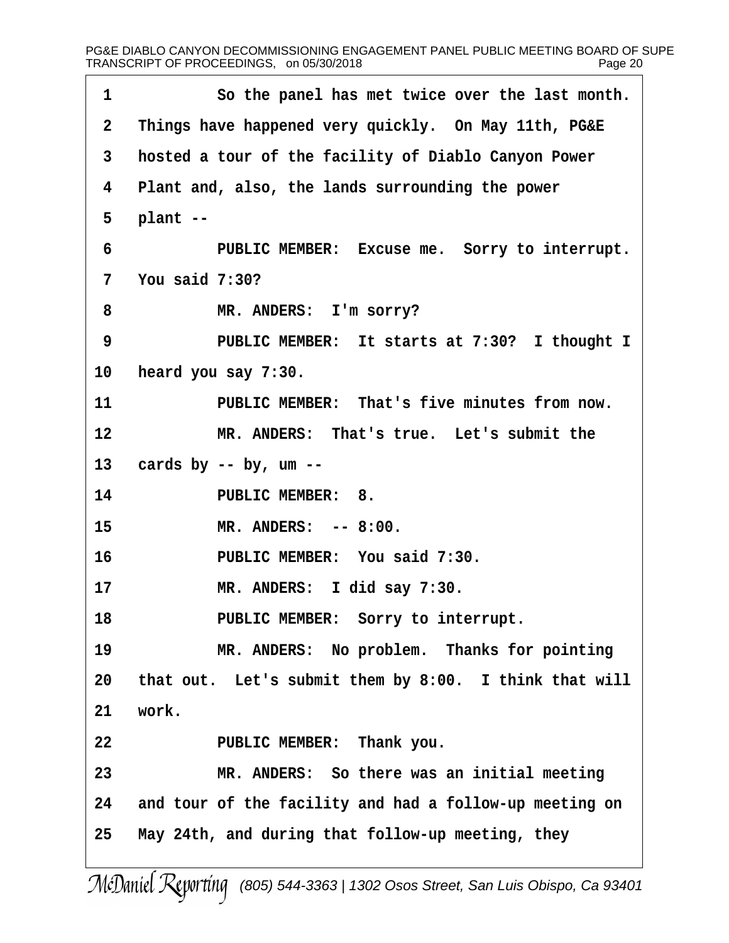| Things have happened very quickly. On May 11th, PG&E<br>hosted a tour of the facility of Diablo Canyon Power<br>Plant and, also, the lands surrounding the power |
|------------------------------------------------------------------------------------------------------------------------------------------------------------------|
|                                                                                                                                                                  |
|                                                                                                                                                                  |
|                                                                                                                                                                  |
| plant --                                                                                                                                                         |
| PUBLIC MEMBER: Excuse me. Sorry to interrupt.                                                                                                                    |
| You said 7:30?                                                                                                                                                   |
| MR. ANDERS: I'm sorry?                                                                                                                                           |
| PUBLIC MEMBER: It starts at 7:30? I thought I                                                                                                                    |
| heard you say 7:30.                                                                                                                                              |
| PUBLIC MEMBER: That's five minutes from now.                                                                                                                     |
| MR. ANDERS: That's true. Let's submit the                                                                                                                        |
| cards by $-$ by, um $-$                                                                                                                                          |
| <b>PUBLIC MEMBER: 8.</b>                                                                                                                                         |
| MR. ANDERS: -- 8:00.                                                                                                                                             |
| PUBLIC MEMBER: You said 7:30.                                                                                                                                    |
| MR. ANDERS: I did say 7:30.                                                                                                                                      |
| PUBLIC MEMBER: Sorry to interrupt.                                                                                                                               |
| MR. ANDERS: No problem. Thanks for pointing                                                                                                                      |
| that out. Let's submit them by 8:00. I think that will                                                                                                           |
| work.                                                                                                                                                            |
| PUBLIC MEMBER: Thank you.                                                                                                                                        |
| MR. ANDERS: So there was an initial meeting                                                                                                                      |
|                                                                                                                                                                  |
| and tour of the facility and had a follow-up meeting on                                                                                                          |
|                                                                                                                                                                  |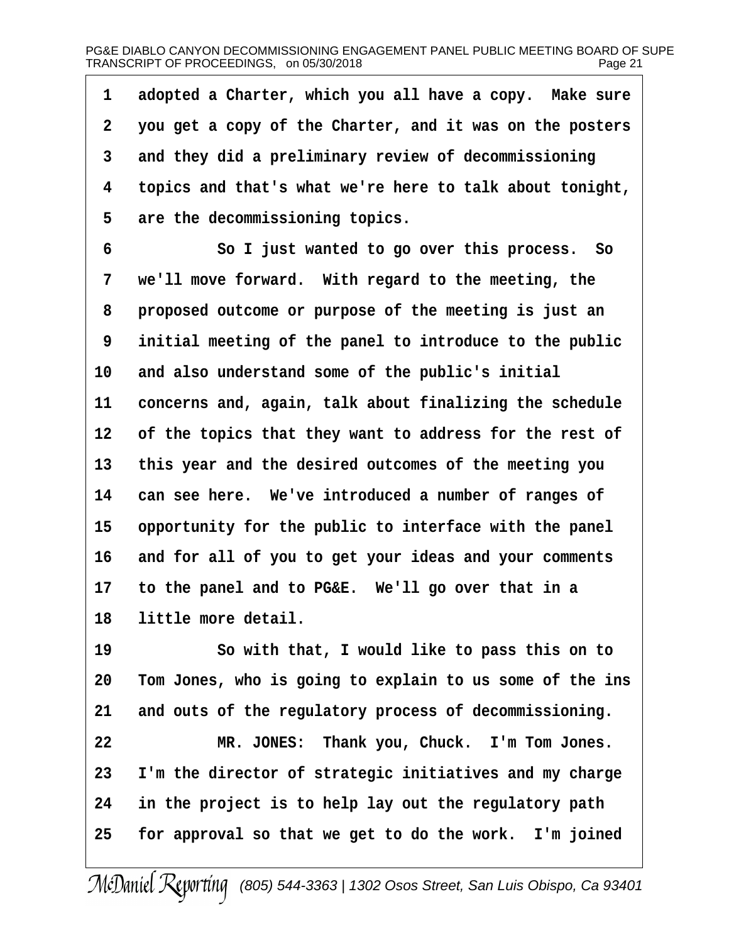1 adopted a Charter, which you all have a copy. Make sure ·2· ·you get a copy of the Charter, and it was on the posters 3 and they did a preliminary review of decommissioning 4 topics and that's what we're here to talk about tonight, 5 are the decommissioning topics. 6 **· · · · So I just wanted to go over this process.** So 7 we'll move forward. With regard to the meeting, the 8 proposed outcome or purpose of the meeting is just an ·9· ·initial meeting of the panel to introduce to the public 10 and also understand some of the public's initial 11 concerns and, again, talk about finalizing the schedule 12 of the topics that they want to address for the rest of 13 this year and the desired outcomes of the meeting you 14 can see here. We've introduced a number of ranges of 15 opportunity for the public to interface with the panel 16 and for all of you to get your ideas and your comments 17 to the panel and to PG&E. We'll go over that in a 18 little more detail. 19 **· · · · So with that, I would like to pass this on to** 20 Tom Jones, who is going to explain to us some of the ins 21 and outs of the regulatory process of decommissioning. 22 MR. JONES: Thank you, Chuck. I'm Tom Jones. 23 I'm the director of strategic initiatives and my charge 24 in the project is to help lay out the regulatory path 25 for approval so that we get to do the work. I'm joined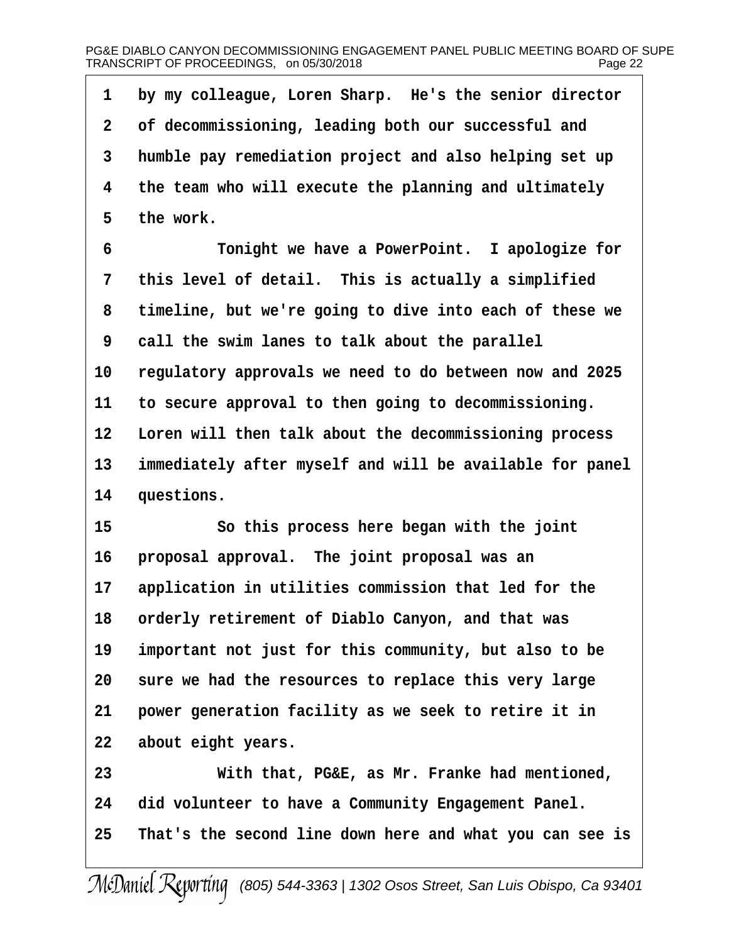# PG&E DIABLO CANYON DECOMMISSIONING ENGAGEMENT PANEL PUBLIC MEETING BOARD OF SUPE TRANSCRIPT OF PROCEEDINGS, on 05/30/2018 Page 22

| 1               | by my colleague, Loren Sharp. He's the senior director   |
|-----------------|----------------------------------------------------------|
| 2               | of decommissioning, leading both our successful and      |
| 3               | humble pay remediation project and also helping set up   |
| 4               | the team who will execute the planning and ultimately    |
| 5               | the work.                                                |
| 6               | Tonight we have a PowerPoint. I apologize for            |
| 7               | this level of detail. This is actually a simplified      |
| 8               | timeline, but we're going to dive into each of these we  |
| 9               | call the swim lanes to talk about the parallel           |
| 10              | regulatory approvals we need to do between now and 2025  |
| 11              | to secure approval to then going to decommissioning.     |
| 12 <sub>2</sub> | Loren will then talk about the decommissioning process   |
| 13              | immediately after myself and will be available for panel |
| 14              | questions.                                               |
| 15              | So this process here began with the joint                |
| 16              | proposal approval. The joint proposal was an             |
| 17              | application in utilities commission that led for the     |
| 18              | orderly retirement of Diablo Canyon, and that was        |
| 19              | important not just for this community, but also to be    |
| 20              | sure we had the resources to replace this very large     |
| 21              | power generation facility as we seek to retire it in     |
| 22              | about eight years.                                       |
| 23              | With that, PG&E, as Mr. Franke had mentioned,            |
| 24              | did volunteer to have a Community Engagement Panel.      |
| 25              | That's the second line down here and what you can see is |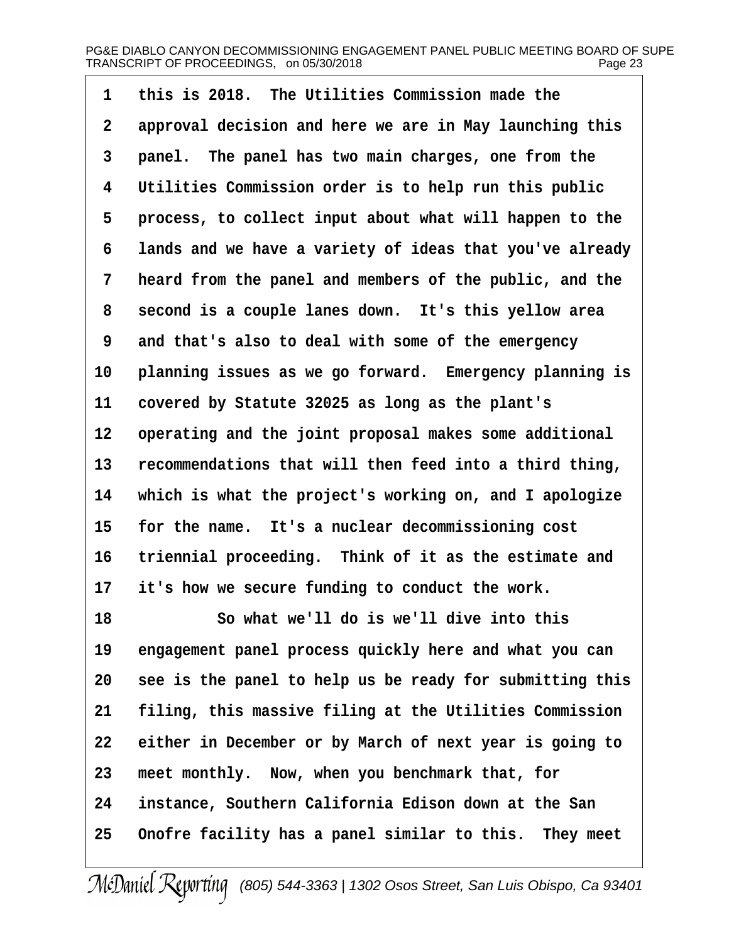| 1              | this is 2018. The Utilities Commission made the          |
|----------------|----------------------------------------------------------|
| $\overline{2}$ | approval decision and here we are in May launching this  |
| 3              | panel. The panel has two main charges, one from the      |
| 4              | Utilities Commission order is to help run this public    |
| 5              | process, to collect input about what will happen to the  |
| 6              | lands and we have a variety of ideas that you've already |
| 7              | heard from the panel and members of the public, and the  |
| 8              | second is a couple lanes down. It's this yellow area     |
| 9              | and that's also to deal with some of the emergency       |
| 10             | planning issues as we go forward. Emergency planning is  |
| 11             | covered by Statute 32025 as long as the plant's          |
| 12             | operating and the joint proposal makes some additional   |
| 13             | recommendations that will then feed into a third thing,  |
| 14             | which is what the project's working on, and I apologize  |
| 15             | for the name. It's a nuclear decommissioning cost        |
| 16             | triennial proceeding. Think of it as the estimate and    |
| 17             | it's how we secure funding to conduct the work.          |
| 18             | So what we'll do is we'll dive into this                 |
| 19             | engagement panel process quickly here and what you can   |
| 20             | see is the panel to help us be ready for submitting this |
| 21             | filing, this massive filing at the Utilities Commission  |
| 22             | either in December or by March of next year is going to  |
| 23             | meet monthly. Now, when you benchmark that, for          |
| 24             | instance, Southern California Edison down at the San     |
| 25             | Onofre facility has a panel similar to this. They meet   |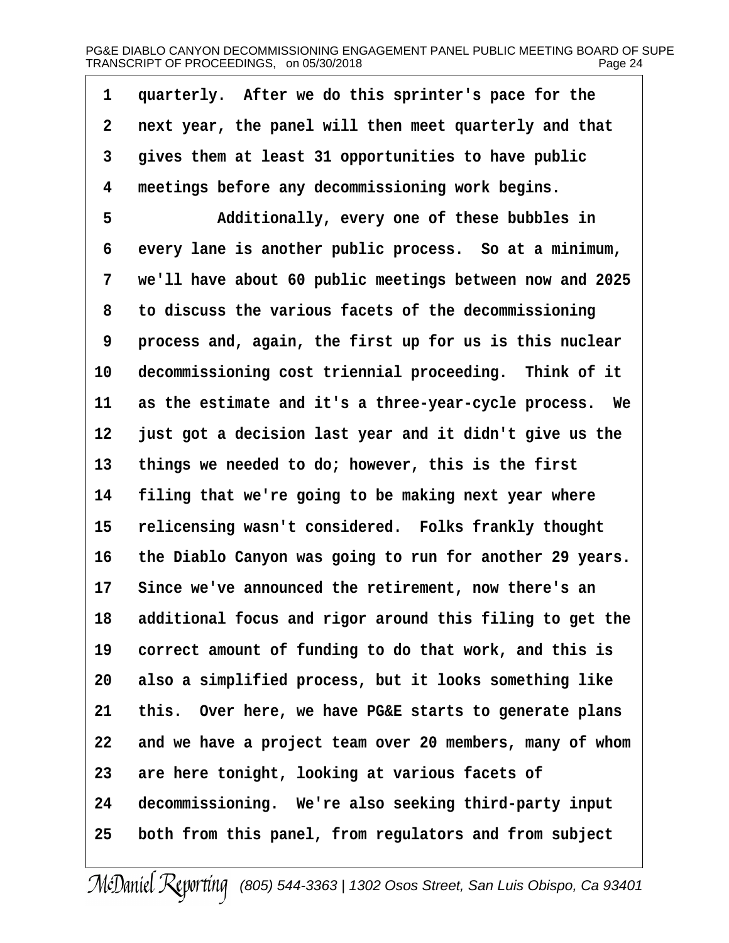# PG&E DIABLO CANYON DECOMMISSIONING ENGAGEMENT PANEL PUBLIC MEETING BOARD OF SUPE TRANSCRIPT OF PROCEEDINGS, on 05/30/2018 Page 24

| 1               | quarterly. After we do this sprinter's pace for the      |
|-----------------|----------------------------------------------------------|
| 2               | next year, the panel will then meet quarterly and that   |
| 3               | gives them at least 31 opportunities to have public      |
| 4               | meetings before any decommissioning work begins.         |
| 5               | Additionally, every one of these bubbles in              |
| 6               | every lane is another public process. So at a minimum,   |
| 7               | we'll have about 60 public meetings between now and 2025 |
| 8               | to discuss the various facets of the decommissioning     |
| 9               | process and, again, the first up for us is this nuclear  |
| 10              | decommissioning cost triennial proceeding. Think of it   |
| 11              | as the estimate and it's a three-year-cycle process. We  |
| 12 <sub>2</sub> | just got a decision last year and it didn't give us the  |
| 13              | things we needed to do; however, this is the first       |
| 14              | filing that we're going to be making next year where     |
| 15              | relicensing wasn't considered. Folks frankly thought     |
| 16              | the Diablo Canyon was going to run for another 29 years. |
| 17              | Since we've announced the retirement, now there's an     |
| 18              | additional focus and rigor around this filing to get the |
| 19              | correct amount of funding to do that work, and this is   |
| 20              | also a simplified process, but it looks something like   |
| 21              | this. Over here, we have PG&E starts to generate plans   |
| 22              | and we have a project team over 20 members, many of whom |
| 23              | are here tonight, looking at various facets of           |
| 24              | decommissioning. We're also seeking third-party input    |
| 25              | both from this panel, from regulators and from subject   |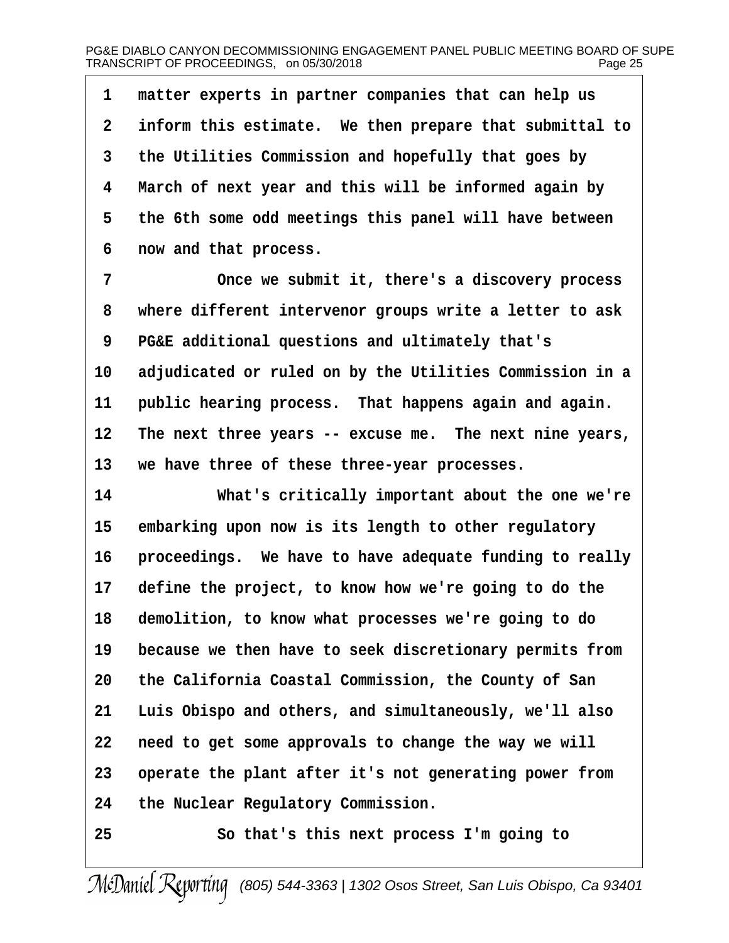1 matter experts in partner companies that can help us 2 inform this estimate. We then prepare that submittal to 3 the Utilities Commission and hopefully that goes by 4 March of next year and this will be informed again by 5 the 6th some odd meetings this panel will have between 6 now and that process. 7 Chice we submit it, there's a discovery process 8 where different intervenor groups write a letter to ask 9 PG&E additional questions and ultimately that's 10 adjudicated or ruled on by the Utilities Commission in a 11 public hearing process. That happens again and again. 12 The next three years -- excuse me. The next nine years, 13 we have three of these three-year processes. 14 What's critically important about the one we're 15 embarking upon now is its length to other regulatory 16 proceedings. We have to have adequate funding to really 17 define the project, to know how we're going to do the 18 demolition, to know what processes we're going to do 19 because we then have to seek discretionary permits from 20 the California Coastal Commission, the County of San 21 Luis Obispo and others, and simultaneously, we'll also 22 need to get some approvals to change the way we will 23 operate the plant after it's not generating power from 24 the Nuclear Regulatory Commission. 25 **• 25** • So that's this next process I'm going to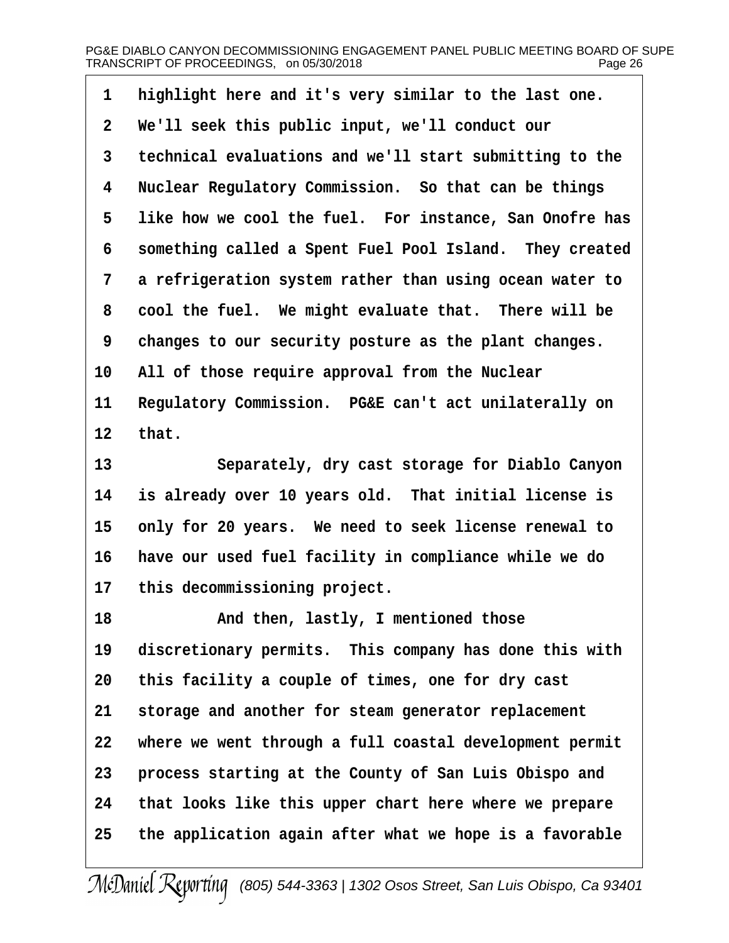- 1 highlight here and it's very similar to the last one.
- 2 We'll seek this public input, we'll conduct our
- 3 technical evaluations and we'll start submitting to the
- 4 Nuclear Regulatory Commission. So that can be things
- 5 like how we cool the fuel. For instance, San Onofre has
- 6 something called a Spent Fuel Pool Island. They created
- 7 a refrigeration system rather than using ocean water to
- 8 cool the fuel. We might evaluate that. There will be
- 9 changes to our security posture as the plant changes.
- 10 All of those require approval from the Nuclear
- 11 Regulatory Commission. PG&E can't act unilaterally on  $12$  that.
- 13 **Separately, dry cast storage for Diablo Canyon**
- 14 is already over 10 years old. That initial license is
- 15 only for 20 years. We need to seek license renewal to
- 16 have our used fuel facility in compliance while we do
- 17 this decommissioning project.
- 18 **And then, lastly, I mentioned those**
- 19 discretionary permits. This company has done this with
- 20 this facility a couple of times, one for dry cast
- 21 storage and another for steam generator replacement
- 22 where we went through a full coastal development permit
- 23 process starting at the County of San Luis Obispo and
- 24 that looks like this upper chart here where we prepare
- 25 the application again after what we hope is a favorable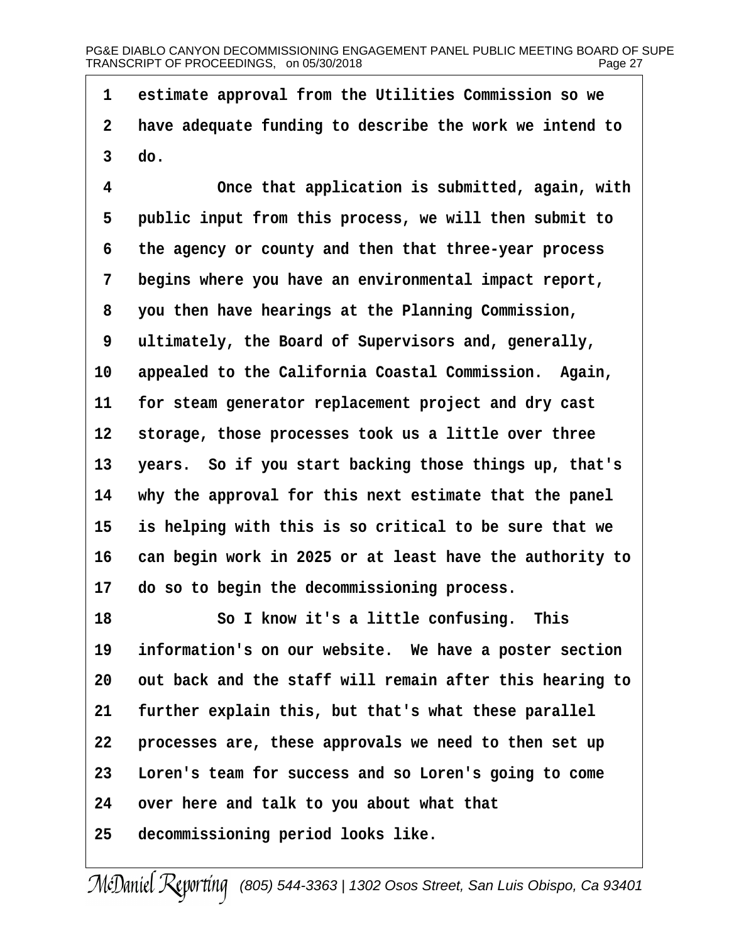1 estimate approval from the Utilities Commission so we 2 have adequate funding to describe the work we intend to 3 do. 4 Chice that application is submitted, again, with 5 public input from this process, we will then submit to ·6· ·the agency or county and then that three-year process 7 begins where you have an environmental impact report, 8 you then have hearings at the Planning Commission, 9 ultimately, the Board of Supervisors and, generally, 10 appealed to the California Coastal Commission. Again, 11 for steam generator replacement project and dry cast 12 storage, those processes took us a little over three 13 years. So if you start backing those things up, that's 14 why the approval for this next estimate that the panel 15· ·is helping with this is so critical to be sure that we 16 can begin work in 2025 or at least have the authority to 17 do so to begin the decommissioning process. 18 **· · · · So I know it's a little confusing.** This 19 information's on our website. We have a poster section 20 out back and the staff will remain after this hearing to 21 further explain this, but that's what these parallel 22 processes are, these approvals we need to then set up 23 Loren's team for success and so Loren's going to come 24 over here and talk to you about what that

25 decommissioning period looks like.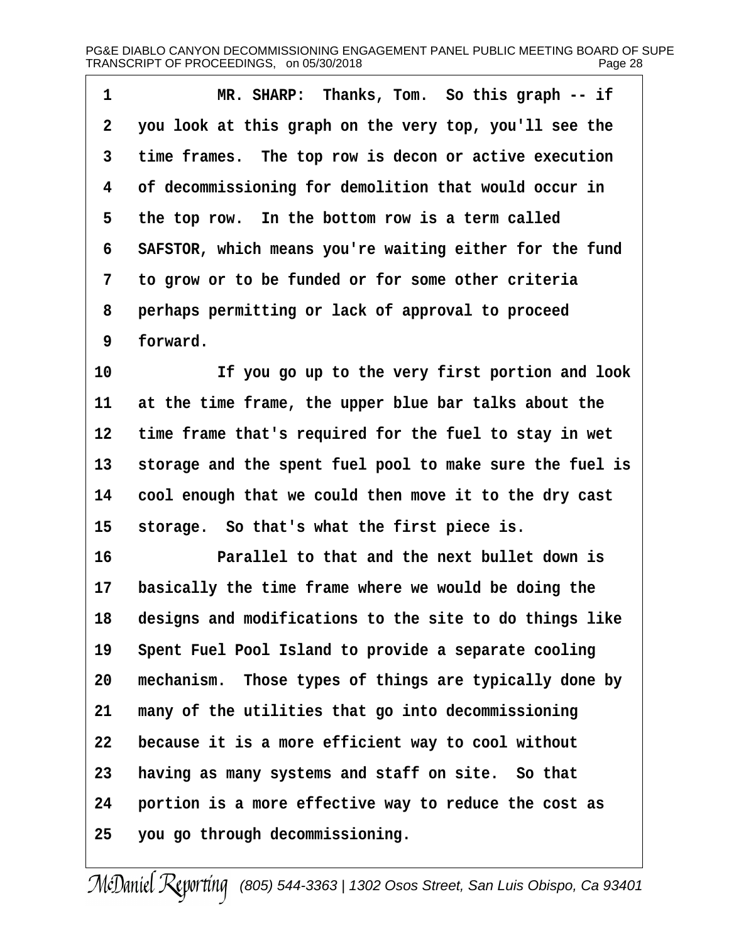| 1  | MR. SHARP: Thanks, Tom. So this graph -- if              |
|----|----------------------------------------------------------|
| 2  | you look at this graph on the very top, you'll see the   |
| 3  | time frames. The top row is decon or active execution    |
| 4  | of decommissioning for demolition that would occur in    |
| 5  | the top row. In the bottom row is a term called          |
| 6  | SAFSTOR, which means you're waiting either for the fund  |
| 7  | to grow or to be funded or for some other criteria       |
| 8  | perhaps permitting or lack of approval to proceed        |
| 9  | forward.                                                 |
| 10 | If you go up to the very first portion and look          |
| 11 | at the time frame, the upper blue bar talks about the    |
| 12 | time frame that's required for the fuel to stay in wet   |
| 13 | storage and the spent fuel pool to make sure the fuel is |
| 14 | cool enough that we could then move it to the dry cast   |
| 15 | storage. So that's what the first piece is.              |
| 16 | Parallel to that and the next bullet down is             |
| 17 | basically the time frame where we would be doing the     |
| 18 | designs and modifications to the site to do things like  |
| 19 | Spent Fuel Pool Island to provide a separate cooling     |
| 20 | mechanism. Those types of things are typically done by   |
| 21 | many of the utilities that go into decommissioning       |
| 22 | because it is a more efficient way to cool without       |
| 23 | having as many systems and staff on site. So that        |
| 24 | portion is a more effective way to reduce the cost as    |
| 25 | you go through decommissioning.                          |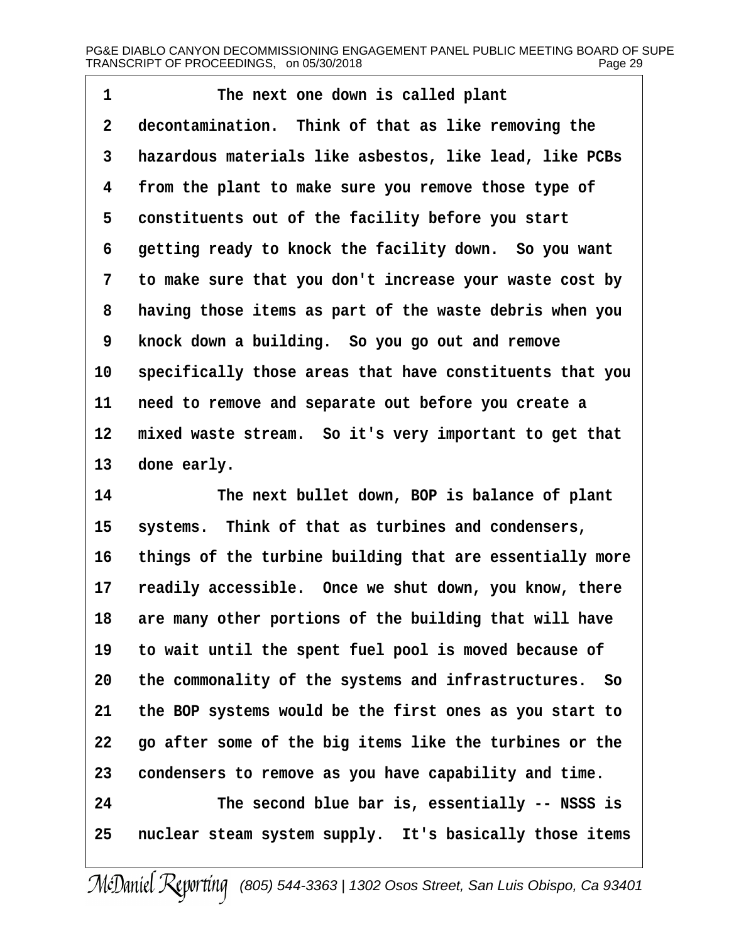1 The next one down is called plant 2 decontamination. Think of that as like removing the 3 hazardous materials like asbestos, like lead, like PCBs 4 from the plant to make sure you remove those type of 5 constituents out of the facility before you start 6 getting ready to knock the facility down. So you want 7 to make sure that you don't increase your waste cost by 8 having those items as part of the waste debris when you 9 knock down a building. So you go out and remove 10 specifically those areas that have constituents that you 11 need to remove and separate out before you create a 12 mixed waste stream. So it's very important to get that 13 done early. 14 The next bullet down, BOP is balance of plant 15 systems. Think of that as turbines and condensers, 16 things of the turbine building that are essentially more 17 readily accessible. Once we shut down, you know, there 18 are many other portions of the building that will have 19 to wait until the spent fuel pool is moved because of 20 the commonality of the systems and infrastructures. So 21 the BOP systems would be the first ones as you start to 22 go after some of the big items like the turbines or the 23 condensers to remove as you have capability and time. 24 The second blue bar is, essentially -- NSSS is 25 nuclear steam system supply. It's basically those items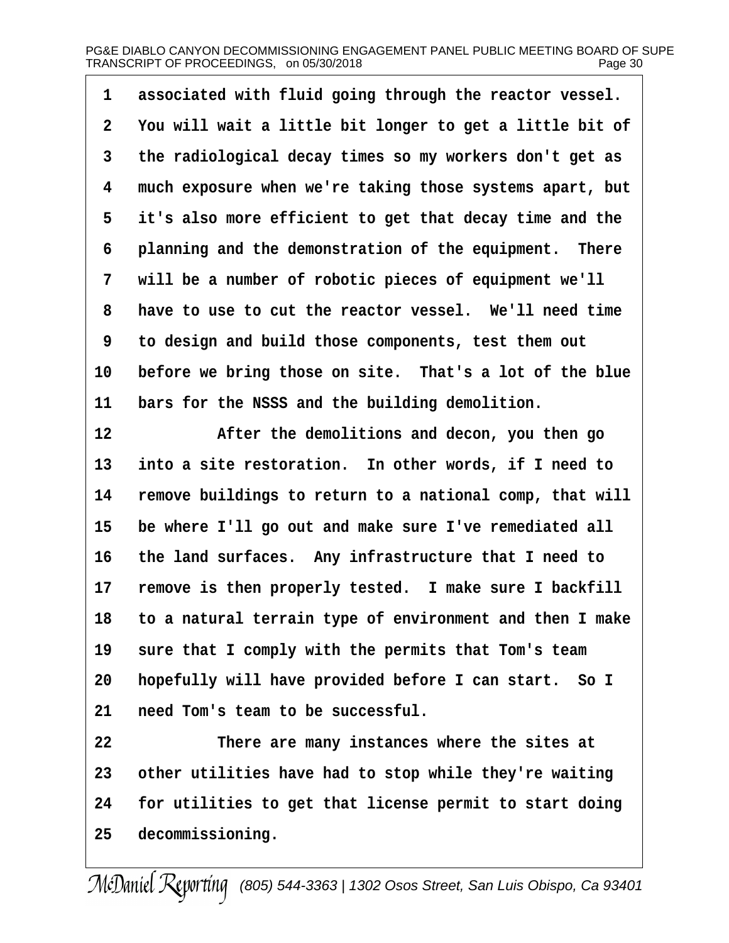1 associated with fluid going through the reactor vessel. 2 You will wait a little bit longer to get a little bit of 3 the radiological decay times so my workers don't get as 4 much exposure when we're taking those systems apart, but 5 it's also more efficient to get that decay time and the 6 planning and the demonstration of the equipment. There 7 will be a number of robotic pieces of equipment we'll 8 have to use to cut the reactor vessel. We'll need time ·9· ·to design and build those components, test them out 10 before we bring those on site. That's a lot of the blue 11 bars for the NSSS and the building demolition. 12 • After the demolitions and decon, you then go 13 into a site restoration. In other words, if I need to 14 remove buildings to return to a national comp, that will 15 be where I'll go out and make sure I've remediated all 16 the land surfaces. Any infrastructure that I need to 17 remove is then properly tested. I make sure I backfill 18· ·to a natural terrain type of environment and then I make 19 sure that I comply with the permits that Tom's team 20 hopefully will have provided before I can start. So I 21 need Tom's team to be successful. 22 There are many instances where the sites at 23 other utilities have had to stop while they're waiting 24 for utilities to get that license permit to start doing 25 decommissioning.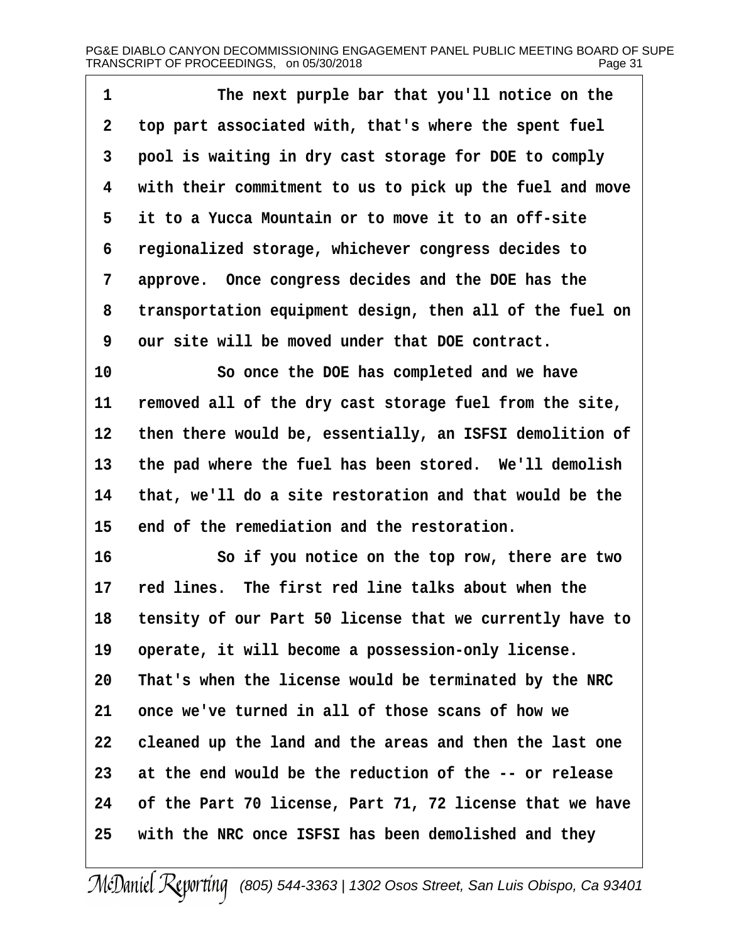| 1  | The next purple bar that you'll notice on the            |
|----|----------------------------------------------------------|
| 2  | top part associated with, that's where the spent fuel    |
| 3  | pool is waiting in dry cast storage for DOE to comply    |
| 4  | with their commitment to us to pick up the fuel and move |
| 5  | it to a Yucca Mountain or to move it to an off-site      |
| 6  | regionalized storage, whichever congress decides to      |
| 7  | approve. Once congress decides and the DOE has the       |
| 8  | transportation equipment design, then all of the fuel on |
| 9  | our site will be moved under that DOE contract.          |
| 10 | So once the DOE has completed and we have                |
| 11 | removed all of the dry cast storage fuel from the site,  |
| 12 | then there would be, essentially, an ISFSI demolition of |
| 13 | the pad where the fuel has been stored. We'll demolish   |
| 14 | that, we'll do a site restoration and that would be the  |
| 15 | end of the remediation and the restoration.              |
| 16 | So if you notice on the top row, there are two           |
| 17 | red lines. The first red line talks about when the       |
| 18 | tensity of our Part 50 license that we currently have to |
| 19 | operate, it will become a possession-only license.       |
| 20 | That's when the license would be terminated by the NRC   |
| 21 | once we've turned in all of those scans of how we        |
| 22 | cleaned up the land and the areas and then the last one  |
| 23 | at the end would be the reduction of the -- or release   |
| 24 | of the Part 70 license, Part 71, 72 license that we have |
| 25 | with the NRC once ISFSI has been demolished and they     |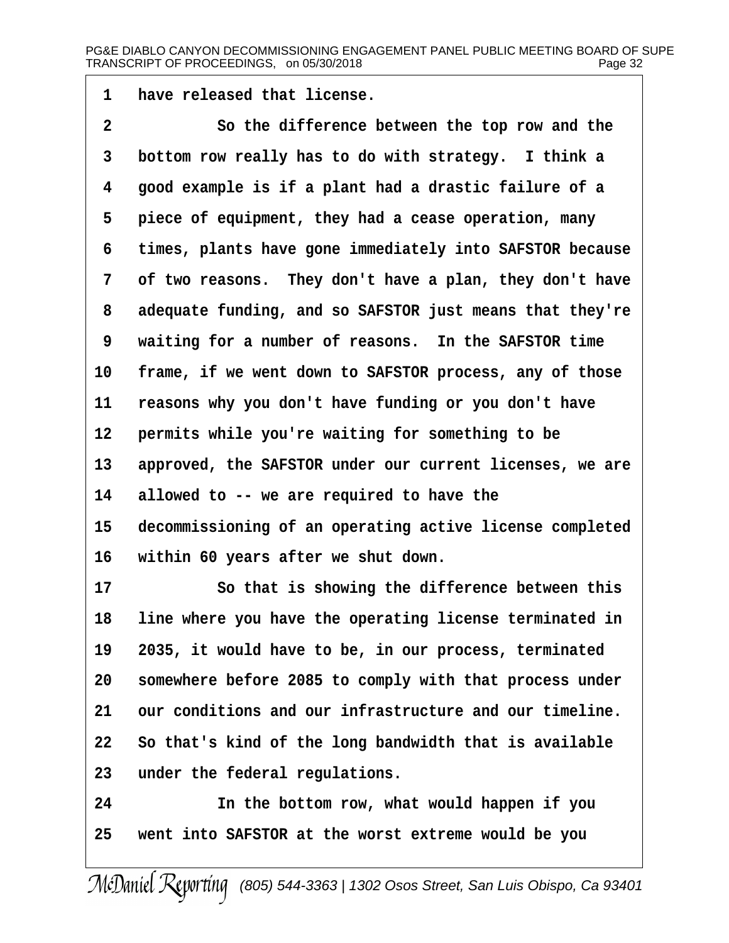1 have released that license.

| $\overline{2}$  | So the difference between the top row and the             |
|-----------------|-----------------------------------------------------------|
| 3               | bottom row really has to do with strategy. I think a      |
| 4               | good example is if a plant had a drastic failure of a     |
| 5               | piece of equipment, they had a cease operation, many      |
| 6               | times, plants have gone immediately into SAFSTOR because  |
| 7               | of two reasons. They don't have a plan, they don't have   |
| 8               | adequate funding, and so SAFSTOR just means that they're  |
| 9               | waiting for a number of reasons. In the SAFSTOR time      |
| 10 <sup>°</sup> | frame, if we went down to SAFSTOR process, any of those   |
| 11              | reasons why you don't have funding or you don't have      |
| 12 <sup>°</sup> | permits while you're waiting for something to be          |
| 13 <sup>°</sup> | approved, the SAFSTOR under our current licenses, we are  |
| 14              | allowed to -- we are required to have the                 |
| $15\,$          | decommissioning of an operating active license completed  |
| 16              | within 60 years after we shut down.                       |
| 17              | So that is showing the difference between this            |
| 18              | line where you have the operating license terminated in   |
|                 | 19 2035, it would have to be, in our process, terminated  |
| 20              | somewhere before 2085 to comply with that process under   |
| 21              | our conditions and our infrastructure and our timeline.   |
|                 | 22 So that's kind of the long bandwidth that is available |
| 23              | under the federal regulations.                            |
| 24              | In the bottom row, what would happen if you               |
| 25              | went into SAFSTOR at the worst extreme would be you       |
|                 |                                                           |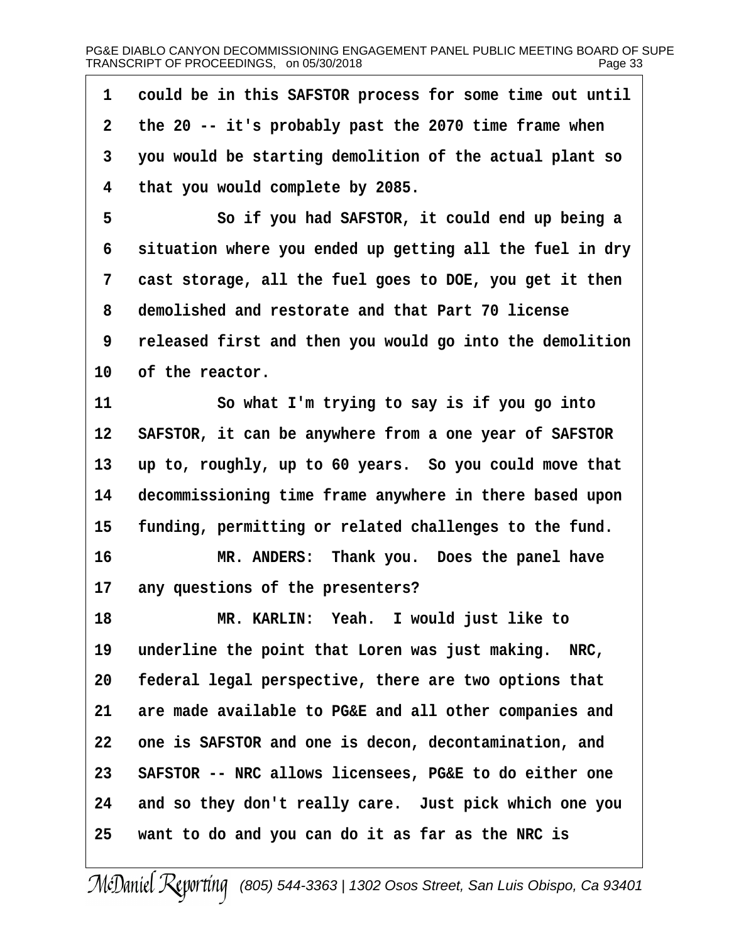| 1  | could be in this SAFSTOR process for some time out until  |
|----|-----------------------------------------------------------|
| 2  | the 20 -- it's probably past the 2070 time frame when     |
| 3  | you would be starting demolition of the actual plant so   |
| 4  | that you would complete by 2085.                          |
| 5  | So if you had SAFSTOR, it could end up being a            |
| 6  | situation where you ended up getting all the fuel in dry  |
| 7  | cast storage, all the fuel goes to DOE, you get it then   |
| 8  | demolished and restorate and that Part 70 license         |
| 9  | released first and then you would go into the demolition  |
| 10 | of the reactor.                                           |
| 11 | So what I'm trying to say is if you go into               |
|    | 12 SAFSTOR, it can be anywhere from a one year of SAFSTOR |
| 13 | up to, roughly, up to 60 years. So you could move that    |
| 14 | decommissioning time frame anywhere in there based upon   |
| 15 | funding, permitting or related challenges to the fund.    |
| 16 | MR. ANDERS: Thank you. Does the panel have                |
| 17 | any questions of the presenters?                          |
| 18 | MR. KARLIN: Yeah. I would just like to                    |
| 19 | underline the point that Loren was just making. NRC,      |
| 20 | federal legal perspective, there are two options that     |
| 21 | are made available to PG&E and all other companies and    |
| 22 | one is SAFSTOR and one is decon, decontamination, and     |
| 23 | SAFSTOR -- NRC allows licensees, PG&E to do either one    |
| 24 | and so they don't really care. Just pick which one you    |
| 25 | want to do and you can do it as far as the NRC is         |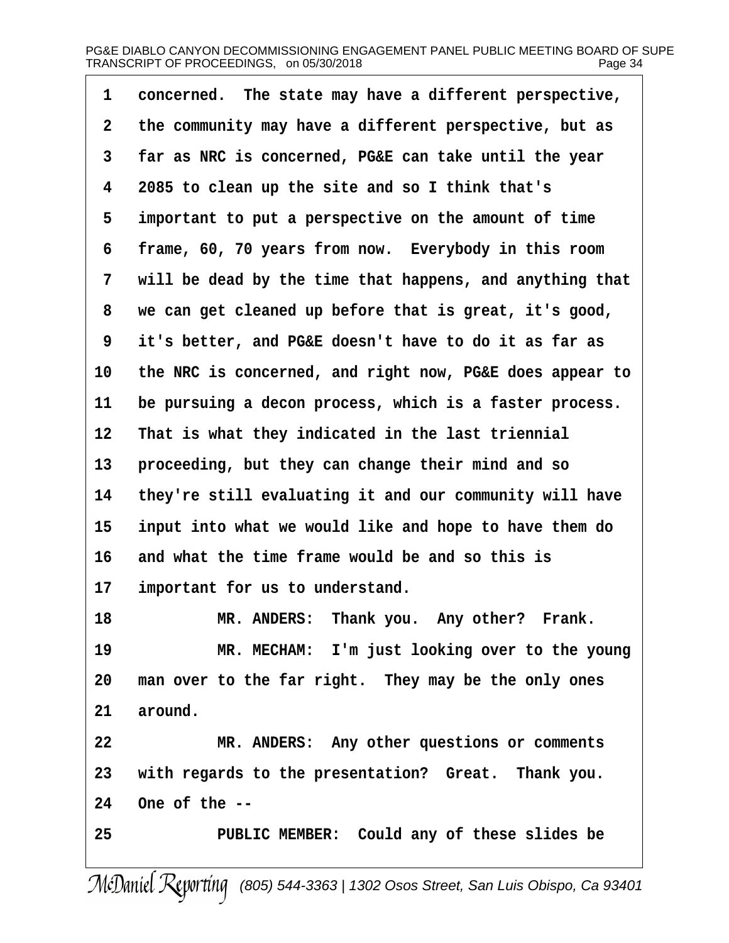| 1  | concerned. The state may have a different perspective,   |
|----|----------------------------------------------------------|
| 2  | the community may have a different perspective, but as   |
| 3  | far as NRC is concerned, PG&E can take until the year    |
| 4  | 2085 to clean up the site and so I think that's          |
| 5  | important to put a perspective on the amount of time     |
| 6  | frame, 60, 70 years from now. Everybody in this room     |
| 7  | will be dead by the time that happens, and anything that |
| 8  | we can get cleaned up before that is great, it's good,   |
| 9  | it's better, and PG&E doesn't have to do it as far as    |
| 10 | the NRC is concerned, and right now, PG&E does appear to |
| 11 | be pursuing a decon process, which is a faster process.  |
| 12 | That is what they indicated in the last triennial        |
| 13 | proceeding, but they can change their mind and so        |
| 14 | they're still evaluating it and our community will have  |
| 15 | input into what we would like and hope to have them do   |
| 16 | and what the time frame would be and so this is          |
| 17 | important for us to understand.                          |
| 18 | MR. ANDERS: Thank you. Any other? Frank.                 |
| 19 | MR. MECHAM: I'm just looking over to the young           |
| 20 | man over to the far right. They may be the only ones     |
| 21 | around.                                                  |
| 22 | MR. ANDERS: Any other questions or comments              |
| 23 | with regards to the presentation? Great. Thank you.      |
| 24 | One of the --                                            |
| 25 | PUBLIC MEMBER: Could any of these slides be              |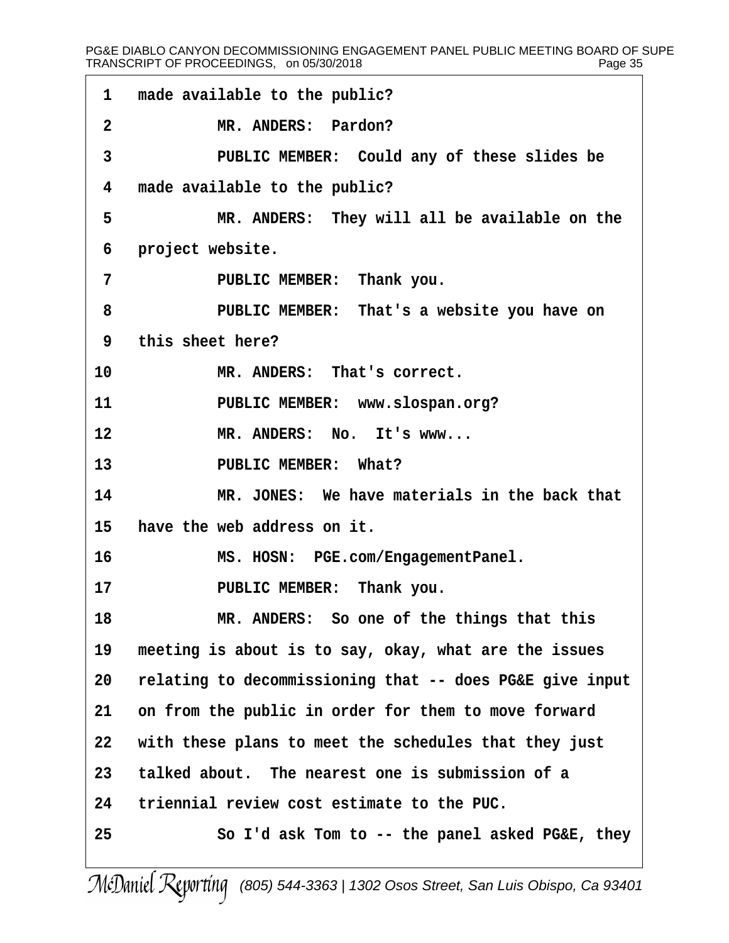#### PG&E DIABLO CANYON DECOMMISSIONING ENGAGEMENT PANEL PUBLIC MEETING BOARD OF SUPE TRANSCRIPT OF PROCEEDINGS, on 05/30/2018 Page 35

| 1                 | made available to the public?                            |
|-------------------|----------------------------------------------------------|
| 2                 | MR. ANDERS: Pardon?                                      |
| 3                 | PUBLIC MEMBER: Could any of these slides be              |
| 4                 | made available to the public?                            |
| 5                 | MR. ANDERS: They will all be available on the            |
| 6                 | project website.                                         |
| 7                 | PUBLIC MEMBER: Thank you.                                |
| 8                 | PUBLIC MEMBER: That's a website you have on              |
| 9                 | this sheet here?                                         |
| 10                | MR. ANDERS: That's correct.                              |
| 11                | PUBLIC MEMBER: www.slospan.org?                          |
| $12 \overline{ }$ | MR. ANDERS: No. It's www                                 |
| 13                | PUBLIC MEMBER: What?                                     |
| 14                | MR. JONES: We have materials in the back that            |
| 15                | have the web address on it.                              |
| 16                | MS. HOSN: PGE.com/EngagementPanel.                       |
| 17                | PUBLIC MEMBER: Thank you.                                |
| 18                | MR. ANDERS: So one of the things that this               |
| 19                | meeting is about is to say, okay, what are the issues    |
| 20                | relating to decommissioning that -- does PG&E give input |
| 21                | on from the public in order for them to move forward     |
| 22                | with these plans to meet the schedules that they just    |
| 23                | talked about. The nearest one is submission of a         |
| 24                | triennial review cost estimate to the PUC.               |
| 25                | So I'd ask Tom to -- the panel asked PG&E, they          |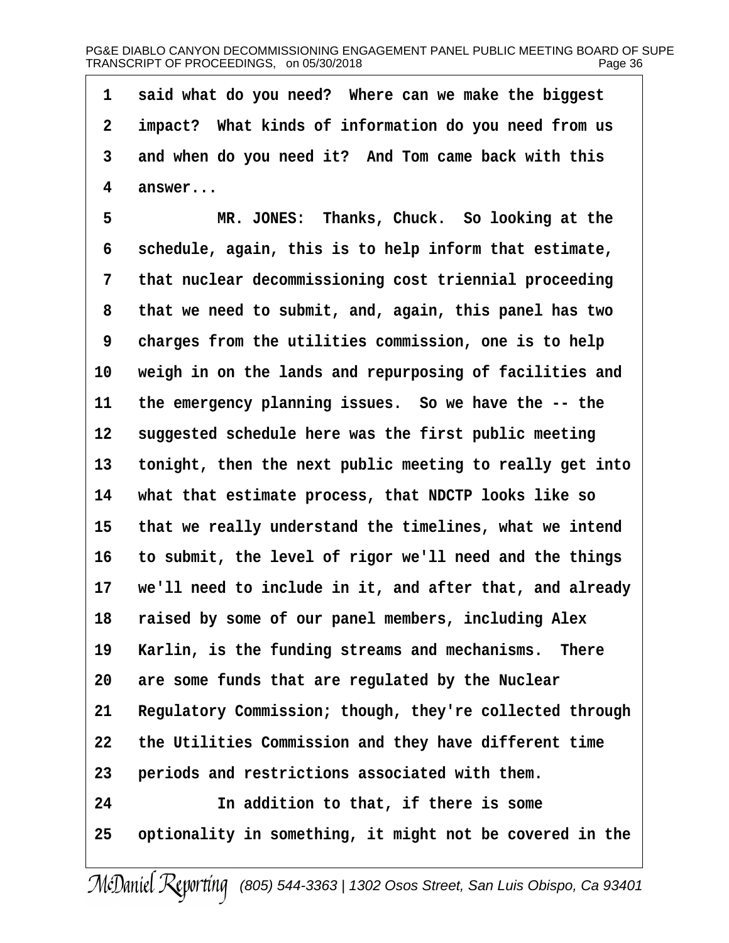1 said what do you need? Where can we make the biggest 2 impact? What kinds of information do you need from us 3 and when do you need it? And Tom came back with this 4 answer...

5 MR. JONES: Thanks, Chuck. So looking at the 6 schedule, again, this is to help inform that estimate, 7 that nuclear decommissioning cost triennial proceeding 8 that we need to submit, and, again, this panel has two 9 charges from the utilities commission, one is to help 10 weigh in on the lands and repurposing of facilities and 11 the emergency planning issues. So we have the -- the 12 suggested schedule here was the first public meeting 13 tonight, then the next public meeting to really get into 14 what that estimate process, that NDCTP looks like so 15 that we really understand the timelines, what we intend 16 to submit, the level of rigor we'll need and the things 17 we'll need to include in it, and after that, and already 18 raised by some of our panel members, including Alex 19 Karlin, is the funding streams and mechanisms. There 20 are some funds that are regulated by the Nuclear 21 Regulatory Commission; though, they're collected through 22 the Utilities Commission and they have different time 23 periods and restrictions associated with them. 24 **In addition to that, if there is some** 25 optionality in something, it might not be covered in the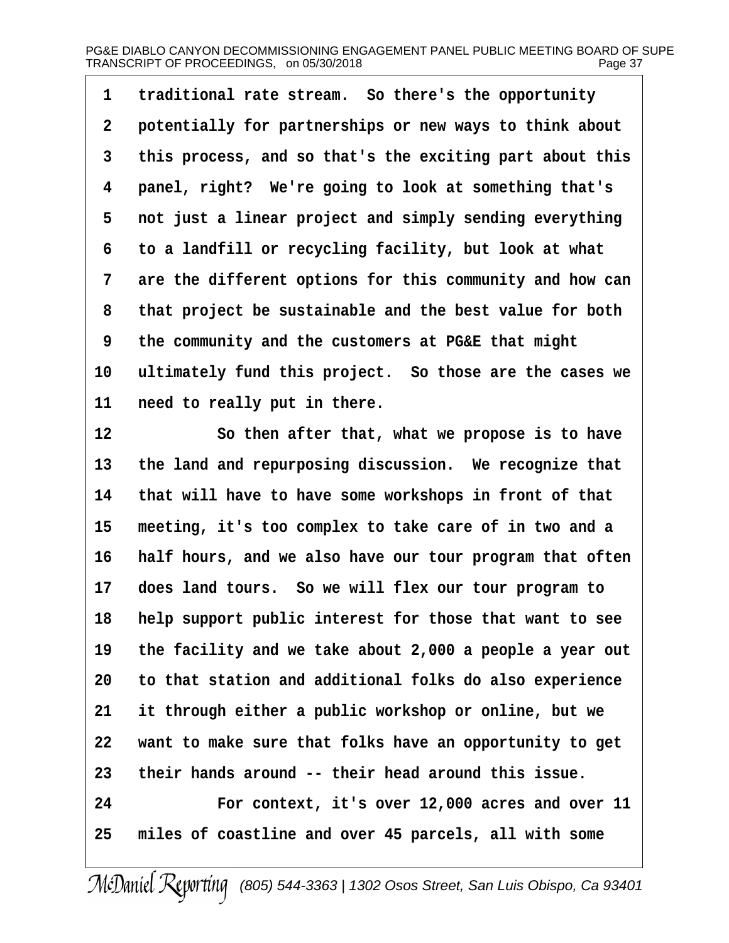1 traditional rate stream. So there's the opportunity 2 potentially for partnerships or new ways to think about 3 this process, and so that's the exciting part about this 4 panel, right? We're going to look at something that's 5 not just a linear project and simply sending everything 6 to a landfill or recycling facility, but look at what 7 are the different options for this community and how can 8 that project be sustainable and the best value for both ·9· ·the community and the customers at PG&E that might 10 ultimately fund this project. So those are the cases we 11 need to really put in there. 12 So then after that, what we propose is to have 13 the land and repurposing discussion. We recognize that 14 that will have to have some workshops in front of that 15 meeting, it's too complex to take care of in two and a 16 half hours, and we also have our tour program that often 17 does land tours. So we will flex our tour program to 18 help support public interest for those that want to see 19 the facility and we take about 2,000 a people a year out

20 to that station and additional folks do also experience

21 it through either a public workshop or online, but we

22 want to make sure that folks have an opportunity to get

23 their hands around -- their head around this issue.

24 For context, it's over 12,000 acres and over 11

25 miles of coastline and over 45 parcels, all with some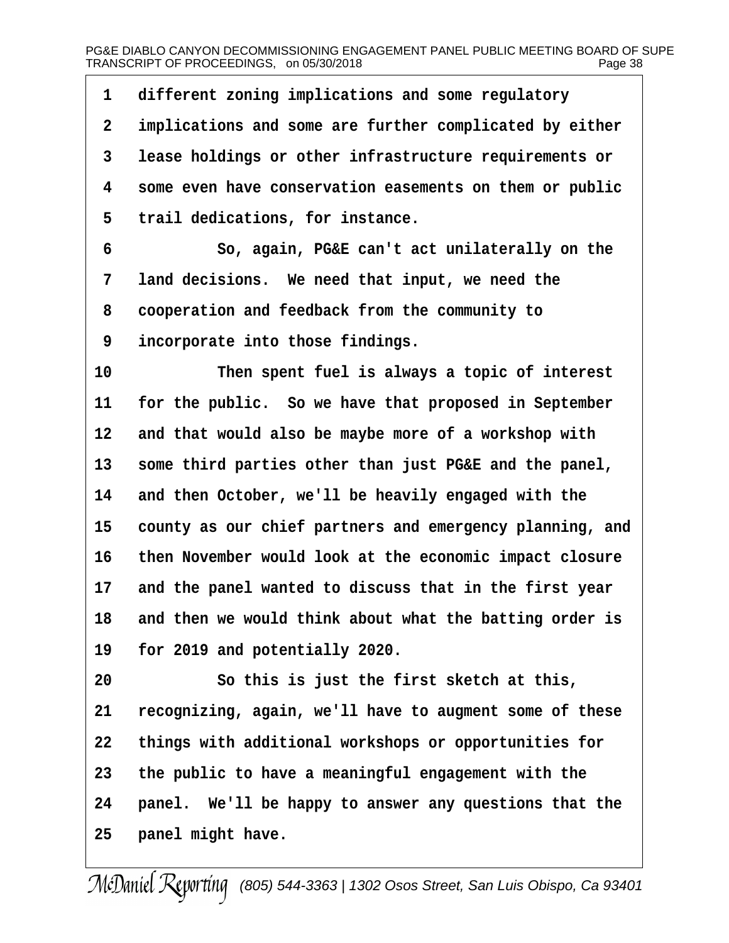| 1  | different zoning implications and some regulatory        |
|----|----------------------------------------------------------|
| 2  | implications and some are further complicated by either  |
| 3  | lease holdings or other infrastructure requirements or   |
| 4  | some even have conservation easements on them or public  |
| 5  | trail dedications, for instance.                         |
| 6  | So, again, PG&E can't act unilaterally on the            |
| 7  | land decisions. We need that input, we need the          |
| 8  | cooperation and feedback from the community to           |
| 9  | incorporate into those findings.                         |
| 10 | Then spent fuel is always a topic of interest            |
| 11 | for the public. So we have that proposed in September    |
| 12 | and that would also be maybe more of a workshop with     |
| 13 | some third parties other than just PG&E and the panel,   |
| 14 | and then October, we'll be heavily engaged with the      |
| 15 | county as our chief partners and emergency planning, and |
| 16 | then November would look at the economic impact closure  |
| 17 | and the panel wanted to discuss that in the first year   |
| 18 | and then we would think about what the batting order is  |
| 19 | for 2019 and potentially 2020.                           |
| 20 | So this is just the first sketch at this,                |
| 21 | recognizing, again, we'll have to augment some of these  |
| 22 | things with additional workshops or opportunities for    |
| 23 | the public to have a meaningful engagement with the      |
| 24 | panel. We'll be happy to answer any questions that the   |
| 25 | panel might have.                                        |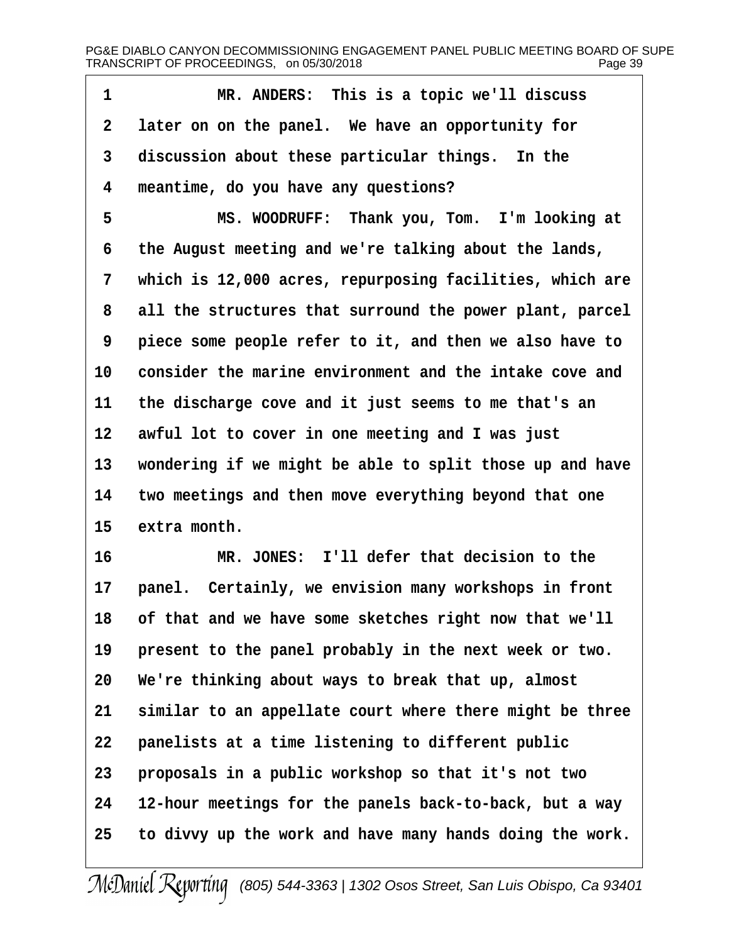| 1  | MR. ANDERS: This is a topic we'll discuss                 |
|----|-----------------------------------------------------------|
| 2  | later on on the panel. We have an opportunity for         |
| 3  | discussion about these particular things. In the          |
| 4  | meantime, do you have any questions?                      |
| 5  | MS. WOODRUFF: Thank you, Tom. I'm looking at              |
| 6  | the August meeting and we're talking about the lands,     |
| 7  | which is 12,000 acres, repurposing facilities, which are  |
| 8  | all the structures that surround the power plant, parcel  |
| 9  | piece some people refer to it, and then we also have to   |
| 10 | consider the marine environment and the intake cove and   |
| 11 | the discharge cove and it just seems to me that's an      |
| 12 | awful lot to cover in one meeting and I was just          |
| 13 | wondering if we might be able to split those up and have  |
| 14 | two meetings and then move everything beyond that one     |
| 15 | extra month.                                              |
| 16 | MR. JONES: I'll defer that decision to the                |
| 17 | panel. Certainly, we envision many workshops in front     |
|    | 18 of that and we have some sketches right now that we'll |
| 19 | present to the panel probably in the next week or two.    |
| 20 | We're thinking about ways to break that up, almost        |
| 21 | similar to an appellate court where there might be three  |
| 22 | panelists at a time listening to different public         |
| 23 | proposals in a public workshop so that it's not two       |
| 24 | 12-hour meetings for the panels back-to-back, but a way   |
| 25 | to divvy up the work and have many hands doing the work.  |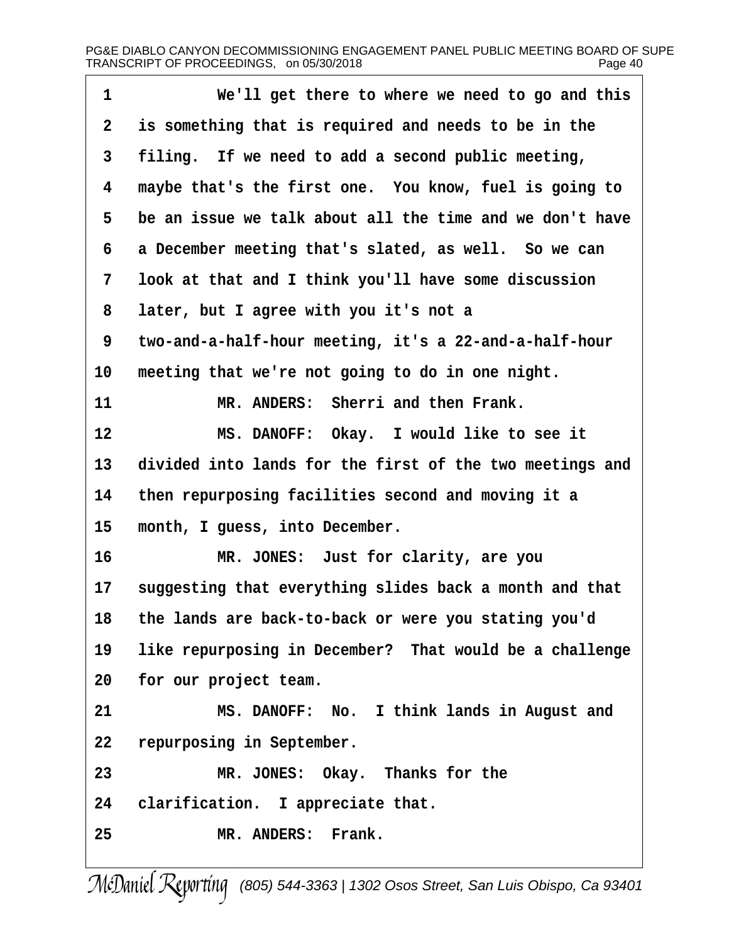| 1              | We'll get there to where we need to go and this          |
|----------------|----------------------------------------------------------|
| $\overline{2}$ | is something that is required and needs to be in the     |
| 3              | filing. If we need to add a second public meeting,       |
| 4              | maybe that's the first one. You know, fuel is going to   |
| 5              | be an issue we talk about all the time and we don't have |
| 6              | a December meeting that's slated, as well. So we can     |
| 7              | look at that and I think you'll have some discussion     |
| 8              | later, but I agree with you it's not a                   |
| 9              | two-and-a-half-hour meeting, it's a 22-and-a-half-hour   |
| 10             | meeting that we're not going to do in one night.         |
| 11             | MR. ANDERS: Sherri and then Frank.                       |
| 12             | MS. DANOFF: Okay. I would like to see it                 |
| 13             | divided into lands for the first of the two meetings and |
| 14             | then repurposing facilities second and moving it a       |
| 15             | month, I guess, into December.                           |
| 16             | MR. JONES: Just for clarity, are you                     |
| 17             | suggesting that everything slides back a month and that  |
| 18             | the lands are back-to-back or were you stating you'd     |
| 19             | like repurposing in December? That would be a challenge  |
| 20             | for our project team.                                    |
| 21             | MS. DANOFF: No. I think lands in August and              |
| 22             | repurposing in September.                                |
| 23             | MR. JONES: Okay. Thanks for the                          |
| 24             | clarification. I appreciate that.                        |
| 25             | MR. ANDERS: Frank.                                       |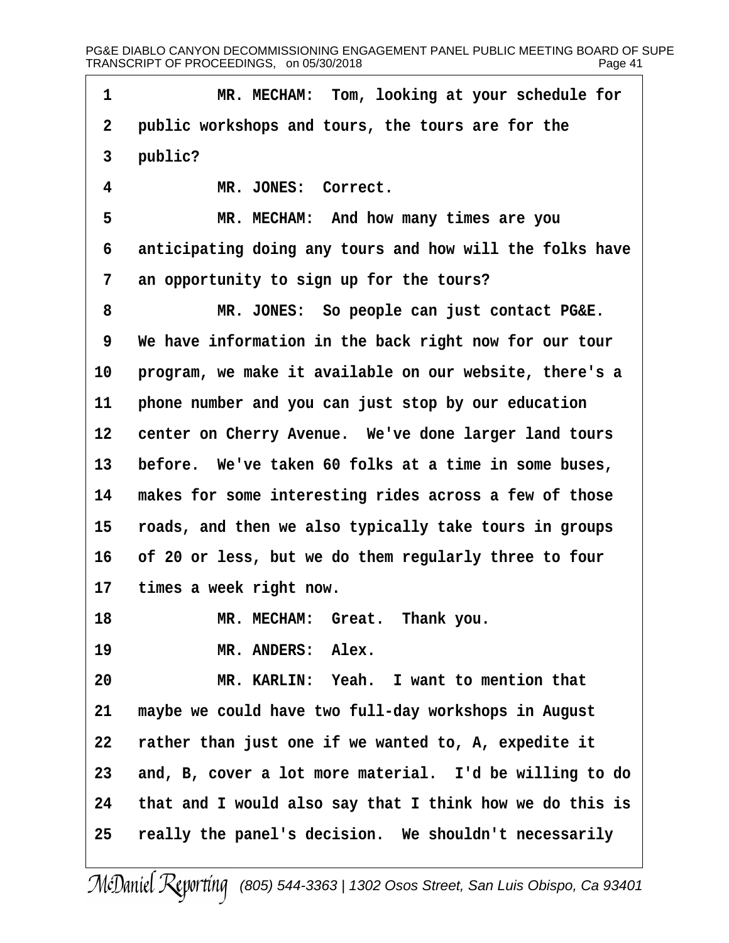1 MR. MECHAM: Tom, looking at your schedule for 2 public workshops and tours, the tours are for the 3 public? 4 MR. JONES: Correct. 5 MR. MECHAM: And how many times are you 6 anticipating doing any tours and how will the folks have 7 an opportunity to sign up for the tours? 8 MR. JONES: So people can just contact PG&E. 9 We have information in the back right now for our tour 10 program, we make it available on our website, there's a 11 phone number and you can just stop by our education 12 center on Cherry Avenue. We've done larger land tours 13 before. We've taken 60 folks at a time in some buses, 14 makes for some interesting rides across a few of those 15 roads, and then we also typically take tours in groups 16 of 20 or less, but we do them regularly three to four 17 times a week right now. 18 MR. MECHAM: Great. Thank you. 19 MR. ANDERS: Alex. 20 MR. KARLIN: Yeah. I want to mention that 21 maybe we could have two full-day workshops in August 22 rather than just one if we wanted to, A, expedite it 23 and, B, cover a lot more material. I'd be willing to do 24 that and I would also say that I think how we do this is 25 really the panel's decision. We shouldn't necessarily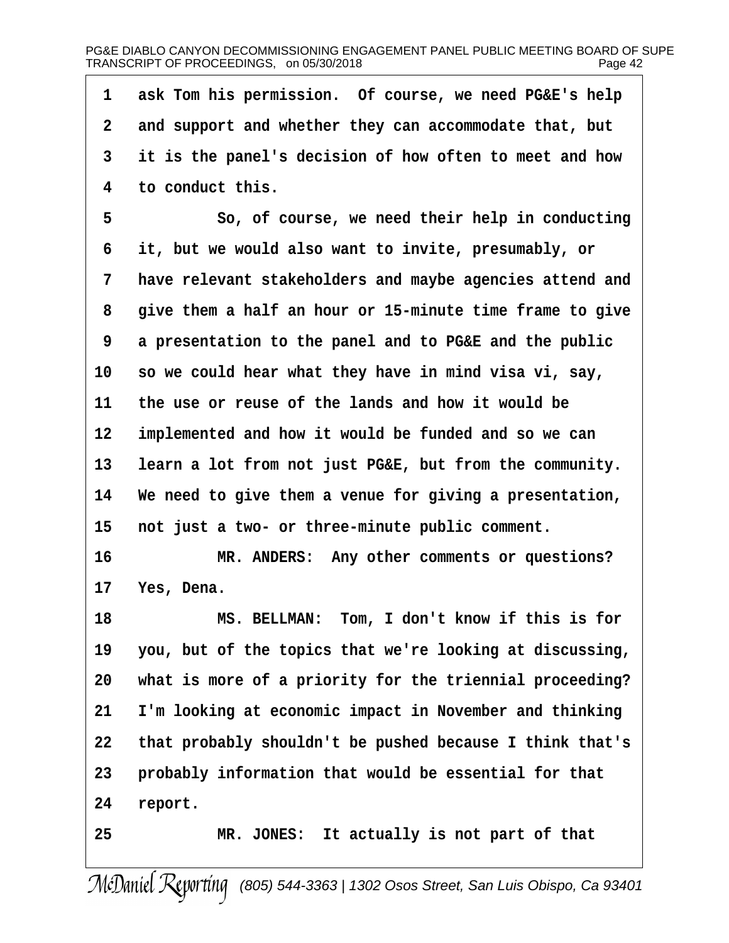| 1  | ask Tom his permission. Of course, we need PG&E's help   |
|----|----------------------------------------------------------|
| 2  | and support and whether they can accommodate that, but   |
| 3  | it is the panel's decision of how often to meet and how  |
| 4  | to conduct this.                                         |
| 5  | So, of course, we need their help in conducting          |
| 6  | it, but we would also want to invite, presumably, or     |
| 7  | have relevant stakeholders and maybe agencies attend and |
| 8  | give them a half an hour or 15-minute time frame to give |
| 9  | a presentation to the panel and to PG&E and the public   |
| 10 | so we could hear what they have in mind visa vi, say,    |
| 11 | the use or reuse of the lands and how it would be        |
| 12 | implemented and how it would be funded and so we can     |
| 13 | learn a lot from not just PG&E, but from the community.  |
| 14 | We need to give them a venue for giving a presentation,  |
| 15 | not just a two- or three-minute public comment.          |
| 16 | MR. ANDERS: Any other comments or questions?             |
| 17 | Yes, Dena.                                               |
| 18 | MS. BELLMAN: Tom, I don't know if this is for            |
| 19 | you, but of the topics that we're looking at discussing, |
| 20 | what is more of a priority for the triennial proceeding? |
| 21 | I'm looking at economic impact in November and thinking  |
| 22 | that probably shouldn't be pushed because I think that's |
| 23 | probably information that would be essential for that    |
| 24 | report.                                                  |
| 25 | MR. JONES: It actually is not part of that               |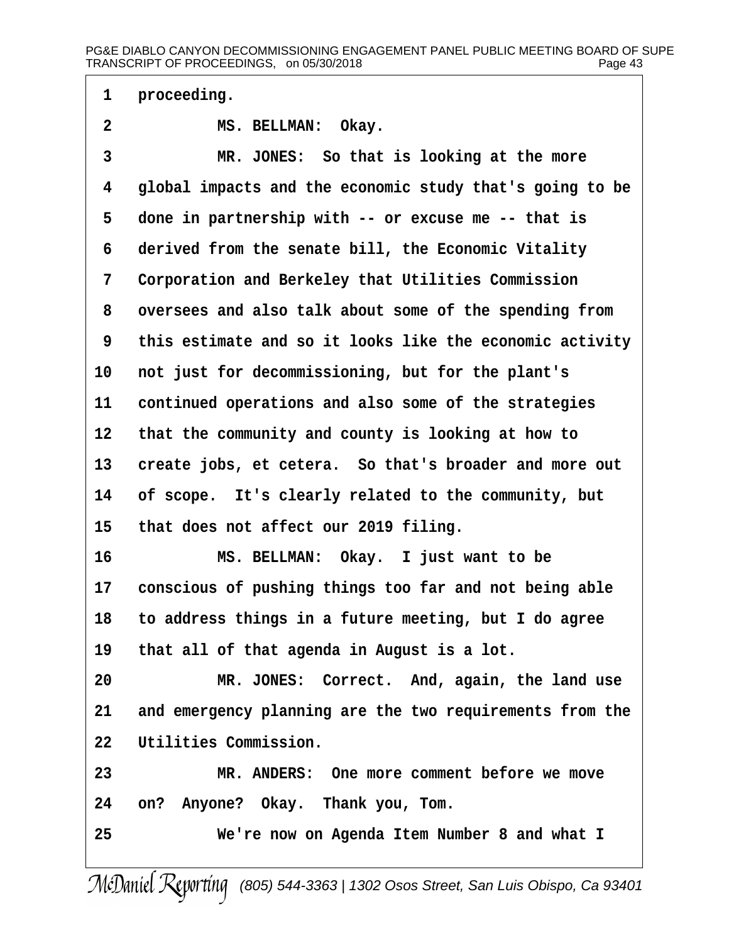1 proceeding.

- 2 MS. BELLMAN: Okay.
- 3 MR. JONES: So that is looking at the more
- 4 global impacts and the economic study that's going to be
- 5 done in partnership with -- or excuse me -- that is
- 6 derived from the senate bill, the Economic Vitality
- 7 Corporation and Berkeley that Utilities Commission
- 8 oversees and also talk about some of the spending from
- ·9· ·this estimate and so it looks like the economic activity
- 10 not just for decommissioning, but for the plant's
- 11 continued operations and also some of the strategies
- 12 that the community and county is looking at how to
- 13 create jobs, et cetera. So that's broader and more out
- 14 of scope. It's clearly related to the community, but
- 15 that does not affect our 2019 filing.
- 16 MS. BELLMAN: Okay. I just want to be
- 17 conscious of pushing things too far and not being able
- 18· ·to address things in a future meeting, but I do agree
- 19 that all of that agenda in August is a lot.
- 20 MR. JONES: Correct. And, again, the land use
- 21 and emergency planning are the two requirements from the
- 22 Utilities Commission.
- 23 MR. ANDERS: One more comment before we move
- 24 on? Anyone? Okay. Thank you, Tom.
- 25 We're now on Agenda Item Number 8 and what I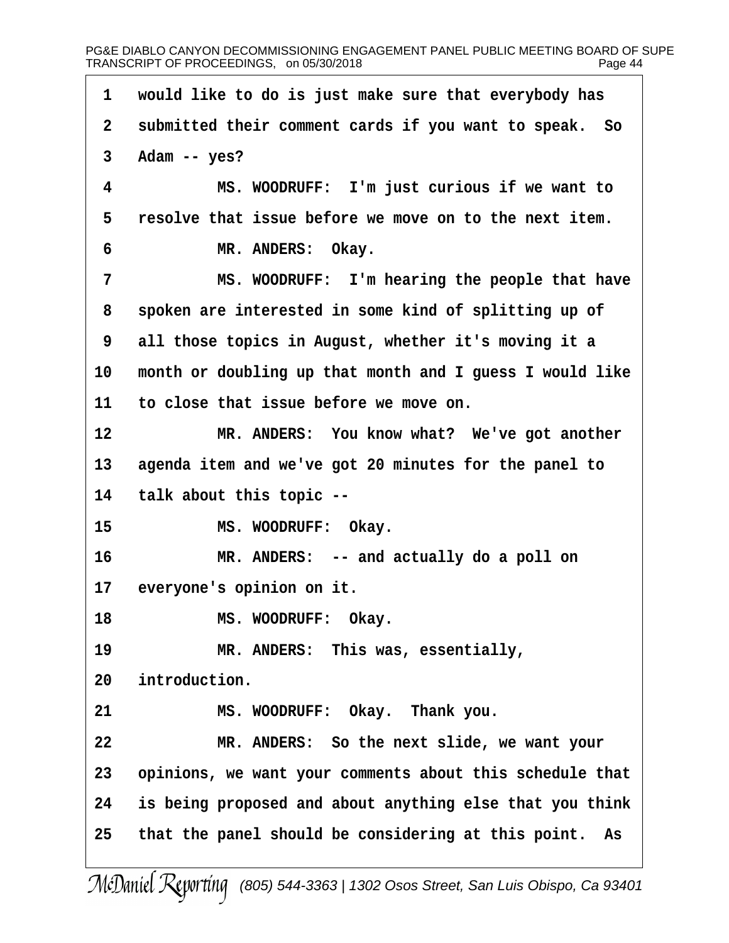1 would like to do is just make sure that everybody has 2 submitted their comment cards if you want to speak. So  $3$  Adam -- yes? 4 MS. WOODRUFF: I'm just curious if we want to 5 resolve that issue before we move on to the next item. 6 MR. ANDERS: Okay. 7 MS. WOODRUFF: I'm hearing the people that have 8 spoken are interested in some kind of splitting up of 9 all those topics in August, whether it's moving it a 10 month or doubling up that month and I guess I would like 11 to close that issue before we move on. 12 MR. ANDERS: You know what? We've got another 13 agenda item and we've got 20 minutes for the panel to 14 talk about this topic --15 MS. WOODRUFF: Okay. 16 MR. ANDERS: -- and actually do a poll on 17 everyone's opinion on it. 18 MS. WOODRUFF: Okay. 19 MR. ANDERS: This was, essentially, 20 introduction. 21 MS. WOODRUFF: Okay. Thank you. 22 MR. ANDERS: So the next slide, we want your 23 opinions, we want your comments about this schedule that 24 is being proposed and about anything else that you think 25 that the panel should be considering at this point. As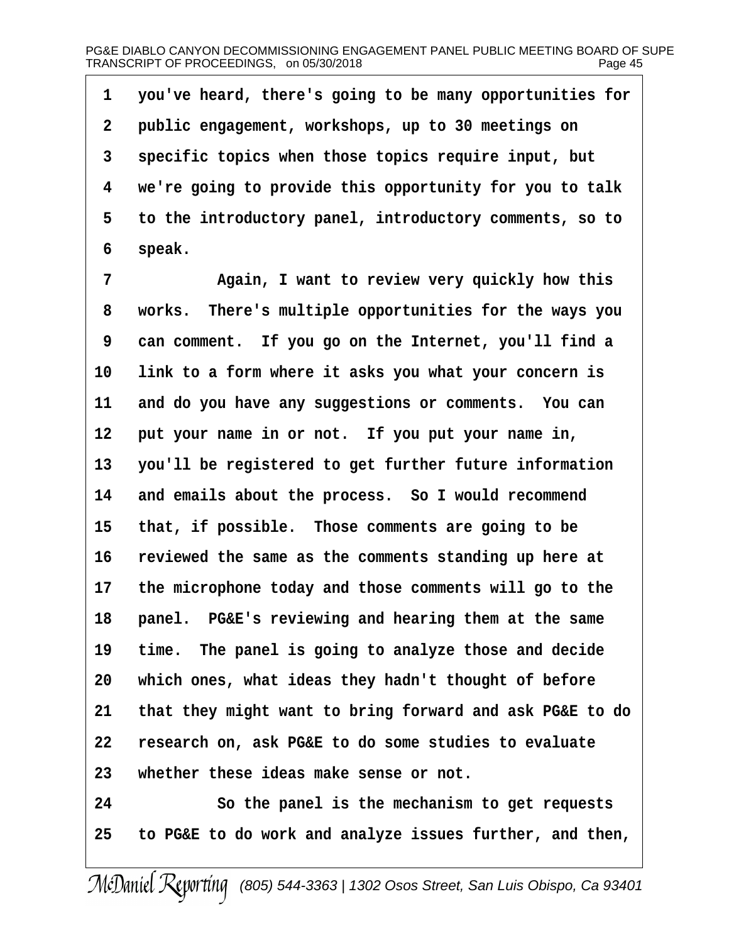·1· ·you've heard, there's going to be many opportunities for 2 public engagement, workshops, up to 30 meetings on 3 specific topics when those topics require input, but 4 we're going to provide this opportunity for you to talk 5 to the introductory panel, introductory comments, so to 6 speak. 7 • Again, I want to review very quickly how this 8 works. There's multiple opportunities for the ways you

9 can comment. If you go on the Internet, you'll find a 10 link to a form where it asks you what your concern is

11 and do you have any suggestions or comments. You can

12 put your name in or not. If you put your name in,

13 you'll be registered to get further future information

14 and emails about the process. So I would recommend

15 that, if possible. Those comments are going to be

16 reviewed the same as the comments standing up here at

17 the microphone today and those comments will go to the

18 panel. PG&E's reviewing and hearing them at the same

19 time. The panel is going to analyze those and decide

20 which ones, what ideas they hadn't thought of before

21 that they might want to bring forward and ask PG&E to do

22 research on, ask PG&E to do some studies to evaluate

23 whether these ideas make sense or not.

24 **· · · · So the panel is the mechanism to get requests** 

25· ·to PG&E to do work and analyze issues further, and then,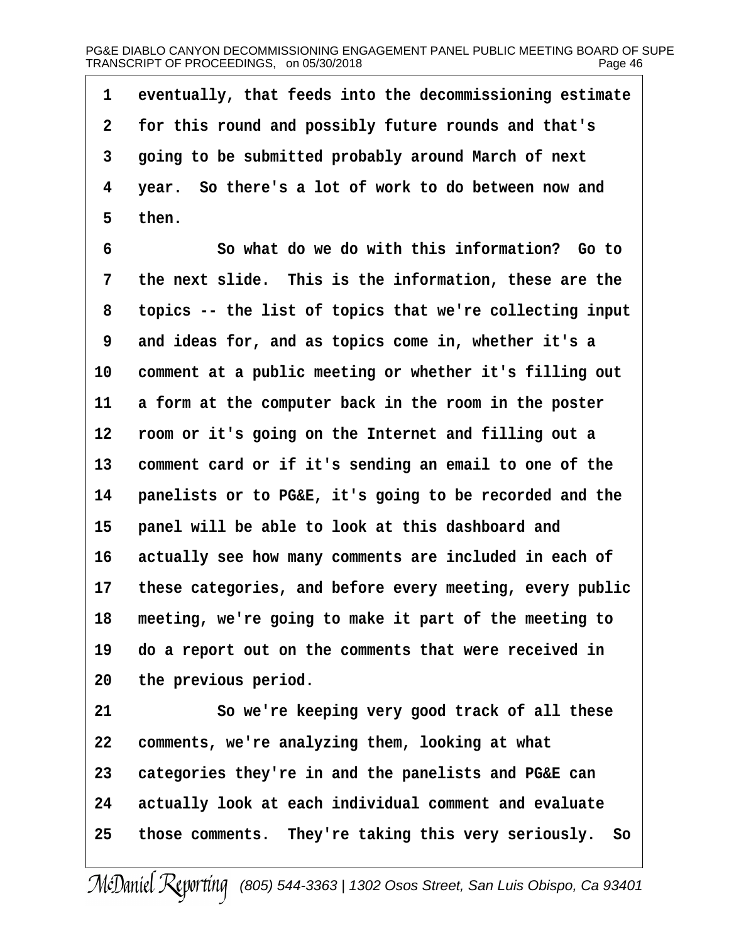1 eventually, that feeds into the decommissioning estimate 2 for this round and possibly future rounds and that's 3 going to be submitted probably around March of next 4 year. So there's a lot of work to do between now and 5 then. 6 **· · · · So what do we do with this information?** Go to 7 the next slide. This is the information, these are the 8 topics -- the list of topics that we're collecting input 9 and ideas for, and as topics come in, whether it's a 10 comment at a public meeting or whether it's filling out 11 a form at the computer back in the room in the poster 12 room or it's going on the Internet and filling out a 13 comment card or if it's sending an email to one of the 14 panelists or to PG&E, it's going to be recorded and the 15 panel will be able to look at this dashboard and 16 actually see how many comments are included in each of 17 these categories, and before every meeting, every public 18 meeting, we're going to make it part of the meeting to 19 do a report out on the comments that were received in 20 the previous period. 21 So we're keeping very good track of all these 22 comments, we're analyzing them, looking at what 23 categories they're in and the panelists and PG&E can 24 actually look at each individual comment and evaluate 25 those comments. They're taking this very seriously. So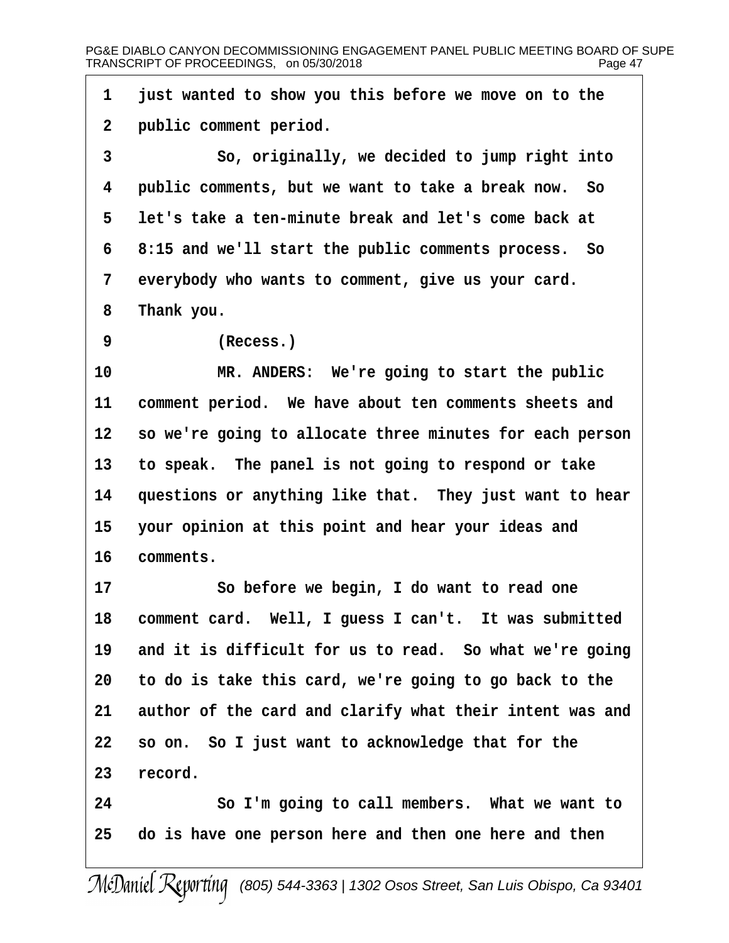- 1 just wanted to show you this before we move on to the
- 2 public comment period.
- 3 **· · · So, originally, we decided to jump right into**
- 4 public comments, but we want to take a break now. So
- 5 let's take a ten-minute break and let's come back at
- 6 8:15 and we'll start the public comments process. So
- 7 everybody who wants to comment, give us your card.
- 8 Thank you.
- 9 (Recess.)

10 MR. ANDERS: We're going to start the public

11 comment period. We have about ten comments sheets and

12 so we're going to allocate three minutes for each person

13 to speak. The panel is not going to respond or take

14 questions or anything like that. They just want to hear

15 your opinion at this point and hear your ideas and

# 16 comments.

17 So before we begin, I do want to read one 18 comment card. Well, I guess I can't. It was submitted 19 and it is difficult for us to read. So what we're going 20 to do is take this card, we're going to go back to the 21 author of the card and clarify what their intent was and 22 so on. So I just want to acknowledge that for the 23 record.

24 · · · So I'm going to call members. What we want to 25 do is have one person here and then one here and then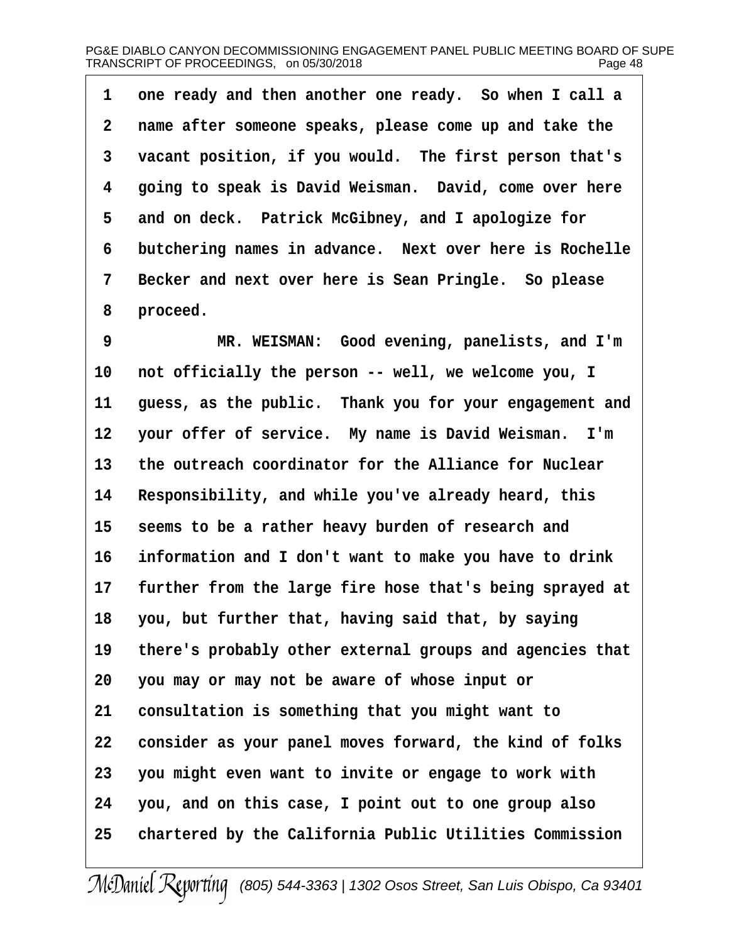1 one ready and then another one ready. So when I call a 2 name after someone speaks, please come up and take the 3 vacant position, if you would. The first person that's 4 going to speak is David Weisman. David, come over here 5 and on deck. Patrick McGibney, and I apologize for 6 butchering names in advance. Next over here is Rochelle 7 Becker and next over here is Sean Pringle. So please 8 proceed. 9 MR. WEISMAN: Good evening, panelists, and I'm 10 not officially the person -- well, we welcome you, I 11 guess, as the public. Thank you for your engagement and 12 your offer of service. My name is David Weisman. I'm 13 the outreach coordinator for the Alliance for Nuclear 14 Responsibility, and while you've already heard, this 15 seems to be a rather heavy burden of research and 16 information and I don't want to make you have to drink 17 further from the large fire hose that's being sprayed at 18 you, but further that, having said that, by saying 19 there's probably other external groups and agencies that 20 you may or may not be aware of whose input or 21 consultation is something that you might want to 22 consider as your panel moves forward, the kind of folks 23 you might even want to invite or engage to work with 24 you, and on this case, I point out to one group also 25 chartered by the California Public Utilities Commission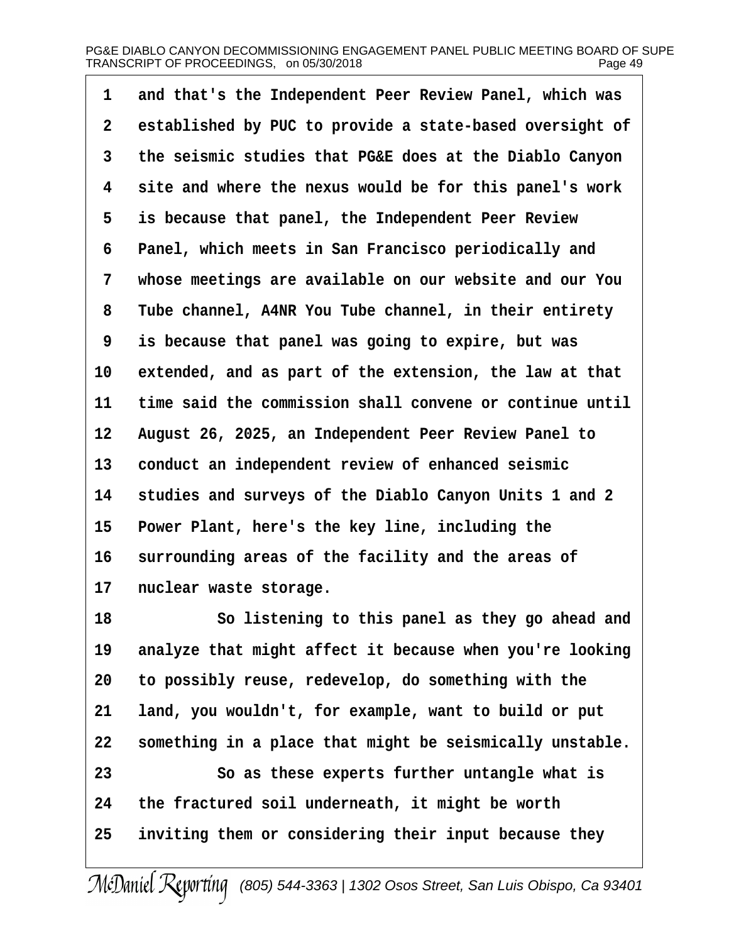| 1  | and that's the Independent Peer Review Panel, which was  |
|----|----------------------------------------------------------|
| 2  | established by PUC to provide a state-based oversight of |
| 3  | the seismic studies that PG&E does at the Diablo Canyon  |
| 4  | site and where the nexus would be for this panel's work  |
| 5  | is because that panel, the Independent Peer Review       |
| 6  | Panel, which meets in San Francisco periodically and     |
| 7  | whose meetings are available on our website and our You  |
| 8  | Tube channel, A4NR You Tube channel, in their entirety   |
| 9  | is because that panel was going to expire, but was       |
| 10 | extended, and as part of the extension, the law at that  |
| 11 | time said the commission shall convene or continue until |
| 12 | August 26, 2025, an Independent Peer Review Panel to     |
| 13 | conduct an independent review of enhanced seismic        |
| 14 | studies and surveys of the Diablo Canyon Units 1 and 2   |
| 15 | Power Plant, here's the key line, including the          |
| 16 | surrounding areas of the facility and the areas of       |
| 17 | nuclear waste storage.                                   |
| 18 | So listening to this panel as they go ahead and          |
| 19 | analyze that might affect it because when you're looking |
| 20 | to possibly reuse, redevelop, do something with the      |
| 21 | land, you wouldn't, for example, want to build or put    |
| 22 | something in a place that might be seismically unstable. |
| 23 | So as these experts further untangle what is             |
| 24 | the fractured soil underneath, it might be worth         |
| 25 | inviting them or considering their input because they    |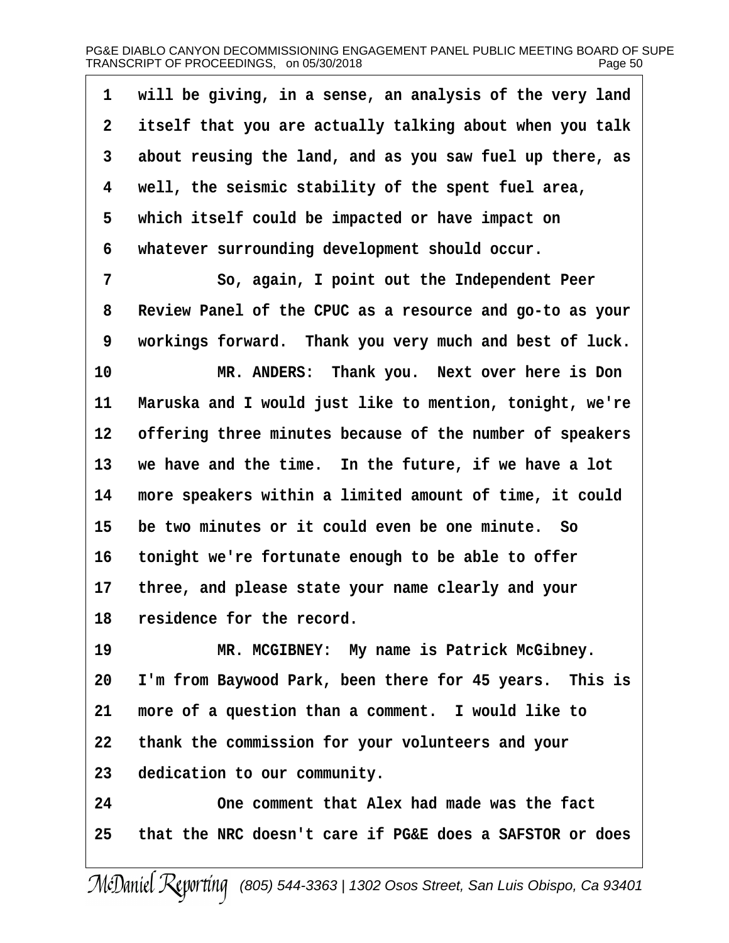| 1  | will be giving, in a sense, an analysis of the very land |
|----|----------------------------------------------------------|
| 2  | itself that you are actually talking about when you talk |
| 3  | about reusing the land, and as you saw fuel up there, as |
| 4  | well, the seismic stability of the spent fuel area,      |
| 5  | which itself could be impacted or have impact on         |
| 6  | whatever surrounding development should occur.           |
| 7  | So, again, I point out the Independent Peer              |
| 8  | Review Panel of the CPUC as a resource and go-to as your |
| 9  | workings forward. Thank you very much and best of luck.  |
| 10 | MR. ANDERS: Thank you. Next over here is Don             |
| 11 | Maruska and I would just like to mention, tonight, we're |
| 12 | offering three minutes because of the number of speakers |
| 13 | we have and the time. In the future, if we have a lot    |
| 14 | more speakers within a limited amount of time, it could  |
| 15 | be two minutes or it could even be one minute. So        |
| 16 | tonight we're fortunate enough to be able to offer       |
| 17 | three, and please state your name clearly and your       |
| 18 | residence for the record.                                |
| 19 | MR. MCGIBNEY: My name is Patrick McGibney.               |
| 20 | I'm from Baywood Park, been there for 45 years. This is  |
| 21 | more of a question than a comment. I would like to       |
| 22 | thank the commission for your volunteers and your        |
| 23 | dedication to our community.                             |
| 24 | One comment that Alex had made was the fact              |
| 25 | that the NRC doesn't care if PG&E does a SAFSTOR or does |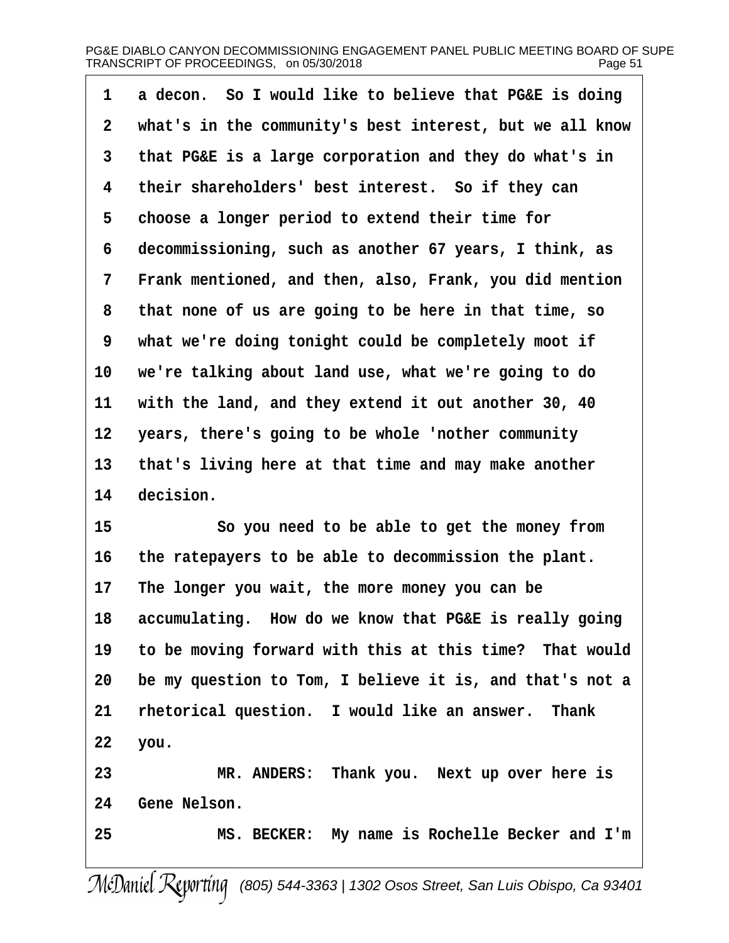| 1               | a decon. So I would like to believe that PG&E is doing   |
|-----------------|----------------------------------------------------------|
| 2               | what's in the community's best interest, but we all know |
| 3               | that PG&E is a large corporation and they do what's in   |
| 4               | their shareholders' best interest. So if they can        |
| 5               | choose a longer period to extend their time for          |
| 6               | decommissioning, such as another 67 years, I think, as   |
| 7               | Frank mentioned, and then, also, Frank, you did mention  |
| 8               | that none of us are going to be here in that time, so    |
| 9               | what we're doing tonight could be completely moot if     |
| 10              | we're talking about land use, what we're going to do     |
| 11              | with the land, and they extend it out another 30, 40     |
| 12 <sub>2</sub> | years, there's going to be whole 'nother community       |
| 13              | that's living here at that time and may make another     |
| 14              | decision.                                                |
| 15              | So you need to be able to get the money from             |
| 16              | the ratepayers to be able to decommission the plant.     |
| 17              | The longer you wait, the more money you can be           |
| 18              | accumulating. How do we know that PG&E is really going   |
| 19              | to be moving forward with this at this time? That would  |
| 20              | be my question to Tom, I believe it is, and that's not a |
| 21              | rhetorical question. I would like an answer. Thank       |
| 22              | you.                                                     |
| 23              | MR. ANDERS: Thank you. Next up over here is              |
| 24              | Gene Nelson.                                             |
| 25              | MS. BECKER: My name is Rochelle Becker and I'm           |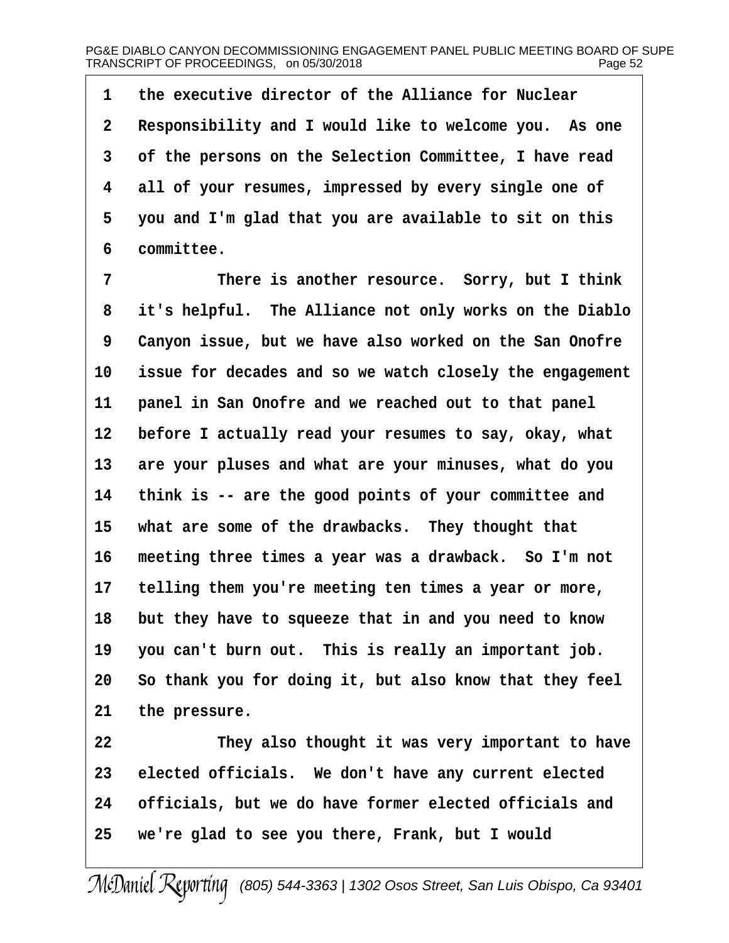1 the executive director of the Alliance for Nuclear 2 Responsibility and I would like to welcome you. As one 3 of the persons on the Selection Committee, I have read 4 all of your resumes, impressed by every single one of 5 you and I'm glad that you are available to sit on this 6 committee. 7 There is another resource. Sorry, but I think 8 it's helpful. The Alliance not only works on the Diablo 9 Canyon issue, but we have also worked on the San Onofre 10 issue for decades and so we watch closely the engagement 11 panel in San Onofre and we reached out to that panel 12 before I actually read your resumes to say, okay, what 13 are your pluses and what are your minuses, what do you 14 think is -- are the good points of your committee and 15 what are some of the drawbacks. They thought that 16 meeting three times a year was a drawback. So I'm not 17 telling them you're meeting ten times a year or more, 18 but they have to squeeze that in and you need to know 19 you can't burn out. This is really an important job. 20 So thank you for doing it, but also know that they feel 21 the pressure. 22 They also thought it was very important to have 23 elected officials. We don't have any current elected 24 officials, but we do have former elected officials and 25 we're glad to see you there, Frank, but I would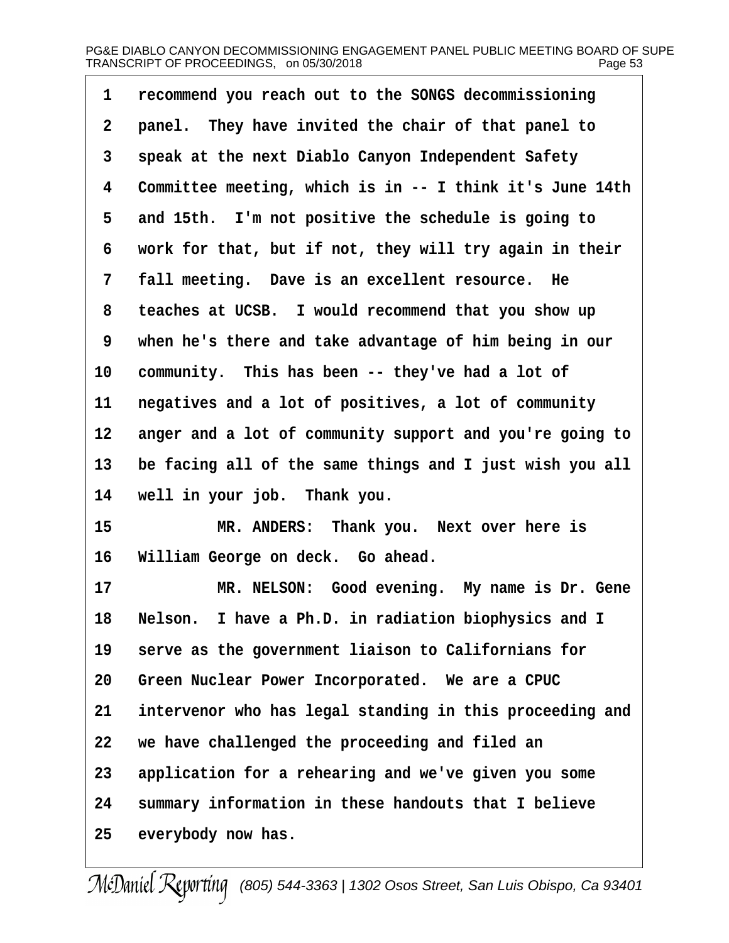| 1  | recommend you reach out to the SONGS decommissioning     |  |
|----|----------------------------------------------------------|--|
| 2  | panel. They have invited the chair of that panel to      |  |
| 3  | speak at the next Diablo Canyon Independent Safety       |  |
| 4  | Committee meeting, which is in -- I think it's June 14th |  |
| 5  | and 15th. I'm not positive the schedule is going to      |  |
| 6  | work for that, but if not, they will try again in their  |  |
| 7  | fall meeting. Dave is an excellent resource. He          |  |
| 8  | teaches at UCSB. I would recommend that you show up      |  |
| 9  | when he's there and take advantage of him being in our   |  |
| 10 | community. This has been -- they've had a lot of         |  |
| 11 | negatives and a lot of positives, a lot of community     |  |
| 12 | anger and a lot of community support and you're going to |  |
| 13 | be facing all of the same things and I just wish you all |  |
| 14 | well in your job. Thank you.                             |  |
| 15 | MR. ANDERS: Thank you. Next over here is                 |  |
| 16 | William George on deck. Go ahead.                        |  |
| 17 | MR. NELSON: Good evening. My name is Dr. Gene            |  |
| 18 | Nelson. I have a Ph.D. in radiation biophysics and I     |  |
| 19 | serve as the government liaison to Californians for      |  |
| 20 | Green Nuclear Power Incorporated. We are a CPUC          |  |
| 21 | intervenor who has legal standing in this proceeding and |  |
| 22 | we have challenged the proceeding and filed an           |  |
| 23 | application for a rehearing and we've given you some     |  |
| 24 | summary information in these handouts that I believe     |  |
| 25 | everybody now has.                                       |  |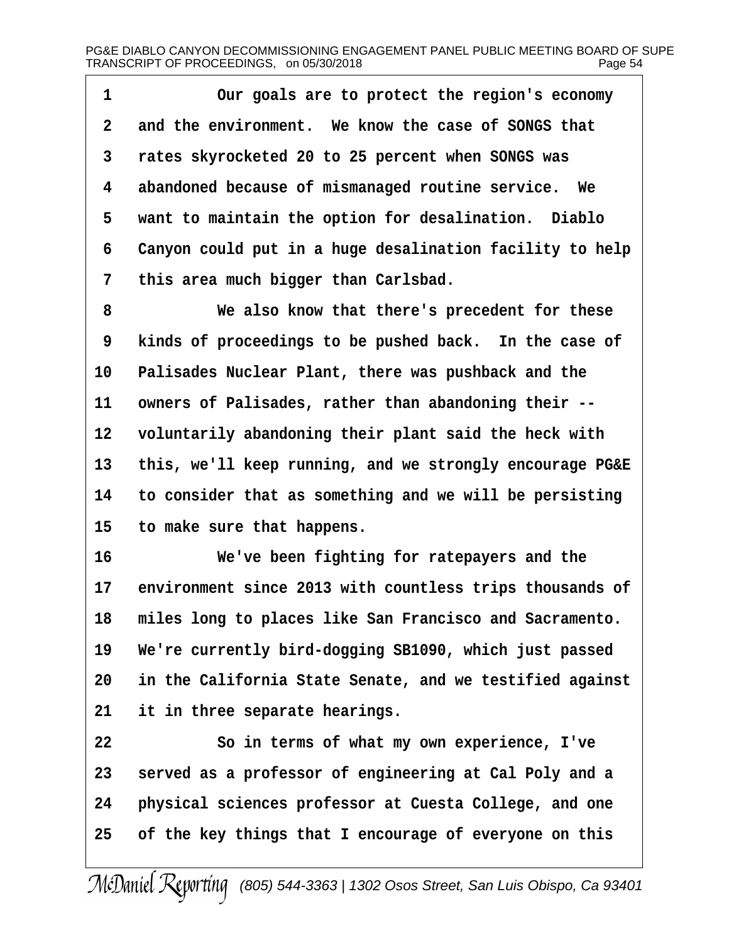| 1  | Our goals are to protect the region's economy              |  |
|----|------------------------------------------------------------|--|
| 2  | and the environment. We know the case of SONGS that        |  |
| 3  | rates skyrocketed 20 to 25 percent when SONGS was          |  |
| 4  | abandoned because of mismanaged routine service. We        |  |
| 5  | want to maintain the option for desalination. Diablo       |  |
| 6  | Canyon could put in a huge desalination facility to help   |  |
| 7  | this area much bigger than Carlsbad.                       |  |
| 8  | We also know that there's precedent for these              |  |
| 9  | kinds of proceedings to be pushed back. In the case of     |  |
| 10 | Palisades Nuclear Plant, there was pushback and the        |  |
| 11 | owners of Palisades, rather than abandoning their --       |  |
| 12 | voluntarily abandoning their plant said the heck with      |  |
| 13 | this, we'll keep running, and we strongly encourage PG&E   |  |
| 14 | to consider that as something and we will be persisting    |  |
| 15 | to make sure that happens.                                 |  |
| 16 | We've been fighting for ratepayers and the                 |  |
| 17 | environment since 2013 with countless trips thousands of   |  |
|    | 18 miles long to places like San Francisco and Sacramento. |  |
| 19 | We're currently bird-dogging SB1090, which just passed     |  |
| 20 | in the California State Senate, and we testified against   |  |
| 21 | it in three separate hearings.                             |  |
| 22 | So in terms of what my own experience, I've                |  |
| 23 | served as a professor of engineering at Cal Poly and a     |  |
| 24 | physical sciences professor at Cuesta College, and one     |  |
| 25 | of the key things that I encourage of everyone on this     |  |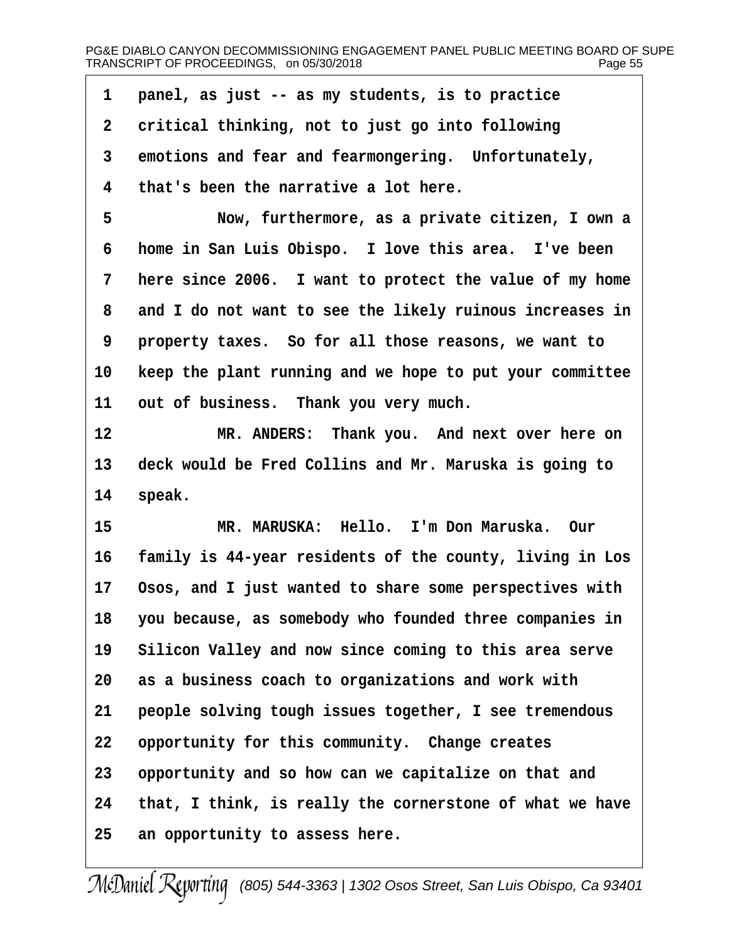| 1  | panel, as just -- as my students, is to practice         |
|----|----------------------------------------------------------|
| 2  | critical thinking, not to just go into following         |
| 3  | emotions and fear and fearmongering. Unfortunately,      |
| 4  | that's been the narrative a lot here.                    |
| 5  | Now, furthermore, as a private citizen, I own a          |
| 6  | home in San Luis Obispo. I love this area. I've been     |
| 7  | here since 2006. I want to protect the value of my home  |
| 8  | and I do not want to see the likely ruinous increases in |
| 9  | property taxes. So for all those reasons, we want to     |
| 10 | keep the plant running and we hope to put your committee |
| 11 | out of business. Thank you very much.                    |
| 12 | MR. ANDERS: Thank you. And next over here on             |
| 13 | deck would be Fred Collins and Mr. Maruska is going to   |
| 14 | speak.                                                   |
| 15 | MR. MARUSKA: Hello. I'm Don Maruska. Our                 |
| 16 | family is 44-year residents of the county, living in Los |
| 17 | Osos, and I just wanted to share some perspectives with  |
| 18 | you because, as somebody who founded three companies in  |
| 19 | Silicon Valley and now since coming to this area serve   |
| 20 | as a business coach to organizations and work with       |
| 21 | people solving tough issues together, I see tremendous   |
| 22 | opportunity for this community. Change creates           |
| 23 | opportunity and so how can we capitalize on that and     |
| 24 | that, I think, is really the cornerstone of what we have |
| 25 | an opportunity to assess here.                           |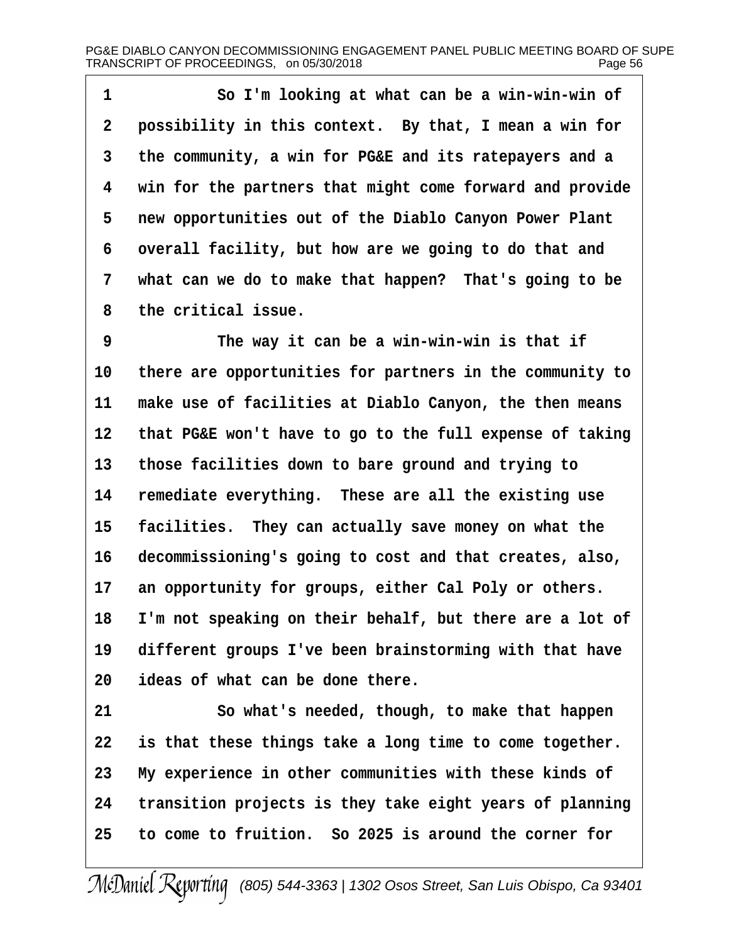1 So I'm looking at what can be a win-win-win of 2 possibility in this context. By that, I mean a win for 3 the community, a win for PG&E and its ratepayers and a 4 win for the partners that might come forward and provide 5 new opportunities out of the Diablo Canyon Power Plant 6 overall facility, but how are we going to do that and 7 what can we do to make that happen? That's going to be 8 the critical issue. 9 The way it can be a win-win-win is that if 10 there are opportunities for partners in the community to 11 make use of facilities at Diablo Canyon, the then means 12 that PG&E won't have to go to the full expense of taking 13 those facilities down to bare ground and trying to 14 remediate everything. These are all the existing use 15 facilities. They can actually save money on what the 16 decommissioning's going to cost and that creates, also, 17 an opportunity for groups, either Cal Poly or others. 18 I'm not speaking on their behalf, but there are a lot of 19 different groups I've been brainstorming with that have 20 ideas of what can be done there. 21 So what's needed, though, to make that happen 22 is that these things take a long time to come together. 23 My experience in other communities with these kinds of 24 transition projects is they take eight years of planning 25· ·to come to fruition.· So 2025 is around the corner for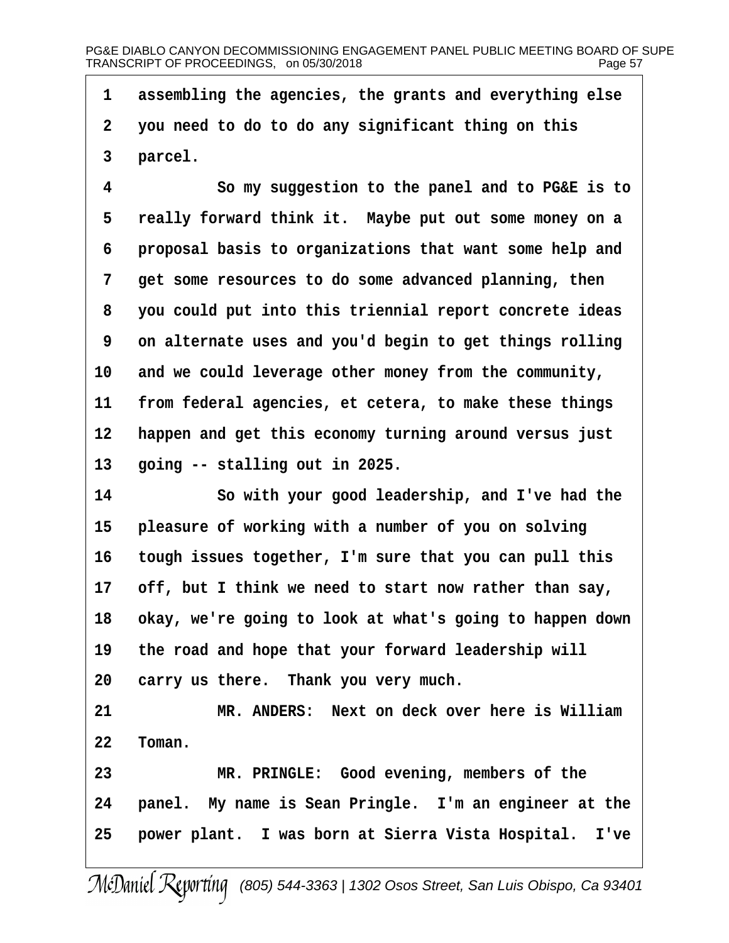1 assembling the agencies, the grants and everything else

- ·2· ·you need to do to do any significant thing on this
- 3 parcel.

4 So my suggestion to the panel and to PG&E is to 5 really forward think it. Maybe put out some money on a 6 proposal basis to organizations that want some help and 7 get some resources to do some advanced planning, then 8 you could put into this triennial report concrete ideas 9 on alternate uses and you'd begin to get things rolling 10 and we could leverage other money from the community, 11 from federal agencies, et cetera, to make these things 12 happen and get this economy turning around versus just 13 going  $-$  stalling out in 2025. 14 **· · · So with your good leadership, and I've had the** 15 pleasure of working with a number of you on solving 16 tough issues together, I'm sure that you can pull this 17 off, but I think we need to start now rather than say, 18 okay, we're going to look at what's going to happen down 19 the road and hope that your forward leadership will 20 carry us there. Thank you very much. 21 MR. ANDERS: Next on deck over here is William 22 Toman. 23 MR. PRINGLE: Good evening, members of the 24 panel. My name is Sean Pringle. I'm an engineer at the 25 power plant. I was born at Sierra Vista Hospital. I've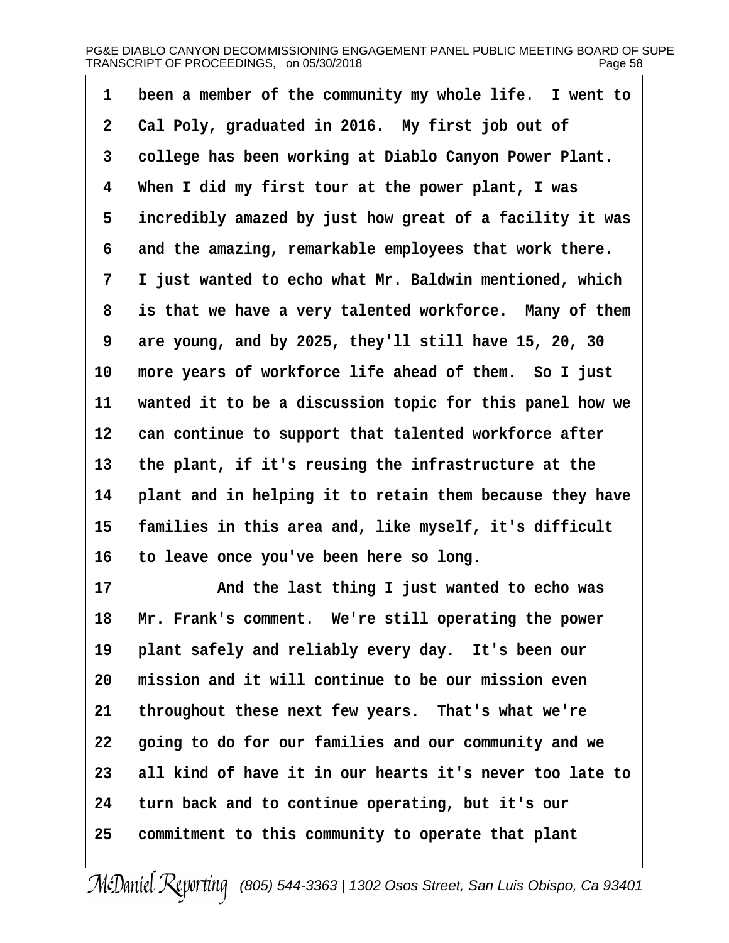| 1 been a member of the community my whole life. I went to |  |
|-----------------------------------------------------------|--|
|                                                           |  |

- 2 Cal Poly, graduated in 2016. My first job out of
- 3 college has been working at Diablo Canyon Power Plant.
- 4 When I did my first tour at the power plant, I was
- 5 incredibly amazed by just how great of a facility it was
- 6 and the amazing, remarkable employees that work there.
- 7 I just wanted to echo what Mr. Baldwin mentioned, which
- 8 is that we have a very talented workforce. Many of them
- 9 are young, and by 2025, they'll still have 15, 20, 30
- 10 more years of workforce life ahead of them. So I just
- 11 wanted it to be a discussion topic for this panel how we
- 12 can continue to support that talented workforce after
- 13 the plant, if it's reusing the infrastructure at the
- 14 plant and in helping it to retain them because they have
- 15 families in this area and, like myself, it's difficult
- 16 to leave once you've been here so long.
- 17 And the last thing I just wanted to echo was
- 18 Mr. Frank's comment. We're still operating the power
- 19 plant safely and reliably every day. It's been our
- 20 mission and it will continue to be our mission even
- 21 throughout these next few years. That's what we're
- 22 going to do for our families and our community and we
- 23 all kind of have it in our hearts it's never too late to
- 24 turn back and to continue operating, but it's our
- 25 commitment to this community to operate that plant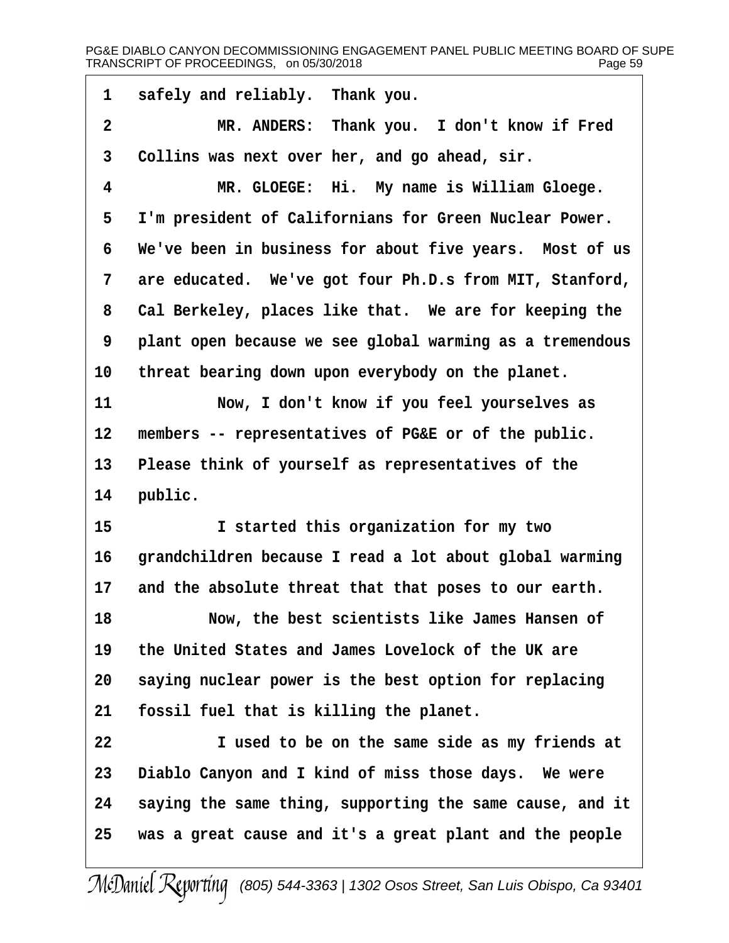1 safely and reliably. Thank you. 2 MR. ANDERS: Thank you. I don't know if Fred 3 Collins was next over her, and go ahead, sir. 4 MR. GLOEGE: Hi. My name is William Gloege. 5 I'm president of Californians for Green Nuclear Power. 6 We've been in business for about five years. Most of us 7 are educated. We've got four Ph.D.s from MIT, Stanford, 8 Cal Berkeley, places like that. We are for keeping the 9 plant open because we see global warming as a tremendous 10 threat bearing down upon everybody on the planet. 11 Now, I don't know if you feel yourselves as 12 members -- representatives of PG&E or of the public. 13 Please think of yourself as representatives of the 14 public. 15 **I** started this organization for my two 16 grandchildren because I read a lot about global warming 17 and the absolute threat that that poses to our earth. 18 Now, the best scientists like James Hansen of 19 the United States and James Lovelock of the UK are 20 saying nuclear power is the best option for replacing 21 fossil fuel that is killing the planet. 22 I used to be on the same side as my friends at 23 Diablo Canyon and I kind of miss those days. We were 24 saying the same thing, supporting the same cause, and it

25 was a great cause and it's a great plant and the people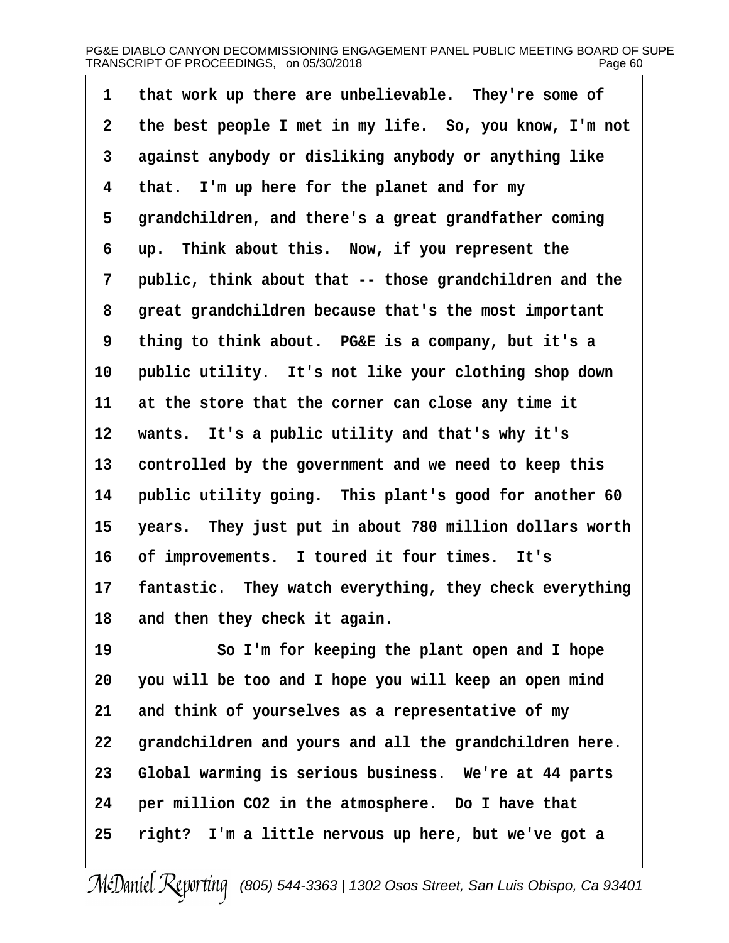| 1               | that work up there are unbelievable. They're some of    |  |
|-----------------|---------------------------------------------------------|--|
| 2               | the best people I met in my life. So, you know, I'm not |  |
| 3               | against anybody or disliking anybody or anything like   |  |
| 4               | that. I'm up here for the planet and for my             |  |
| 5               | grandchildren, and there's a great grandfather coming   |  |
| 6               | up. Think about this. Now, if you represent the         |  |
| 7               | public, think about that -- those grandchildren and the |  |
| 8               | great grandchildren because that's the most important   |  |
| 9               | thing to think about. PG&E is a company, but it's a     |  |
| 10              | public utility. It's not like your clothing shop down   |  |
| 11              | at the store that the corner can close any time it      |  |
| 12 <sup>°</sup> | wants. It's a public utility and that's why it's        |  |
| 13              | controlled by the government and we need to keep this   |  |
| 14              | public utility going. This plant's good for another 60  |  |
| 15              | years. They just put in about 780 million dollars worth |  |
| 16              | of improvements. I toured it four times. It's           |  |
| 17              | fantastic. They watch everything, they check everything |  |
| 18              | and then they check it again.                           |  |
| 19              | So I'm for keeping the plant open and I hope            |  |
| 20              | you will be too and I hope you will keep an open mind   |  |
| 21              | and think of yourselves as a representative of my       |  |
| 22              | grandchildren and yours and all the grandchildren here. |  |
| 23              | Global warming is serious business. We're at 44 parts   |  |
| 24              | per million CO2 in the atmosphere. Do I have that       |  |
| 25              | right? I'm a little nervous up here, but we've got a    |  |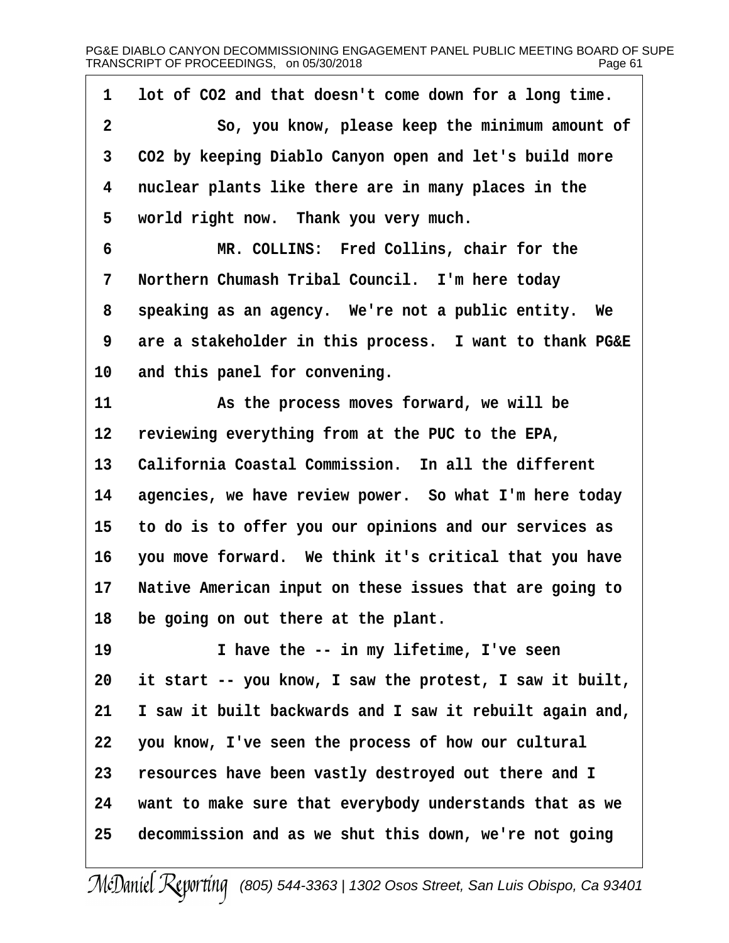| 1  | lot of CO2 and that doesn't come down for a long time.   |
|----|----------------------------------------------------------|
| 2  | So, you know, please keep the minimum amount of          |
| 3  | CO2 by keeping Diablo Canyon open and let's build more   |
| 4  | nuclear plants like there are in many places in the      |
| 5  | world right now. Thank you very much.                    |
| 6  | MR. COLLINS: Fred Collins, chair for the                 |
| 7  | Northern Chumash Tribal Council. I'm here today          |
| 8  | speaking as an agency. We're not a public entity. We     |
| 9  | are a stakeholder in this process. I want to thank PG&E  |
| 10 | and this panel for convening.                            |
| 11 | As the process moves forward, we will be                 |
| 12 | reviewing everything from at the PUC to the EPA,         |
| 13 | California Coastal Commission. In all the different      |
| 14 | agencies, we have review power. So what I'm here today   |
| 15 | to do is to offer you our opinions and our services as   |
| 16 | you move forward. We think it's critical that you have   |
| 17 | Native American input on these issues that are going to  |
| 18 | be going on out there at the plant.                      |
| 19 | I have the -- in my lifetime, I've seen                  |
| 20 | it start -- you know, I saw the protest, I saw it built, |
| 21 | I saw it built backwards and I saw it rebuilt again and, |
| 22 | you know, I've seen the process of how our cultural      |
| 23 | resources have been vastly destroyed out there and I     |
| 24 | want to make sure that everybody understands that as we  |
| 25 | decommission and as we shut this down, we're not going   |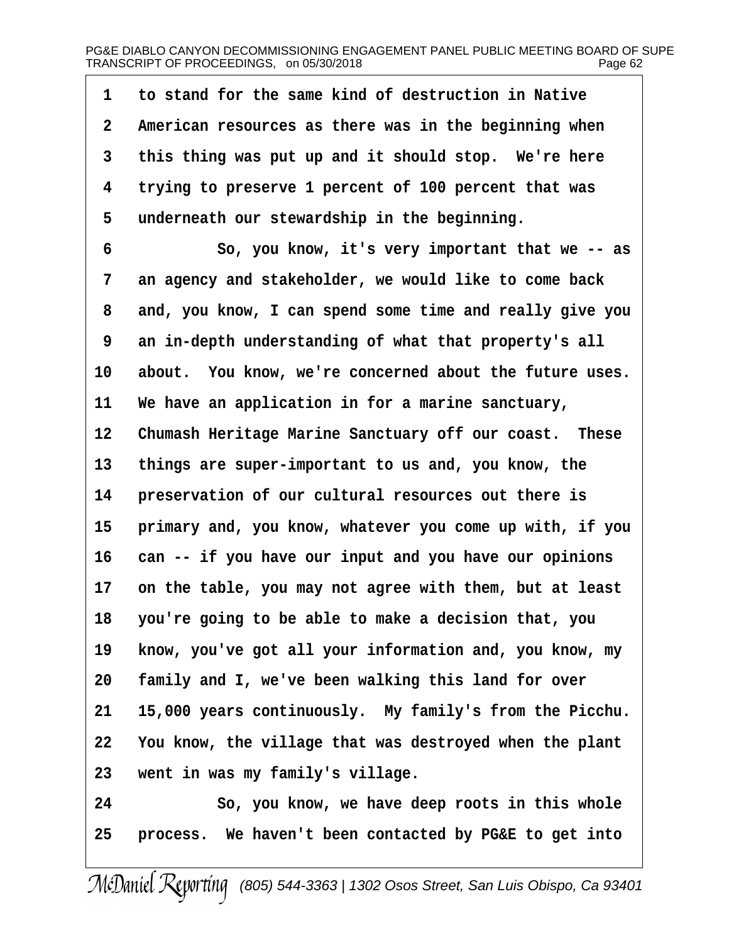| 1               | to stand for the same kind of destruction in Native      |
|-----------------|----------------------------------------------------------|
| 2               | American resources as there was in the beginning when    |
| 3               | this thing was put up and it should stop. We're here     |
| 4               | trying to preserve 1 percent of 100 percent that was     |
| 5               | underneath our stewardship in the beginning.             |
| 6               | So, you know, it's very important that we -- as          |
| 7               | an agency and stakeholder, we would like to come back    |
| 8               | and, you know, I can spend some time and really give you |
| 9               | an in-depth understanding of what that property's all    |
| 10              | about. You know, we're concerned about the future uses.  |
| 11              | We have an application in for a marine sanctuary,        |
| 12 <sub>2</sub> | Chumash Heritage Marine Sanctuary off our coast. These   |
| 13              | things are super-important to us and, you know, the      |
| 14              | preservation of our cultural resources out there is      |
| 15              | primary and, you know, whatever you come up with, if you |
| 16              | can -- if you have our input and you have our opinions   |
| 17              | on the table, you may not agree with them, but at least  |
| 18              | you're going to be able to make a decision that, you     |
| 19              | know, you've got all your information and, you know, my  |
| 20              | family and I, we've been walking this land for over      |
| 21              | 15,000 years continuously. My family's from the Picchu.  |
| 22              | You know, the village that was destroyed when the plant  |
| 23              | went in was my family's village.                         |
| 24              | So, you know, we have deep roots in this whole           |
| 25              | process. We haven't been contacted by PG&E to get into   |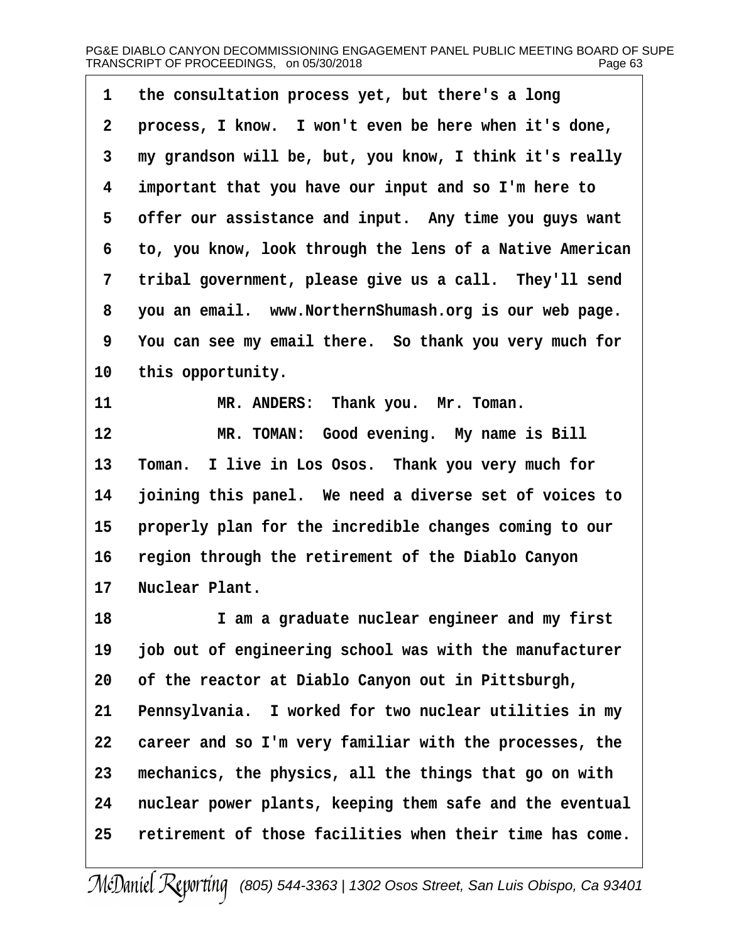| 1  | the consultation process yet, but there's a long         |
|----|----------------------------------------------------------|
| 2  | process, I know. I won't even be here when it's done,    |
| 3  | my grandson will be, but, you know, I think it's really  |
| 4  | important that you have our input and so I'm here to     |
| 5  | offer our assistance and input. Any time you guys want   |
| 6  | to, you know, look through the lens of a Native American |
| 7  | tribal government, please give us a call. They'll send   |
| 8  | you an email. www.NorthernShumash.org is our web page.   |
| 9  | You can see my email there. So thank you very much for   |
| 10 | this opportunity.                                        |
| 11 | MR. ANDERS: Thank you. Mr. Toman.                        |
| 12 | MR. TOMAN: Good evening. My name is Bill                 |
| 13 | Toman. I live in Los Osos. Thank you very much for       |
| 14 | joining this panel. We need a diverse set of voices to   |
| 15 | properly plan for the incredible changes coming to our   |
| 16 | region through the retirement of the Diablo Canyon       |
| 17 | <b>Nuclear Plant.</b>                                    |
| 18 | I am a graduate nuclear engineer and my first            |
| 19 | job out of engineering school was with the manufacturer  |
| 20 | of the reactor at Diablo Canyon out in Pittsburgh,       |
| 21 | Pennsylvania. I worked for two nuclear utilities in my   |
| 22 | career and so I'm very familiar with the processes, the  |
| 23 | mechanics, the physics, all the things that go on with   |
| 24 | nuclear power plants, keeping them safe and the eventual |
| 25 | retirement of those facilities when their time has come. |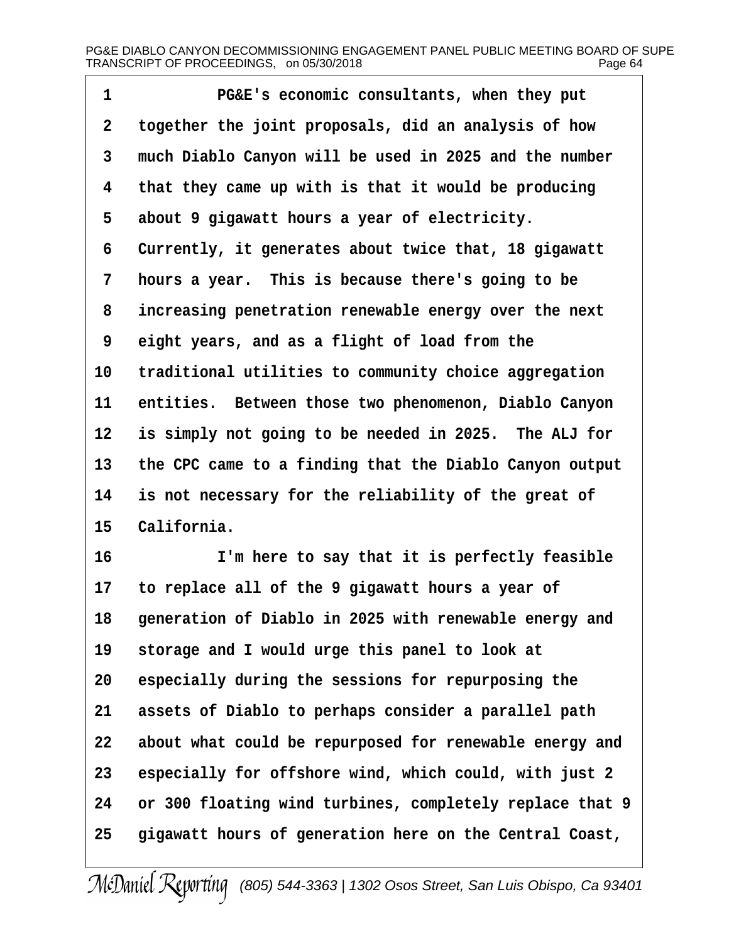- 1  **PG&E's economic consultants, when they put**
- 2 together the joint proposals, did an analysis of how
- 3 much Diablo Canyon will be used in 2025 and the number
- 4 that they came up with is that it would be producing
- 5 about 9 gigawatt hours a year of electricity.
- 6 Currently, it generates about twice that, 18 gigawatt
- 7 hours a year. This is because there's going to be
- 8 increasing penetration renewable energy over the next
- ·9· ·eight years, and as a flight of load from the
- 10 traditional utilities to community choice aggregation
- 11 entities. Between those two phenomenon, Diablo Canyon
- 12 is simply not going to be needed in 2025. The ALJ for
- 13 the CPC came to a finding that the Diablo Canyon output
- 14 is not necessary for the reliability of the great of
- 15 California.
- 16 I'm here to say that it is perfectly feasible
- 17 to replace all of the 9 gigawatt hours a year of
- 18 generation of Diablo in 2025 with renewable energy and
- 19 storage and I would urge this panel to look at
- 20 especially during the sessions for repurposing the
- 21 assets of Diablo to perhaps consider a parallel path
- 22 about what could be repurposed for renewable energy and
- 23 especially for offshore wind, which could, with just 2
- 24 or 300 floating wind turbines, completely replace that 9
- 25 gigawatt hours of generation here on the Central Coast,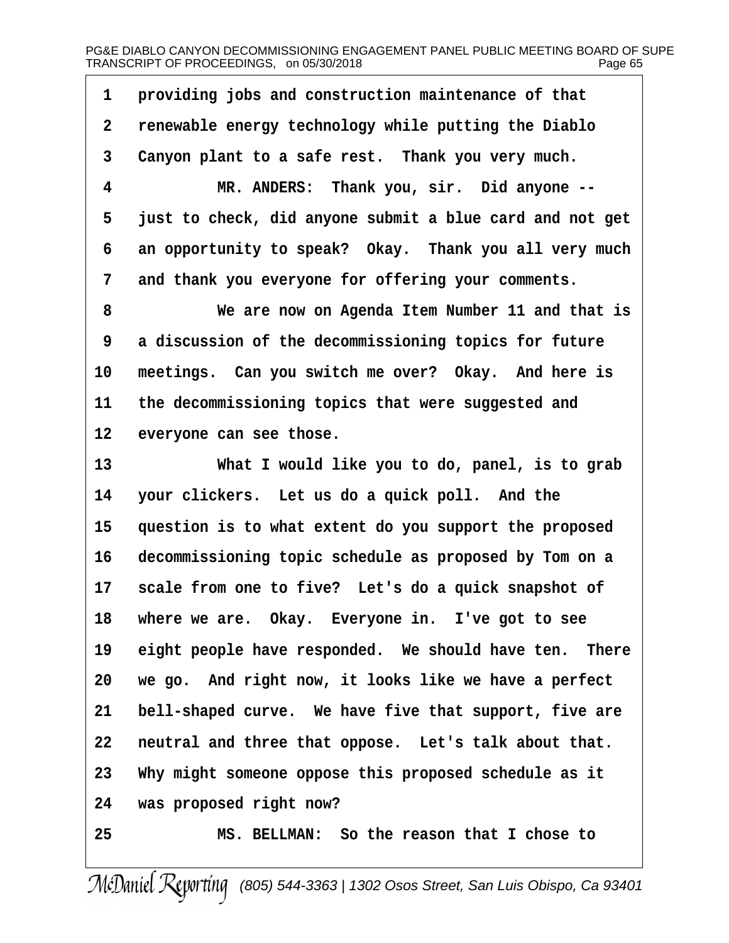1 providing jobs and construction maintenance of that 2 renewable energy technology while putting the Diablo 3 Canyon plant to a safe rest. Thank you very much. 4 MR. ANDERS: Thank you, sir. Did anyone --5 just to check, did anyone submit a blue card and not get 6 an opportunity to speak? Okay. Thank you all very much 7 and thank you everyone for offering your comments. 8 We are now on Agenda Item Number 11 and that is 9 a discussion of the decommissioning topics for future 10 meetings. Can you switch me over? Okay. And here is 11 the decommissioning topics that were suggested and 12 everyone can see those. 13 What I would like you to do, panel, is to grab 14 your clickers. Let us do a quick poll. And the 15 question is to what extent do you support the proposed 16 decommissioning topic schedule as proposed by Tom on a 17 scale from one to five? Let's do a quick snapshot of 18 where we are. Okay. Everyone in. I've got to see 19 eight people have responded. We should have ten. There 20 we go. And right now, it looks like we have a perfect 21 bell-shaped curve. We have five that support, five are 22 neutral and three that oppose. Let's talk about that. 23 Why might someone oppose this proposed schedule as it 24 was proposed right now? 25 MS. BELLMAN: So the reason that I chose to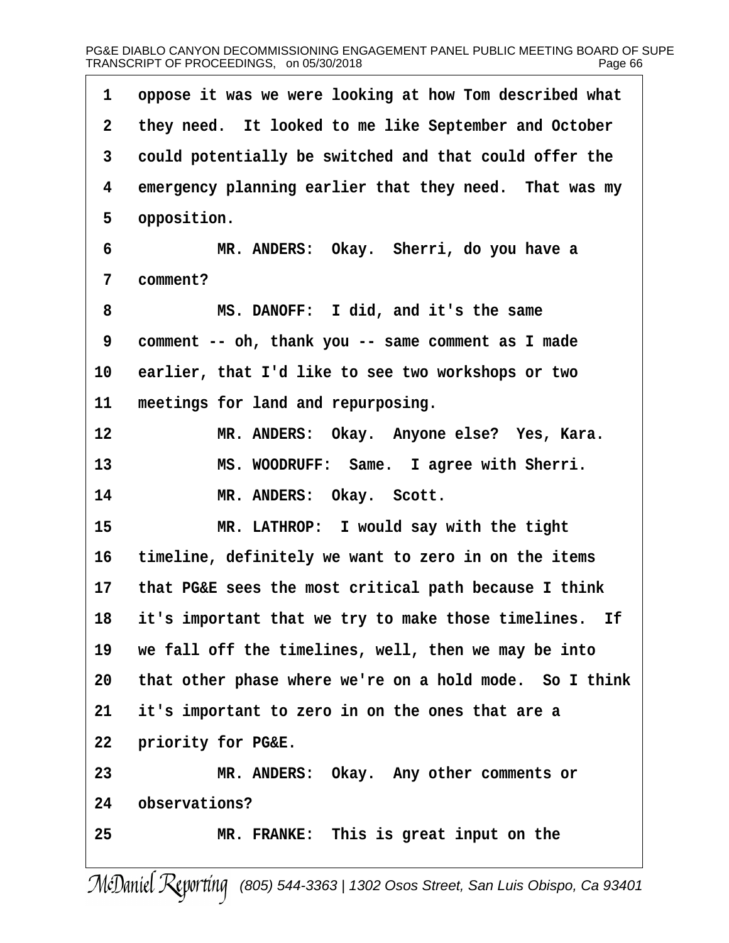| 1  | oppose it was we were looking at how Tom described what |
|----|---------------------------------------------------------|
| 2  | they need. It looked to me like September and October   |
| 3  | could potentially be switched and that could offer the  |
| 4  | emergency planning earlier that they need. That was my  |
| 5  | opposition.                                             |
| 6  | MR. ANDERS: Okay. Sherri, do you have a                 |
| 7  | comment?                                                |
| 8  | MS. DANOFF: I did, and it's the same                    |
| 9  | comment -- oh, thank you -- same comment as I made      |
| 10 | earlier, that I'd like to see two workshops or two      |
| 11 | meetings for land and repurposing.                      |
| 12 | MR. ANDERS: Okay. Anyone else? Yes, Kara.               |
| 13 | MS. WOODRUFF: Same. I agree with Sherri.                |
| 14 | MR. ANDERS: Okay. Scott.                                |
| 15 | MR. LATHROP: I would say with the tight                 |
| 16 | timeline, definitely we want to zero in on the items    |
| 17 | that PG&E sees the most critical path because I think   |
| 18 | it's important that we try to make those timelines. If  |
| 19 | we fall off the timelines, well, then we may be into    |
| 20 | that other phase where we're on a hold mode. So I think |
| 21 | it's important to zero in on the ones that are a        |
| 22 | priority for PG&E.                                      |
| 23 | MR. ANDERS: Okay. Any other comments or                 |
| 24 | observations?                                           |
| 25 | MR. FRANKE: This is great input on the                  |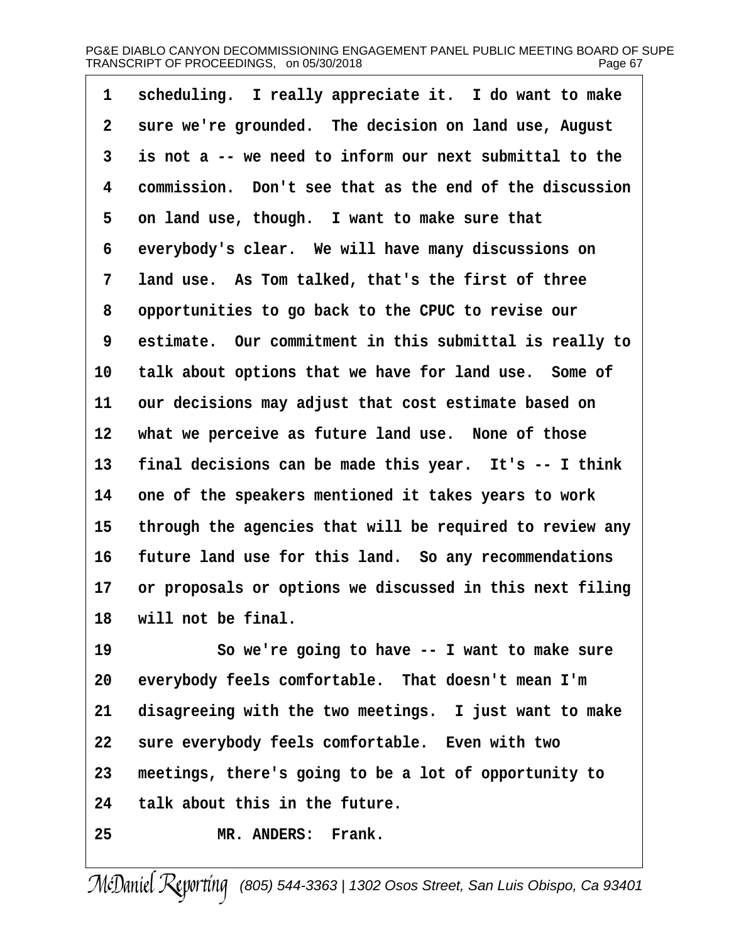| 1               | scheduling. I really appreciate it. I do want to make    |
|-----------------|----------------------------------------------------------|
| 2               | sure we're grounded. The decision on land use, August    |
| 3               | is not a -- we need to inform our next submittal to the  |
| 4               | commission. Don't see that as the end of the discussion  |
| 5               | on land use, though. I want to make sure that            |
| 6               | everybody's clear. We will have many discussions on      |
| 7               | land use. As Tom talked, that's the first of three       |
| 8               | opportunities to go back to the CPUC to revise our       |
| 9               | estimate. Our commitment in this submittal is really to  |
| 10              | talk about options that we have for land use. Some of    |
| 11              | our decisions may adjust that cost estimate based on     |
| 12 <sub>2</sub> | what we perceive as future land use. None of those       |
| 13              | final decisions can be made this year. It's -- I think   |
| 14              | one of the speakers mentioned it takes years to work     |
| 15              | through the agencies that will be required to review any |
| 16              | future land use for this land. So any recommendations    |
| 17              | or proposals or options we discussed in this next filing |
|                 | 18 will not be final.                                    |
| 19              | So we're going to have -- I want to make sure            |
| 20              | everybody feels comfortable. That doesn't mean I'm       |
| 21              | disagreeing with the two meetings. I just want to make   |
| 22              | sure everybody feels comfortable. Even with two          |
| 23              | meetings, there's going to be a lot of opportunity to    |
| 24              | talk about this in the future.                           |

25 MR. ANDERS: Frank.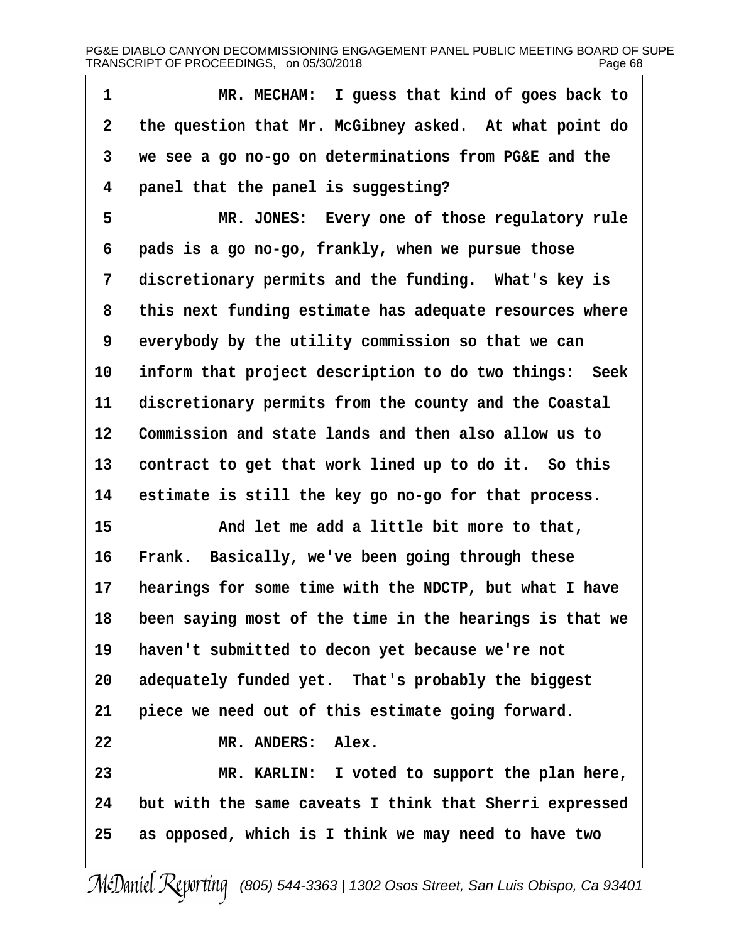| 1               | MR. MECHAM: I guess that kind of goes back to              |
|-----------------|------------------------------------------------------------|
| 2               | the question that Mr. McGibney asked. At what point do     |
| 3               | we see a go no-go on determinations from PG&E and the      |
| 4               | panel that the panel is suggesting?                        |
| 5               | MR. JONES: Every one of those regulatory rule              |
| 6               | pads is a go no-go, frankly, when we pursue those          |
| 7               | discretionary permits and the funding. What's key is       |
| 8               | this next funding estimate has adequate resources where    |
| 9               | everybody by the utility commission so that we can         |
| 10              | inform that project description to do two things: Seek     |
| 11              | discretionary permits from the county and the Coastal      |
| 12 <sub>2</sub> | Commission and state lands and then also allow us to       |
| 13              | contract to get that work lined up to do it. So this       |
| 14              | estimate is still the key go no-go for that process.       |
| 15              | And let me add a little bit more to that,                  |
| 16              | Frank. Basically, we've been going through these           |
| 17              | hearings for some time with the NDCTP, but what I have     |
|                 | 18 been saying most of the time in the hearings is that we |
| 19              | haven't submitted to decon yet because we're not           |
| 20              | adequately funded yet. That's probably the biggest         |
| 21              | piece we need out of this estimate going forward.          |
| 22              | MR. ANDERS: Alex.                                          |
| 23              | MR. KARLIN: I voted to support the plan here,              |
| 24              | but with the same caveats I think that Sherri expressed    |
| 25              | as opposed, which is I think we may need to have two       |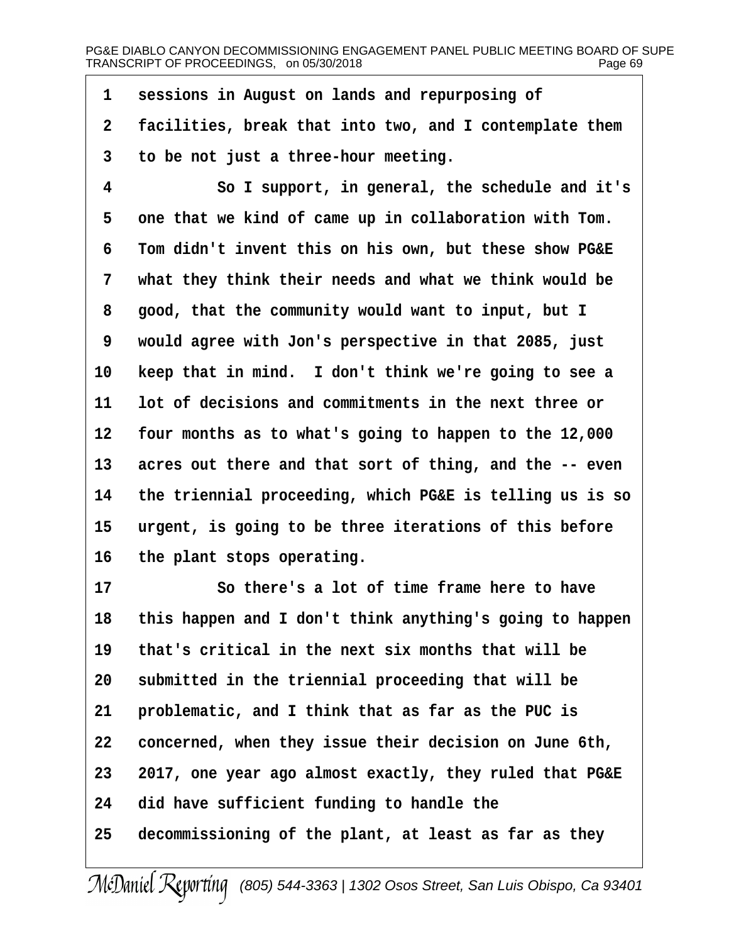1 sessions in August on lands and repurposing of

- 2 facilities, break that into two, and I contemplate them
- 3 to be not just a three-hour meeting.
- 4 So I support, in general, the schedule and it's 5 one that we kind of came up in collaboration with Tom. 6 Tom didn't invent this on his own, but these show PG&E 7 what they think their needs and what we think would be 8 good, that the community would want to input, but I ·9· ·would agree with Jon's perspective in that 2085, just 10 keep that in mind. I don't think we're going to see a 11 lot of decisions and commitments in the next three or 12 four months as to what's going to happen to the 12,000 13 acres out there and that sort of thing, and the -- even 14 the triennial proceeding, which PG&E is telling us is so 15 urgent, is going to be three iterations of this before 16 the plant stops operating. 17 **So there's a lot of time frame here to have** 18 this happen and I don't think anything's going to happen
- 19 that's critical in the next six months that will be
- 20 submitted in the triennial proceeding that will be
- 21 problematic, and I think that as far as the PUC is
- 22 concerned, when they issue their decision on June 6th,
- 23 2017, one year ago almost exactly, they ruled that PG&E
- 24 did have sufficient funding to handle the
- 25 decommissioning of the plant, at least as far as they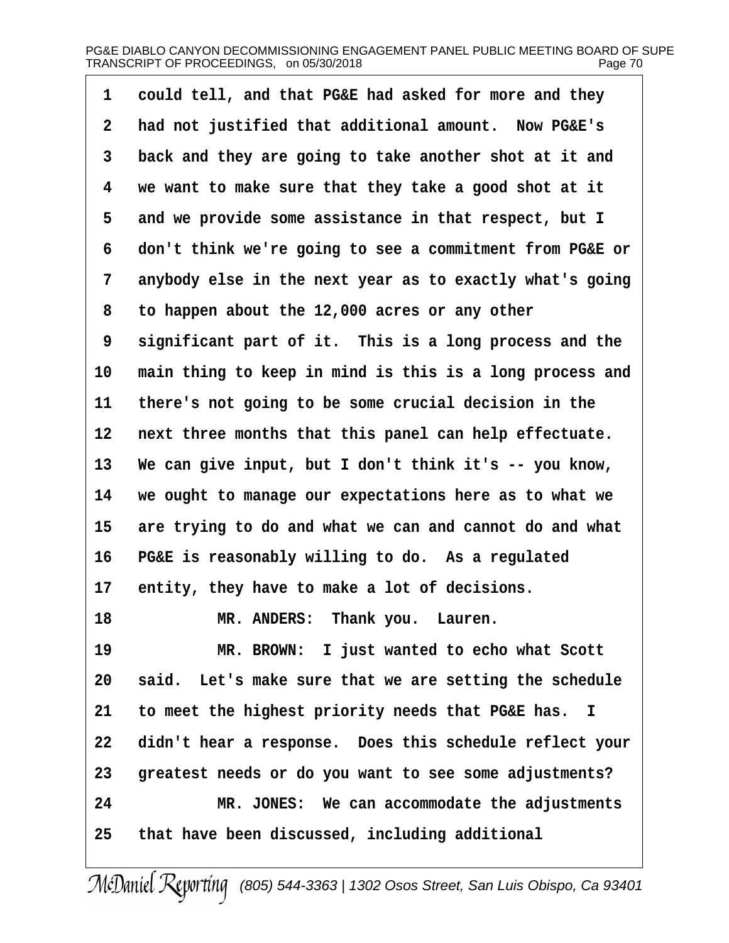| had not justified that additional amount. Now PG&E's<br>2<br>back and they are going to take another shot at it and<br>3<br>we want to make sure that they take a good shot at it<br>4<br>5<br>and we provide some assistance in that respect, but I |  |
|------------------------------------------------------------------------------------------------------------------------------------------------------------------------------------------------------------------------------------------------------|--|
|                                                                                                                                                                                                                                                      |  |
|                                                                                                                                                                                                                                                      |  |
|                                                                                                                                                                                                                                                      |  |
|                                                                                                                                                                                                                                                      |  |
| don't think we're going to see a commitment from PG&E or<br>6                                                                                                                                                                                        |  |
| 7<br>anybody else in the next year as to exactly what's going                                                                                                                                                                                        |  |
| to happen about the 12,000 acres or any other<br>8                                                                                                                                                                                                   |  |
| significant part of it. This is a long process and the<br>9                                                                                                                                                                                          |  |
| main thing to keep in mind is this is a long process and<br>10                                                                                                                                                                                       |  |
| 11<br>there's not going to be some crucial decision in the                                                                                                                                                                                           |  |
| next three months that this panel can help effectuate.<br>12                                                                                                                                                                                         |  |
| We can give input, but I don't think it's -- you know,<br>13                                                                                                                                                                                         |  |
| we ought to manage our expectations here as to what we<br>14                                                                                                                                                                                         |  |
| are trying to do and what we can and cannot do and what<br>15                                                                                                                                                                                        |  |
| PG&E is reasonably willing to do. As a regulated<br>16                                                                                                                                                                                               |  |
| 17<br>entity, they have to make a lot of decisions.                                                                                                                                                                                                  |  |
| MR. ANDERS: Thank you. Lauren.<br>18                                                                                                                                                                                                                 |  |
| 19<br>MR. BROWN: I just wanted to echo what Scott                                                                                                                                                                                                    |  |
| said. Let's make sure that we are setting the schedule<br>20                                                                                                                                                                                         |  |
| to meet the highest priority needs that PG&E has. I<br>21                                                                                                                                                                                            |  |
| 22<br>didn't hear a response. Does this schedule reflect your                                                                                                                                                                                        |  |
| greatest needs or do you want to see some adjustments?<br>23                                                                                                                                                                                         |  |
|                                                                                                                                                                                                                                                      |  |
| MR. JONES: We can accommodate the adjustments<br>24                                                                                                                                                                                                  |  |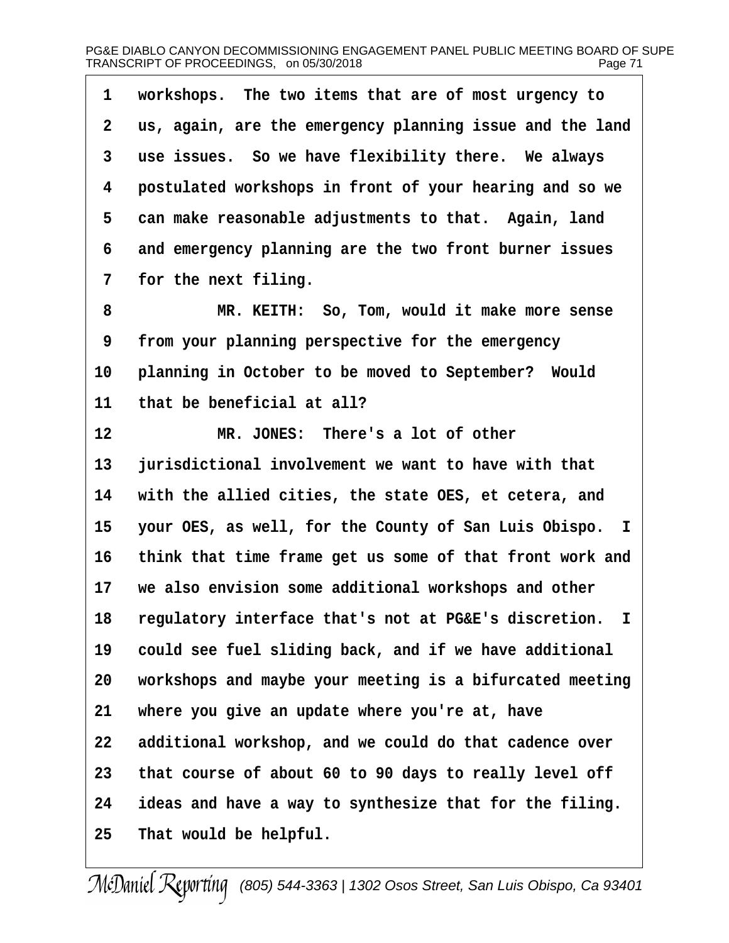| 1              | workshops. The two items that are of most urgency to     |
|----------------|----------------------------------------------------------|
| $\overline{2}$ | us, again, are the emergency planning issue and the land |
| 3              | use issues. So we have flexibility there. We always      |
| 4              | postulated workshops in front of your hearing and so we  |
| 5              | can make reasonable adjustments to that. Again, land     |
| 6              | and emergency planning are the two front burner issues   |
| 7              | for the next filing.                                     |
| 8              | MR. KEITH: So, Tom, would it make more sense             |
| 9              | from your planning perspective for the emergency         |
| 10             | planning in October to be moved to September? Would      |
| 11             | that be beneficial at all?                               |
| 12             | MR. JONES: There's a lot of other                        |
| 13             | jurisdictional involvement we want to have with that     |
| 14             | with the allied cities, the state OES, et cetera, and    |
| 15             | your OES, as well, for the County of San Luis Obispo. I  |
| 16             | think that time frame get us some of that front work and |
| 17             | we also envision some additional workshops and other     |
| 18             | regulatory interface that's not at PG&E's discretion. I  |
| 19             | could see fuel sliding back, and if we have additional   |
| 20             | workshops and maybe your meeting is a bifurcated meeting |
| 21             | where you give an update where you're at, have           |
| 22             | additional workshop, and we could do that cadence over   |
| 23             | that course of about 60 to 90 days to really level off   |
| 24             | ideas and have a way to synthesize that for the filing.  |
| 25             | That would be helpful.                                   |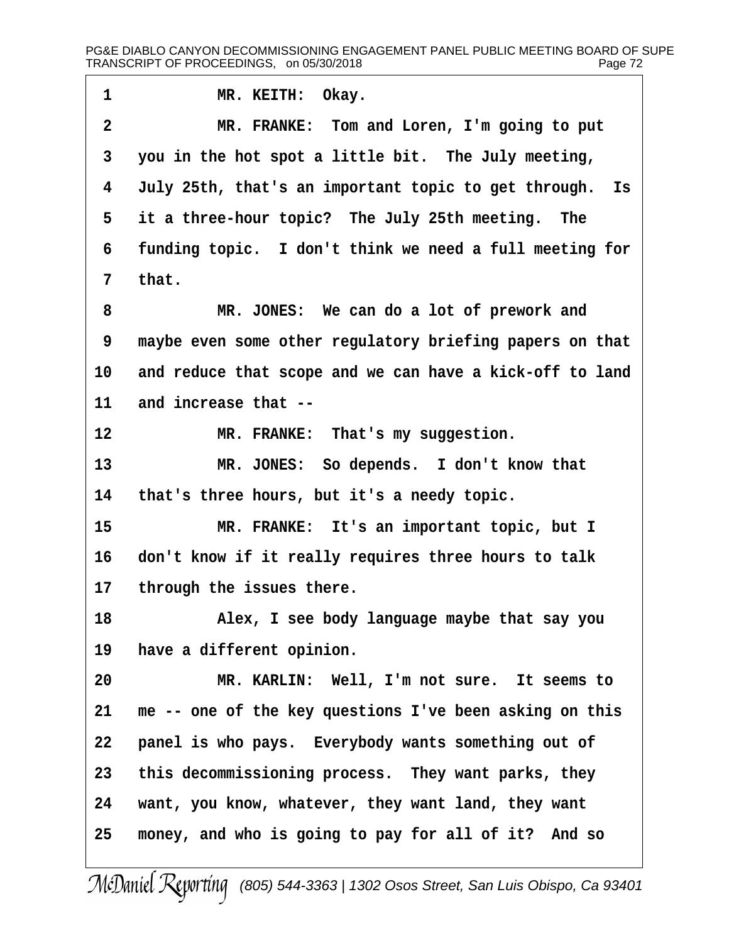1 MR. KEITH: Okay. 2 MR. FRANKE: Tom and Loren, I'm going to put 3 you in the hot spot a little bit. The July meeting, 4 July 25th, that's an important topic to get through. Is 5 it a three-hour topic? The July 25th meeting. The 6 funding topic. I don't think we need a full meeting for 7 that. 8 MR. JONES: We can do a lot of prework and 9 maybe even some other regulatory briefing papers on that 10 and reduce that scope and we can have a kick-off to land 11 and increase that --12 MR. FRANKE: That's my suggestion. 13 MR. JONES: So depends. I don't know that 14 that's three hours, but it's a needy topic. 15 MR. FRANKE: It's an important topic, but I 16 don't know if it really requires three hours to talk 17 through the issues there. 18 • • Alex, I see body language maybe that say you 19 have a different opinion. 20 MR. KARLIN: Well, I'm not sure. It seems to 21 me -- one of the key questions I've been asking on this 22 panel is who pays. Everybody wants something out of 23 this decommissioning process. They want parks, they 24 vant, you know, whatever, they want land, they want 25 money, and who is going to pay for all of it? And so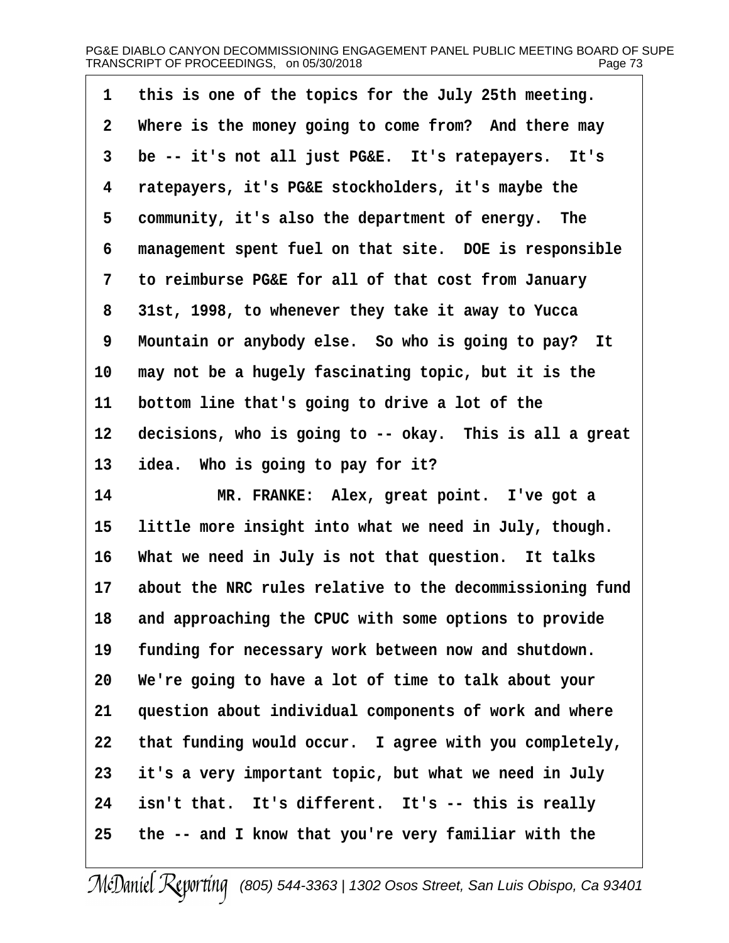| 1              | this is one of the topics for the July 25th meeting.     |
|----------------|----------------------------------------------------------|
| $\overline{2}$ | Where is the money going to come from? And there may     |
| 3              | be -- it's not all just PG&E. It's ratepayers. It's      |
| 4              | ratepayers, it's PG&E stockholders, it's maybe the       |
| 5              | community, it's also the department of energy. The       |
| 6              | management spent fuel on that site. DOE is responsible   |
| 7              | to reimburse PG&E for all of that cost from January      |
| 8              | 31st, 1998, to whenever they take it away to Yucca       |
| 9              | Mountain or anybody else. So who is going to pay? It     |
| 10             | may not be a hugely fascinating topic, but it is the     |
| 11             | bottom line that's going to drive a lot of the           |
| $12 \,$        | decisions, who is going to -- okay. This is all a great  |
| 13             | idea. Who is going to pay for it?                        |
| 14             | MR. FRANKE: Alex, great point. I've got a                |
| 15             | little more insight into what we need in July, though.   |
| 16             | What we need in July is not that question. It talks      |
| 17             | about the NRC rules relative to the decommissioning fund |
| 18             | and approaching the CPUC with some options to provide    |
| 19             | funding for necessary work between now and shutdown.     |
| 20             | We're going to have a lot of time to talk about your     |
| 21             | question about individual components of work and where   |
| 22             | that funding would occur. I agree with you completely,   |
| 23             | it's a very important topic, but what we need in July    |
| 24             | isn't that. It's different. It's -- this is really       |
| 25             | the -- and I know that you're very familiar with the     |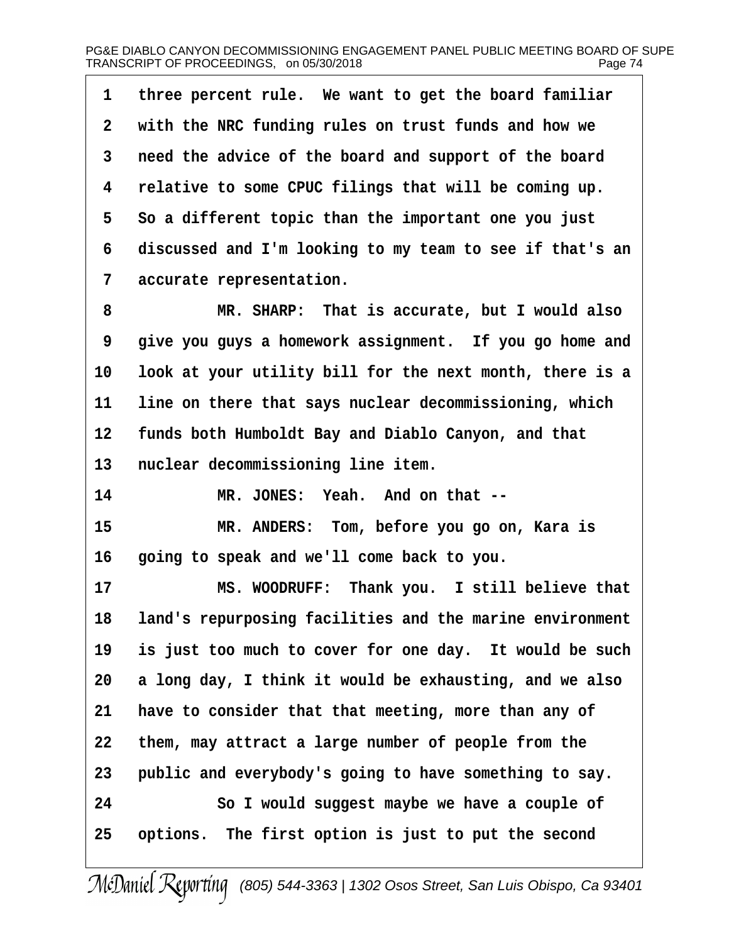| 1              | three percent rule. We want to get the board familiar    |
|----------------|----------------------------------------------------------|
| $\overline{2}$ | with the NRC funding rules on trust funds and how we     |
| 3              | need the advice of the board and support of the board    |
| 4              | relative to some CPUC filings that will be coming up.    |
| 5              | So a different topic than the important one you just     |
| 6              | discussed and I'm looking to my team to see if that's an |
| 7              | accurate representation.                                 |
| 8              | MR. SHARP: That is accurate, but I would also            |
| 9              | give you guys a homework assignment. If you go home and  |
| 10             | look at your utility bill for the next month, there is a |
| 11             | line on there that says nuclear decommissioning, which   |
| 12             | funds both Humboldt Bay and Diablo Canyon, and that      |
| 13             | nuclear decommissioning line item.                       |
| 14             | MR. JONES: Yeah. And on that --                          |
| 15             | MR. ANDERS: Tom, before you go on, Kara is               |
| 16             | going to speak and we'll come back to you.               |
| 17             | MS. WOODRUFF: Thank you. I still believe that            |
| 18             | land's repurposing facilities and the marine environment |
| 19             | is just too much to cover for one day. It would be such  |
| 20             | a long day, I think it would be exhausting, and we also  |
| 21             | have to consider that that meeting, more than any of     |
| 22             | them, may attract a large number of people from the      |
| 23             | public and everybody's going to have something to say.   |
| 24             | So I would suggest maybe we have a couple of             |
| 25             | options. The first option is just to put the second      |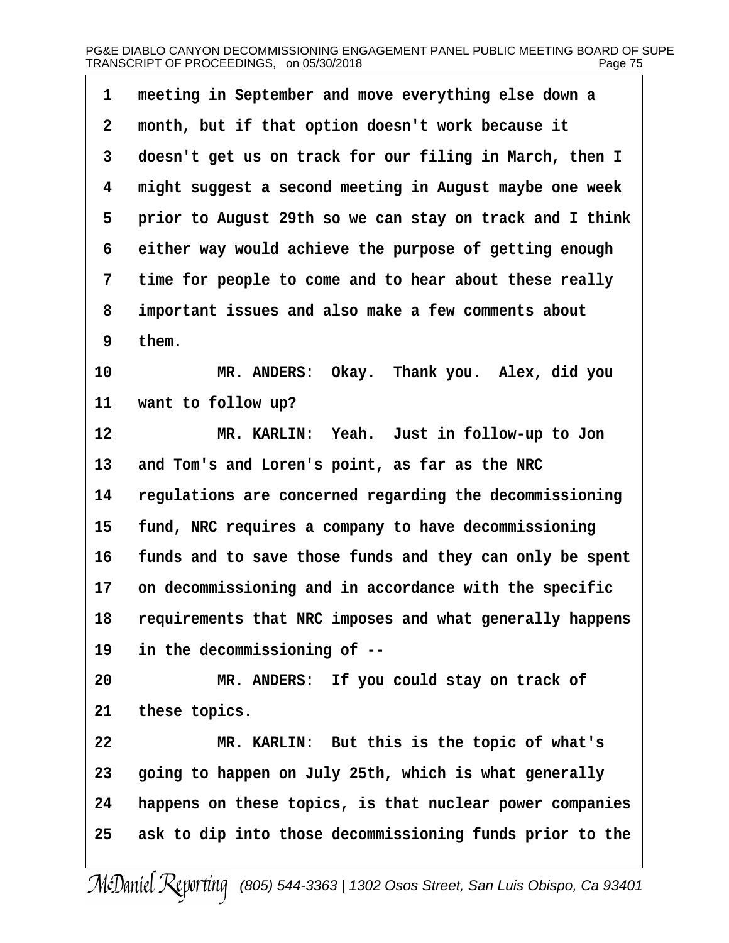| 1               | meeting in September and move everything else down a        |
|-----------------|-------------------------------------------------------------|
| $\overline{2}$  | month, but if that option doesn't work because it           |
| 3               | doesn't get us on track for our filing in March, then I     |
| 4               | might suggest a second meeting in August maybe one week     |
| 5               | prior to August 29th so we can stay on track and I think    |
| 6               | either way would achieve the purpose of getting enough      |
| 7               | time for people to come and to hear about these really      |
| 8               | important issues and also make a few comments about         |
| 9               | them.                                                       |
| 10              | MR. ANDERS: Okay. Thank you. Alex, did you                  |
| 11              | want to follow up?                                          |
| 12              | MR. KARLIN: Yeah. Just in follow-up to Jon                  |
| 13              | and Tom's and Loren's point, as far as the NRC              |
| 14              | regulations are concerned regarding the decommissioning     |
| 15              | fund, NRC requires a company to have decommissioning        |
| 16              | funds and to save those funds and they can only be spent    |
| 17 <sup>1</sup> | on decommissioning and in accordance with the specific      |
|                 | 18 requirements that NRC imposes and what generally happens |
| 19              | in the decommissioning of --                                |
| 20              | MR. ANDERS: If you could stay on track of                   |
| 21              | these topics.                                               |
| 22              | MR. KARLIN: But this is the topic of what's                 |
| 23              | going to happen on July 25th, which is what generally       |
| 24              | happens on these topics, is that nuclear power companies    |
| 25              | ask to dip into those decommissioning funds prior to the    |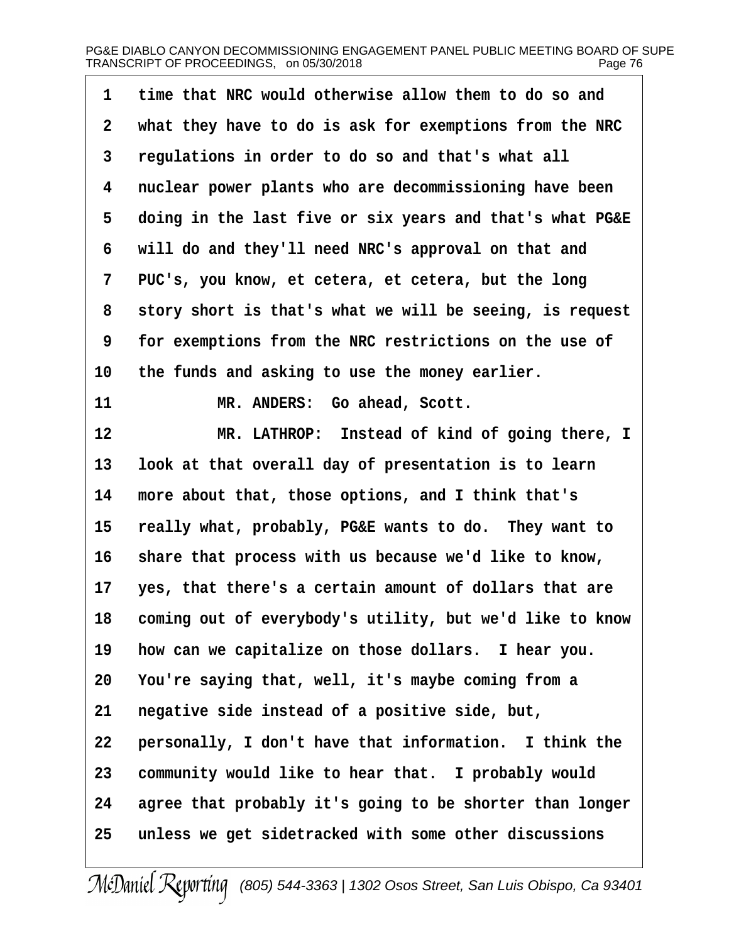| 1  | time that NRC would otherwise allow them to do so and    |
|----|----------------------------------------------------------|
| 2  | what they have to do is ask for exemptions from the NRC  |
| 3  | regulations in order to do so and that's what all        |
| 4  | nuclear power plants who are decommissioning have been   |
| 5  | doing in the last five or six years and that's what PG&E |
| 6  | will do and they'll need NRC's approval on that and      |
| 7  | PUC's, you know, et cetera, et cetera, but the long      |
| 8  | story short is that's what we will be seeing, is request |
| 9  | for exemptions from the NRC restrictions on the use of   |
| 10 | the funds and asking to use the money earlier.           |
| 11 | MR. ANDERS: Go ahead, Scott.                             |
| 12 | MR. LATHROP: Instead of kind of going there, I           |
| 13 | look at that overall day of presentation is to learn     |
| 14 | more about that, those options, and I think that's       |
| 15 | really what, probably, PG&E wants to do. They want to    |
| 16 | share that process with us because we'd like to know,    |
| 17 | yes, that there's a certain amount of dollars that are   |
| 18 | coming out of everybody's utility, but we'd like to know |
| 19 | how can we capitalize on those dollars. I hear you.      |
| 20 | You're saying that, well, it's maybe coming from a       |
| 21 | negative side instead of a positive side, but,           |
| 22 | personally, I don't have that information. I think the   |
| 23 | community would like to hear that. I probably would      |
| 24 | agree that probably it's going to be shorter than longer |
| 25 | unless we get sidetracked with some other discussions    |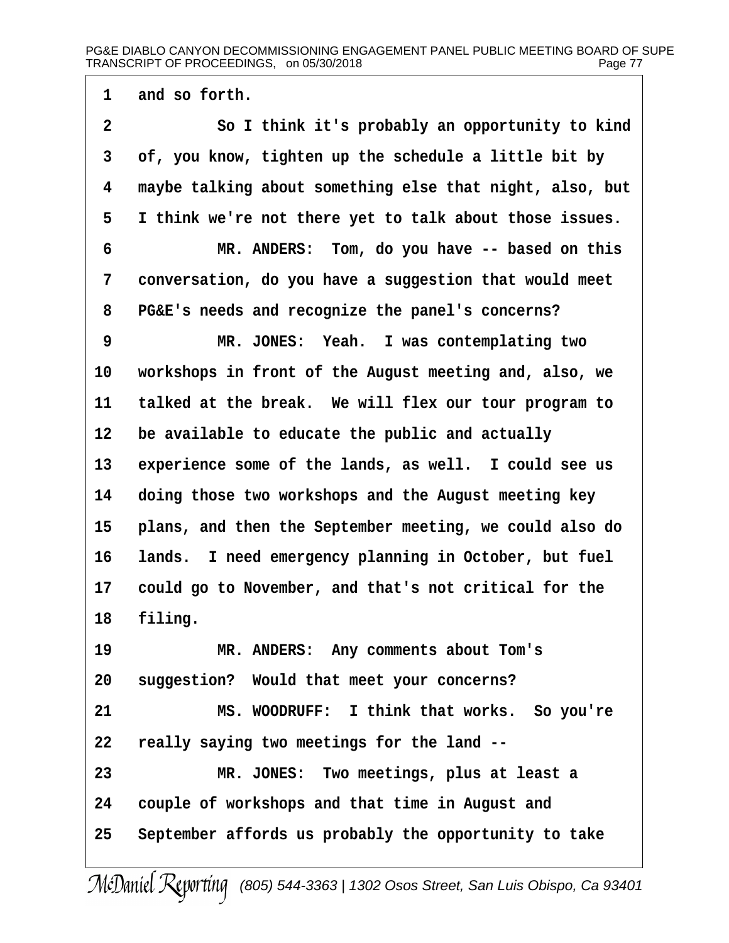1 and so forth.

2 So I think it's probably an opportunity to kind 3 of, you know, tighten up the schedule a little bit by 4 maybe talking about something else that night, also, but 5 I think we're not there yet to talk about those issues. 6 MR. ANDERS: Tom, do you have -- based on this 7 conversation, do you have a suggestion that would meet 8 PG&E's needs and recognize the panel's concerns? 9 MR. JONES: Yeah. I was contemplating two 10 workshops in front of the August meeting and, also, we 11 talked at the break. We will flex our tour program to 12 be available to educate the public and actually 13 experience some of the lands, as well. I could see us 14 doing those two workshops and the August meeting key 15 plans, and then the September meeting, we could also do 16 lands. I need emergency planning in October, but fuel 17 could go to November, and that's not critical for the 18 filing. 19 MR. ANDERS: Any comments about Tom's 20 suggestion? Would that meet your concerns? 21 MS. WOODRUFF: I think that works. So you're 22 really saying two meetings for the land --23 MR. JONES: Two meetings, plus at least a 24 couple of workshops and that time in August and 25 September affords us probably the opportunity to take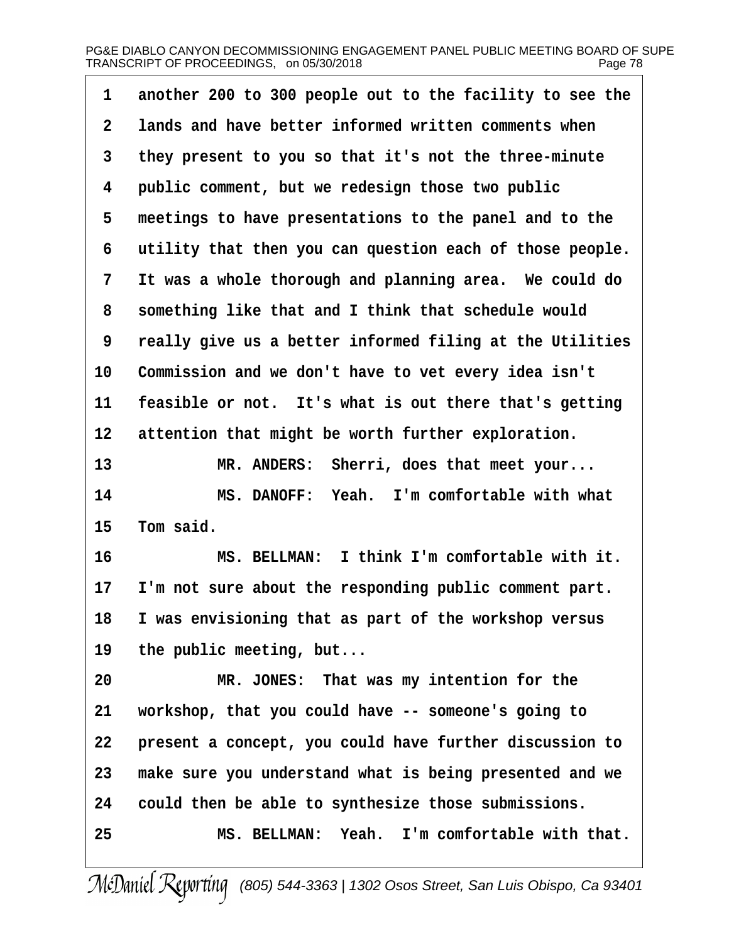| 1  | another 200 to 300 people out to the facility to see the |
|----|----------------------------------------------------------|
| 2  | lands and have better informed written comments when     |
| 3  | they present to you so that it's not the three-minute    |
| 4  | public comment, but we redesign those two public         |
| 5  | meetings to have presentations to the panel and to the   |
| 6  | utility that then you can question each of those people. |
| 7  | It was a whole thorough and planning area. We could do   |
| 8  | something like that and I think that schedule would      |
| 9  | really give us a better informed filing at the Utilities |
| 10 | Commission and we don't have to vet every idea isn't     |
| 11 | feasible or not. It's what is out there that's getting   |
| 12 | attention that might be worth further exploration.       |
| 13 | MR. ANDERS: Sherri, does that meet your                  |
| 14 | MS. DANOFF: Yeah. I'm comfortable with what              |
| 15 | Tom said.                                                |
| 16 | MS. BELLMAN: I think I'm comfortable with it.            |
| 17 | I'm not sure about the responding public comment part.   |
| 18 | I was envisioning that as part of the workshop versus    |
| 19 | the public meeting, but                                  |
| 20 | MR. JONES: That was my intention for the                 |
| 21 | workshop, that you could have -- someone's going to      |
| 22 | present a concept, you could have further discussion to  |
| 23 | make sure you understand what is being presented and we  |
| 24 | could then be able to synthesize those submissions.      |
| 25 | MS. BELLMAN: Yeah. I'm comfortable with that.            |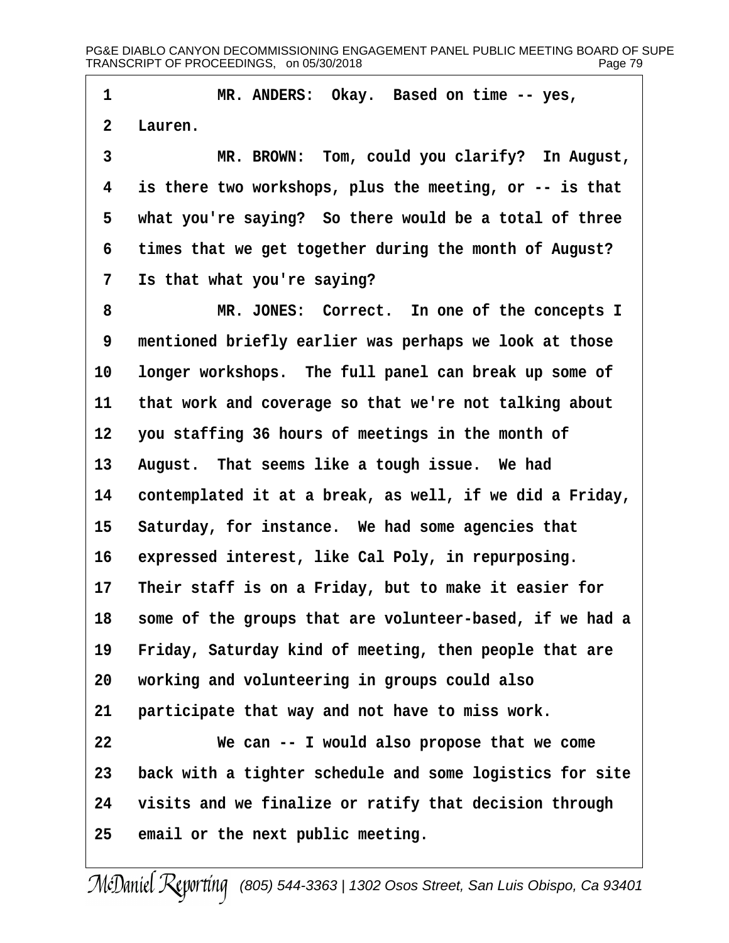1 MR. ANDERS: Okay. Based on time -- yes,

2 Lauren.

3 MR. BROWN: Tom, could you clarify? In August, 4 is there two workshops, plus the meeting, or -- is that 5 what you're saying? So there would be a total of three 6 times that we get together during the month of August? 7 Is that what you're saying?

8 MR. JONES: Correct. In one of the concepts I 9 mentioned briefly earlier was perhaps we look at those 10 longer workshops. The full panel can break up some of 11 that work and coverage so that we're not talking about 12 you staffing 36 hours of meetings in the month of 13 August. That seems like a tough issue. We had 14 contemplated it at a break, as well, if we did a Friday, 15 Saturday, for instance. We had some agencies that 16 expressed interest, like Cal Poly, in repurposing. 17 Their staff is on a Friday, but to make it easier for 18 some of the groups that are volunteer-based, if we had a 19 Friday, Saturday kind of meeting, then people that are 20 working and volunteering in groups could also 21 participate that way and not have to miss work. 22 We can -- I would also propose that we come 23 back with a tighter schedule and some logistics for site 24 visits and we finalize or ratify that decision through 25 email or the next public meeting.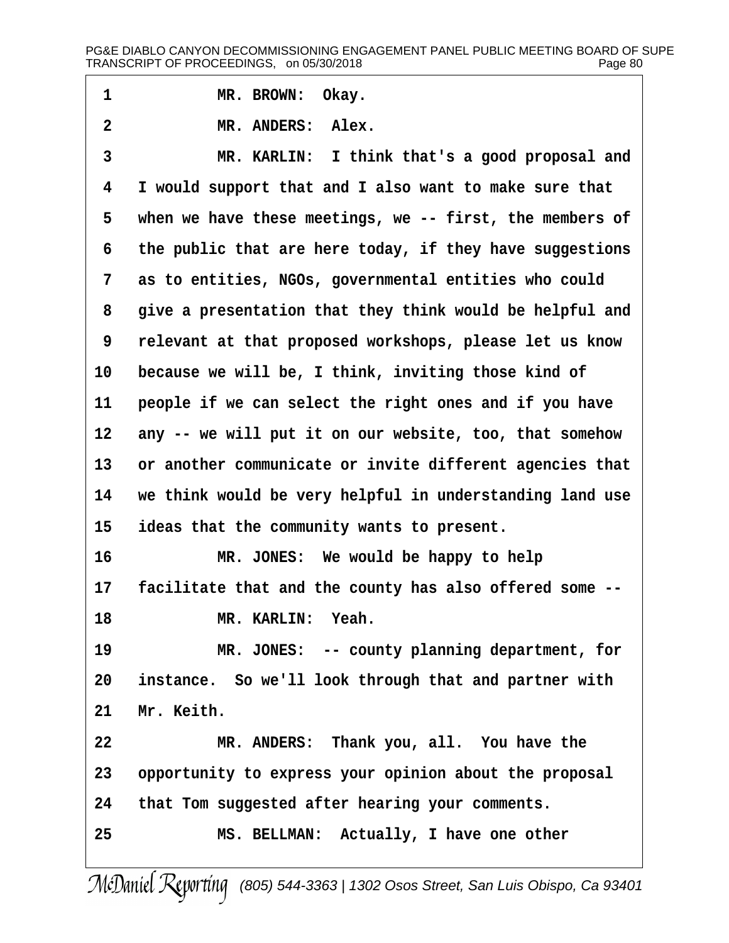## PG&E DIABLO CANYON DECOMMISSIONING ENGAGEMENT PANEL PUBLIC MEETING BOARD OF SUPE TRANSCRIPT OF PROCEEDINGS, on 05/30/2018 Page 80

1 MR. BROWN: Okay.

2 MR. ANDERS: Alex.

3 MR. KARLIN: I think that's a good proposal and 4 I would support that and I also want to make sure that 5 when we have these meetings, we -- first, the members of 6 the public that are here today, if they have suggestions 7 as to entities, NGOs, governmental entities who could 8 give a presentation that they think would be helpful and ·9· ·relevant at that proposed workshops, please let us know 10 because we will be, I think, inviting those kind of 11 people if we can select the right ones and if you have 12 any -- we will put it on our website, too, that somehow 13 or another communicate or invite different agencies that 14 we think would be very helpful in understanding land use 15 ideas that the community wants to present. 16 MR. JONES: We would be happy to help 17 facilitate that and the county has also offered some --18 MR. KARLIN: Yeah. 19 MR. JONES: -- county planning department, for 20 instance. So we'll look through that and partner with 21 Mr. Keith. 22 MR. ANDERS: Thank you, all. You have the 23 opportunity to express your opinion about the proposal 24 that Tom suggested after hearing your comments. 25 MS. BELLMAN: Actually, I have one other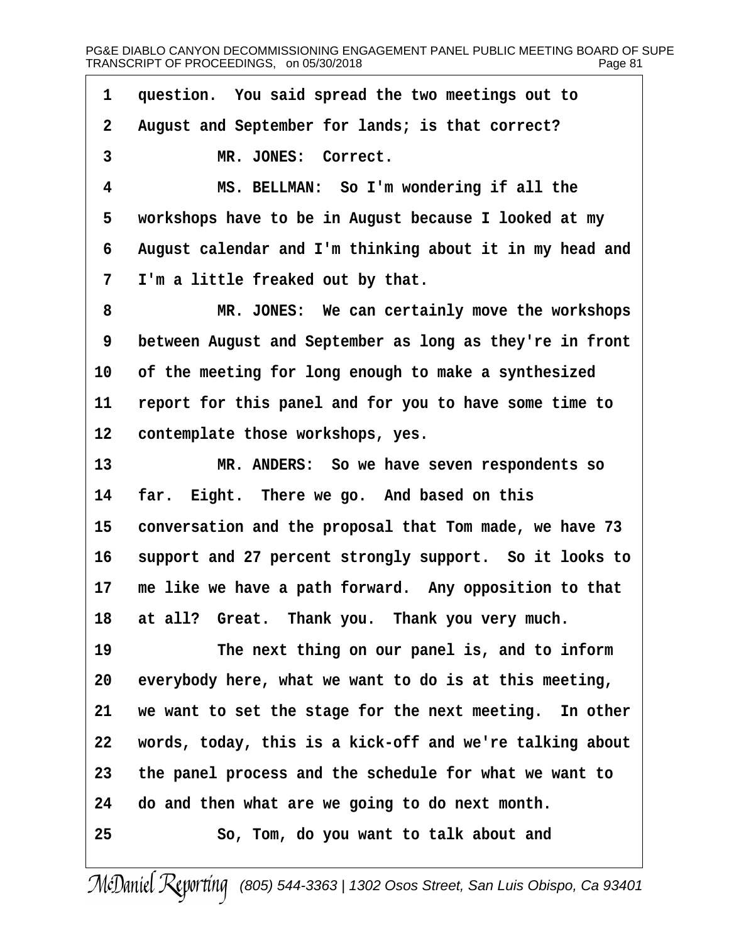1 question. You said spread the two meetings out to

2 August and September for lands; is that correct?

3 MR. JONES: Correct.

4 MS. BELLMAN: So I'm wondering if all the

5 workshops have to be in August because I looked at my

6 August calendar and I'm thinking about it in my head and

7 I'm a little freaked out by that.

8 MR. JONES: We can certainly move the workshops 9 between August and September as long as they're in front 10 of the meeting for long enough to make a synthesized 11 report for this panel and for you to have some time to 12 contemplate those workshops, yes. 13 MR. ANDERS: So we have seven respondents so 14 far. Eight. There we go. And based on this 15 conversation and the proposal that Tom made, we have 73 16 support and 27 percent strongly support. So it looks to 17 me like we have a path forward. Any opposition to that 18 at all? Great. Thank you. Thank you very much. 19 The next thing on our panel is, and to inform

20 everybody here, what we want to do is at this meeting,

21 we want to set the stage for the next meeting. In other

22 words, today, this is a kick-off and we're talking about

23 the panel process and the schedule for what we want to

24 do and then what are we going to do next month.

25· · · · · · So, Tom, do you want to talk about and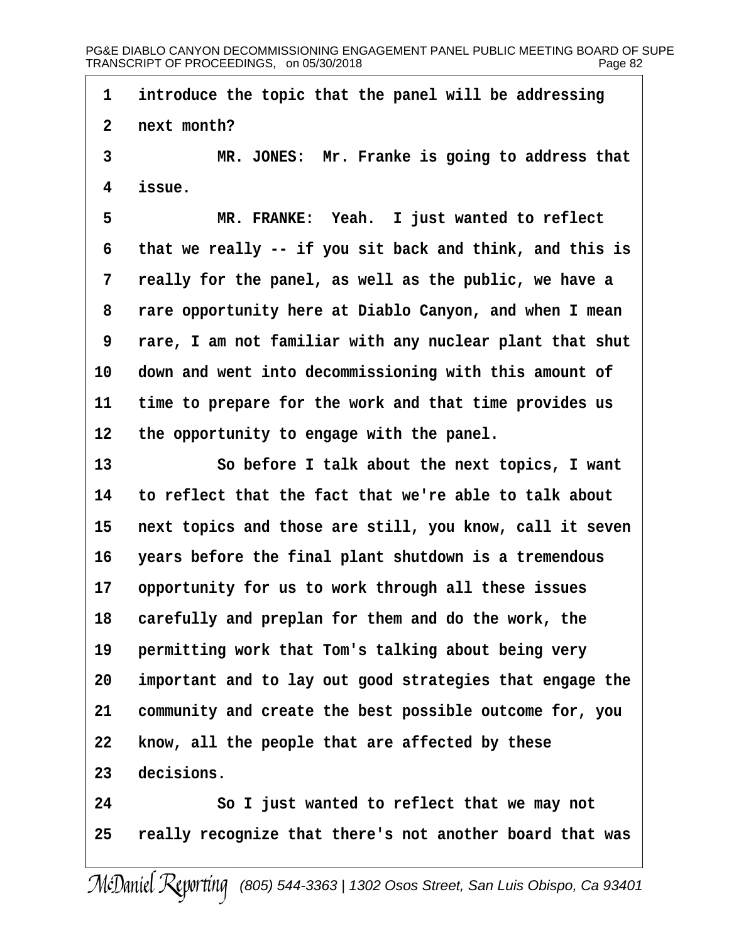1 introduce the topic that the panel will be addressing

2 next month?

3 MR. JONES: Mr. Franke is going to address that 4 issue.

5 MR. FRANKE: Yeah. I just wanted to reflect 6 that we really -- if you sit back and think, and this is 7 really for the panel, as well as the public, we have a 8 rare opportunity here at Diablo Canyon, and when I mean ·9· ·rare, I am not familiar with any nuclear plant that shut 10 down and went into decommissioning with this amount of 11 time to prepare for the work and that time provides us 12 the opportunity to engage with the panel. 13 **· · · So before I talk about the next topics, I want** 14 to reflect that the fact that we're able to talk about 15 next topics and those are still, you know, call it seven 16 years before the final plant shutdown is a tremendous 17 opportunity for us to work through all these issues 18 carefully and preplan for them and do the work, the 19 permitting work that Tom's talking about being very 20 important and to lay out good strategies that engage the 21 community and create the best possible outcome for, you 22 know, all the people that are affected by these 23 decisions. 24 **· · · · So I just wanted to reflect that we may not** 25 really recognize that there's not another board that was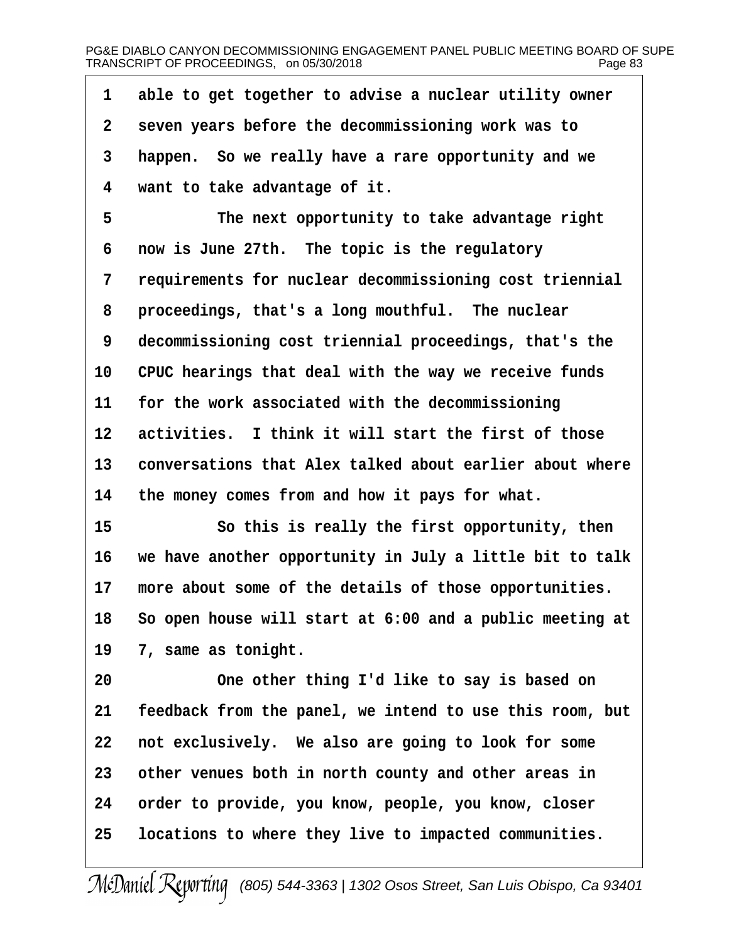| 1              | able to get together to advise a nuclear utility owner   |
|----------------|----------------------------------------------------------|
| $\overline{2}$ | seven years before the decommissioning work was to       |
| 3              | happen. So we really have a rare opportunity and we      |
| 4              | want to take advantage of it.                            |
| 5              | The next opportunity to take advantage right             |
| 6              | now is June 27th. The topic is the regulatory            |
| 7              | requirements for nuclear decommissioning cost triennial  |
| 8              | proceedings, that's a long mouthful. The nuclear         |
| 9              | decommissioning cost triennial proceedings, that's the   |
| 10             | CPUC hearings that deal with the way we receive funds    |
| 11             | for the work associated with the decommissioning         |
| 12             | activities. I think it will start the first of those     |
| 13             | conversations that Alex talked about earlier about where |
| 14             | the money comes from and how it pays for what.           |
| 15             | So this is really the first opportunity, then            |
| 16             | we have another opportunity in July a little bit to talk |
| 17             | more about some of the details of those opportunities.   |
| 18             | So open house will start at 6:00 and a public meeting at |
| 19             | 7, same as tonight.                                      |
| 20             | One other thing I'd like to say is based on              |
| 21             | feedback from the panel, we intend to use this room, but |
| 22             | not exclusively. We also are going to look for some      |
| 23             | other venues both in north county and other areas in     |
| 24             | order to provide, you know, people, you know, closer     |
| 25             | locations to where they live to impacted communities.    |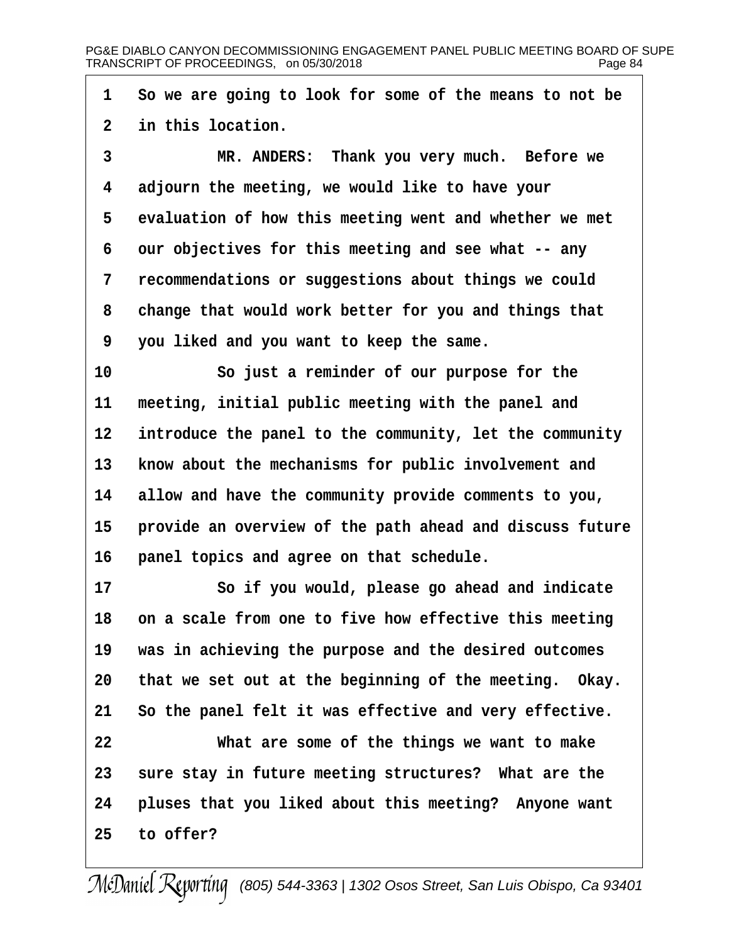- 1 So we are going to look for some of the means to not be
- 2 in this location.
- 3 MR. ANDERS: Thank you very much. Before we
- 4 adjourn the meeting, we would like to have your
- 5 evaluation of how this meeting went and whether we met
- 6 our objectives for this meeting and see what -- any
- 7 recommendations or suggestions about things we could
- 8 change that would work better for you and things that
- ·9· ·you liked and you want to keep the same.
- 10 So just a reminder of our purpose for the
- 11 meeting, initial public meeting with the panel and
- 12 introduce the panel to the community, let the community
- 13 know about the mechanisms for public involvement and
- 14 allow and have the community provide comments to you,
- 15 provide an overview of the path ahead and discuss future
- 16 panel topics and agree on that schedule.
- 17 **· · · · So if you would, please go ahead and indicate**
- 18 on a scale from one to five how effective this meeting
- 19 was in achieving the purpose and the desired outcomes
- 20 that we set out at the beginning of the meeting. Okay.
- 21 So the panel felt it was effective and very effective.
- 22 What are some of the things we want to make
- 23 sure stay in future meeting structures? What are the
- 24 pluses that you liked about this meeting? Anyone want
- 25 to offer?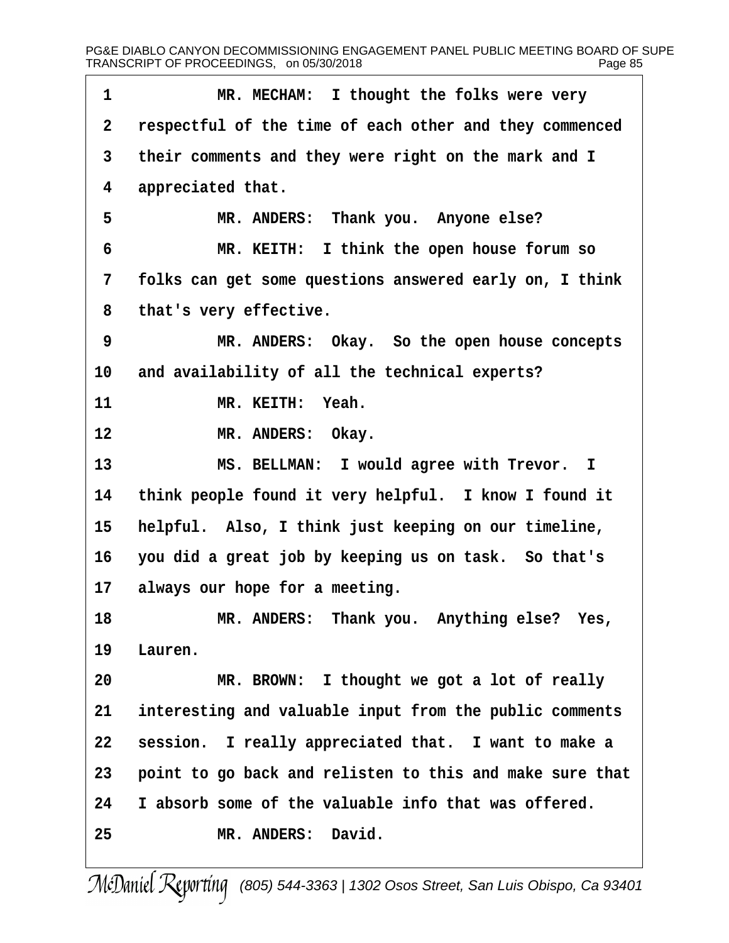| 1              | MR. MECHAM: I thought the folks were very                |
|----------------|----------------------------------------------------------|
| $\overline{2}$ | respectful of the time of each other and they commenced  |
| 3              | their comments and they were right on the mark and I     |
| 4              | appreciated that.                                        |
| 5              | MR. ANDERS: Thank you. Anyone else?                      |
| 6              | MR. KEITH: I think the open house forum so               |
| 7              | folks can get some questions answered early on, I think  |
| 8              | that's very effective.                                   |
| 9              | MR. ANDERS: Okay. So the open house concepts             |
| 10             | and availability of all the technical experts?           |
| 11             | MR. KEITH: Yeah.                                         |
| 12             | MR. ANDERS: Okay.                                        |
| 13             | MS. BELLMAN: I would agree with Trevor. I                |
| 14             | think people found it very helpful. I know I found it    |
| 15             | helpful. Also, I think just keeping on our timeline,     |
| 16             | you did a great job by keeping us on task. So that's     |
| 17             | always our hope for a meeting.                           |
| 18             | MR. ANDERS: Thank you. Anything else? Yes,               |
| 19             | Lauren.                                                  |
| 20             | MR. BROWN: I thought we got a lot of really              |
| 21             | interesting and valuable input from the public comments  |
| 22             | session. I really appreciated that. I want to make a     |
| 23             | point to go back and relisten to this and make sure that |
| 24             | I absorb some of the valuable info that was offered.     |
| 25             | MR. ANDERS: David.                                       |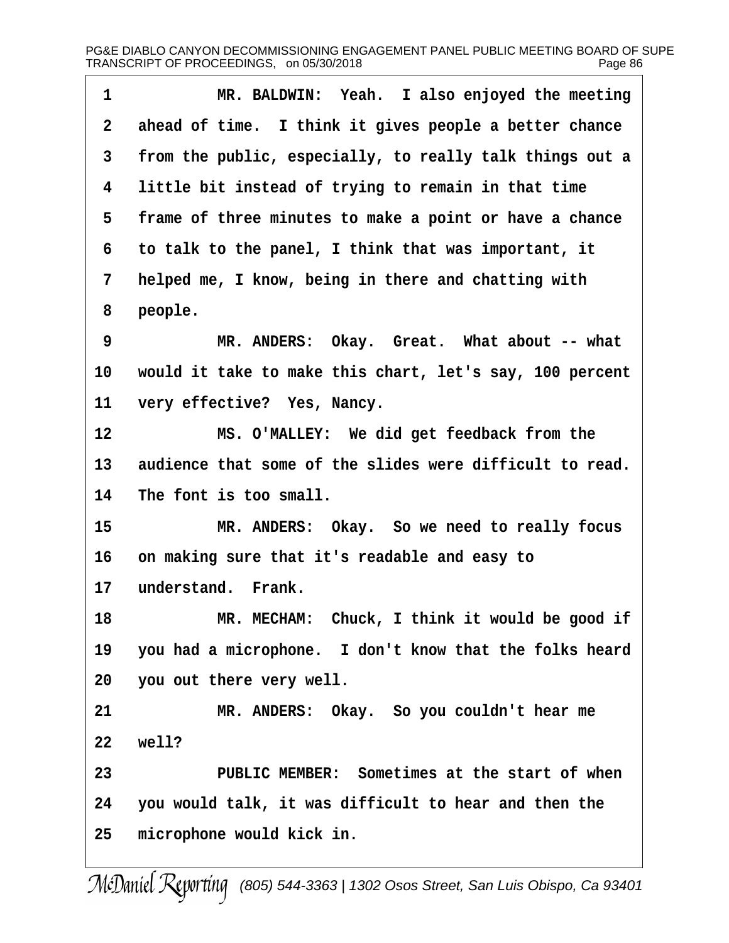| 1  | MR. BALDWIN: Yeah. I also enjoyed the meeting            |
|----|----------------------------------------------------------|
| 2  | ahead of time. I think it gives people a better chance   |
| 3  | from the public, especially, to really talk things out a |
| 4  | little bit instead of trying to remain in that time      |
| 5  | frame of three minutes to make a point or have a chance  |
| 6  | to talk to the panel, I think that was important, it     |
| 7  | helped me, I know, being in there and chatting with      |
| 8  | people.                                                  |
| 9  | MR. ANDERS: Okay. Great. What about -- what              |
| 10 | would it take to make this chart, let's say, 100 percent |
| 11 | very effective? Yes, Nancy.                              |
| 12 | MS. O'MALLEY: We did get feedback from the               |
| 13 | audience that some of the slides were difficult to read. |
| 14 | The font is too small.                                   |
| 15 | MR. ANDERS: Okay. So we need to really focus             |
| 16 | on making sure that it's readable and easy to            |
| 17 | understand. Frank.                                       |
| 18 | MR. MECHAM: Chuck, I think it would be good if           |
| 19 | you had a microphone. I don't know that the folks heard  |
| 20 | you out there very well.                                 |
| 21 | MR. ANDERS: Okay. So you couldn't hear me                |
| 22 | well?                                                    |
| 23 | PUBLIC MEMBER: Sometimes at the start of when            |
| 24 | you would talk, it was difficult to hear and then the    |
| 25 | microphone would kick in.                                |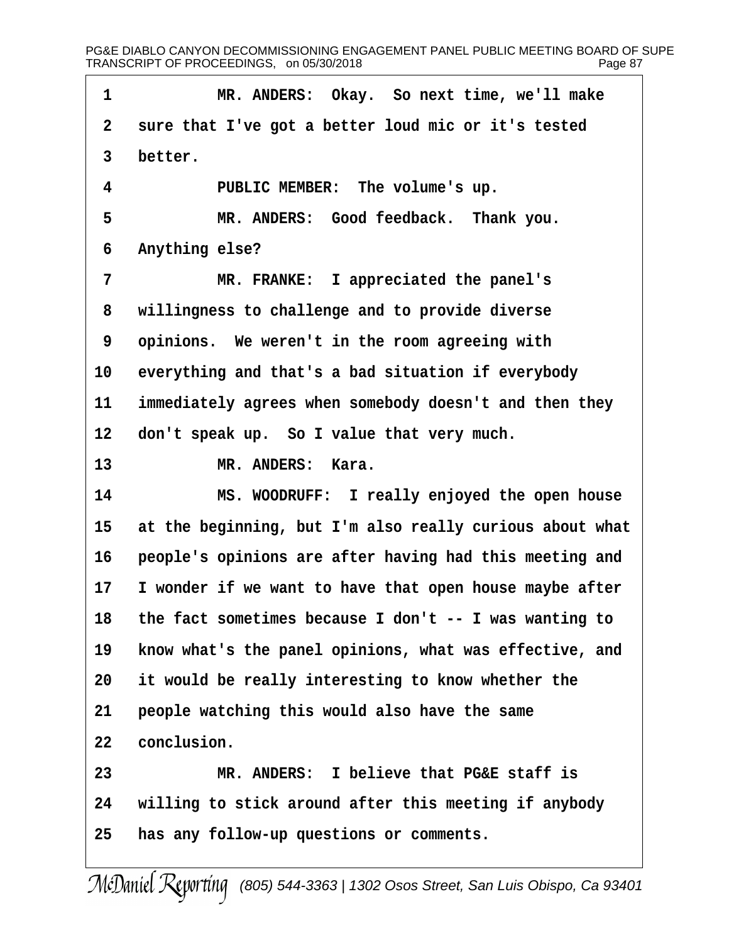1 MR. ANDERS: Okay. So next time, we'll make 2 sure that I've got a better loud mic or it's tested 3 better. 4 PUBLIC MEMBER: The volume's up. 5 MR. ANDERS: Good feedback. Thank you. 6 Anything else? 7 MR. FRANKE: I appreciated the panel's 8 willingness to challenge and to provide diverse 9 opinions. We weren't in the room agreeing with 10 everything and that's a bad situation if everybody 11 immediately agrees when somebody doesn't and then they 12 don't speak up. So I value that very much. 13 MR. ANDERS: Kara. 14 MS. WOODRUFF: I really enjoyed the open house 15 at the beginning, but I'm also really curious about what 16 people's opinions are after having had this meeting and 17 I wonder if we want to have that open house maybe after 18 the fact sometimes because I don't -- I was wanting to 19 know what's the panel opinions, what was effective, and 20 it would be really interesting to know whether the 21 people watching this would also have the same 22 conclusion. 23 MR. ANDERS: I believe that PG&E staff is 24 willing to stick around after this meeting if anybody 25 has any follow-up questions or comments.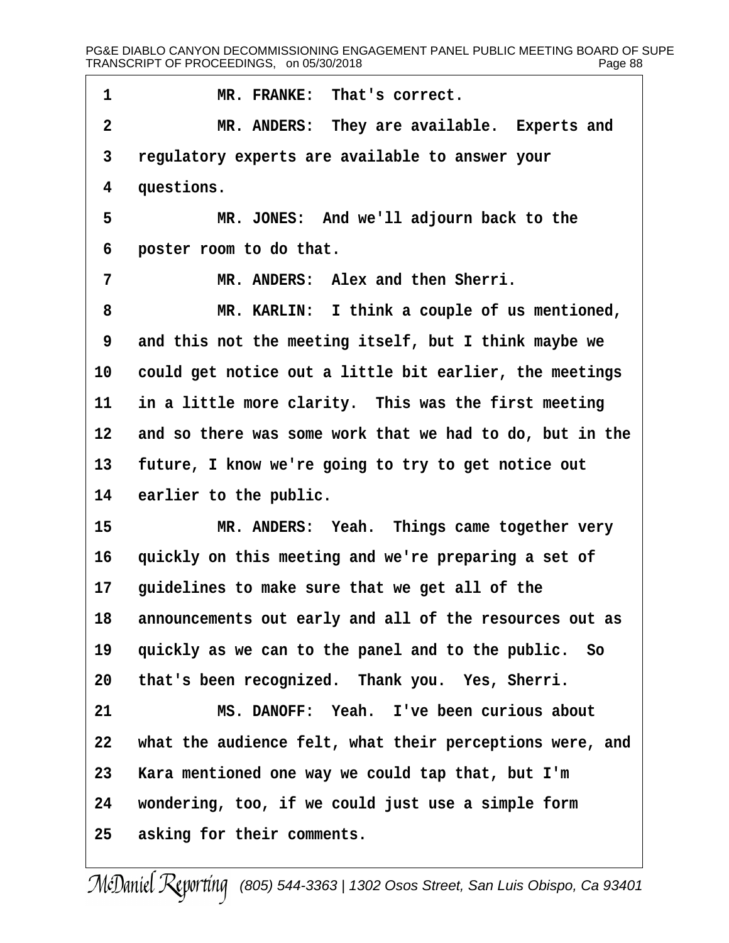| 1               | MR. FRANKE: That's correct.                                 |
|-----------------|-------------------------------------------------------------|
| $\overline{2}$  | MR. ANDERS: They are available. Experts and                 |
| 3               | regulatory experts are available to answer your             |
| 4               | questions.                                                  |
| 5               | MR. JONES: And we'll adjourn back to the                    |
| 6               | poster room to do that.                                     |
| 7               | MR. ANDERS: Alex and then Sherri.                           |
| 8               | MR. KARLIN: I think a couple of us mentioned,               |
| 9               | and this not the meeting itself, but I think maybe we       |
|                 | 10 could get notice out a little bit earlier, the meetings  |
| 11              | in a little more clarity. This was the first meeting        |
|                 | 12 and so there was some work that we had to do, but in the |
| 13 <sup>°</sup> | future, I know we're going to try to get notice out         |
| 14              | earlier to the public.                                      |
| 15              | MR. ANDERS: Yeah. Things came together very                 |
| 16              | quickly on this meeting and we're preparing a set of        |
| 17              | guidelines to make sure that we get all of the              |
| 18              | announcements out early and all of the resources out as     |
| 19              | quickly as we can to the panel and to the public. So        |
| 20              | that's been recognized. Thank you. Yes, Sherri.             |
| 21              | MS. DANOFF: Yeah. I've been curious about                   |
| 22              | what the audience felt, what their perceptions were, and    |
| 23              | Kara mentioned one way we could tap that, but I'm           |
| 24              | wondering, too, if we could just use a simple form          |
| 25              | asking for their comments.                                  |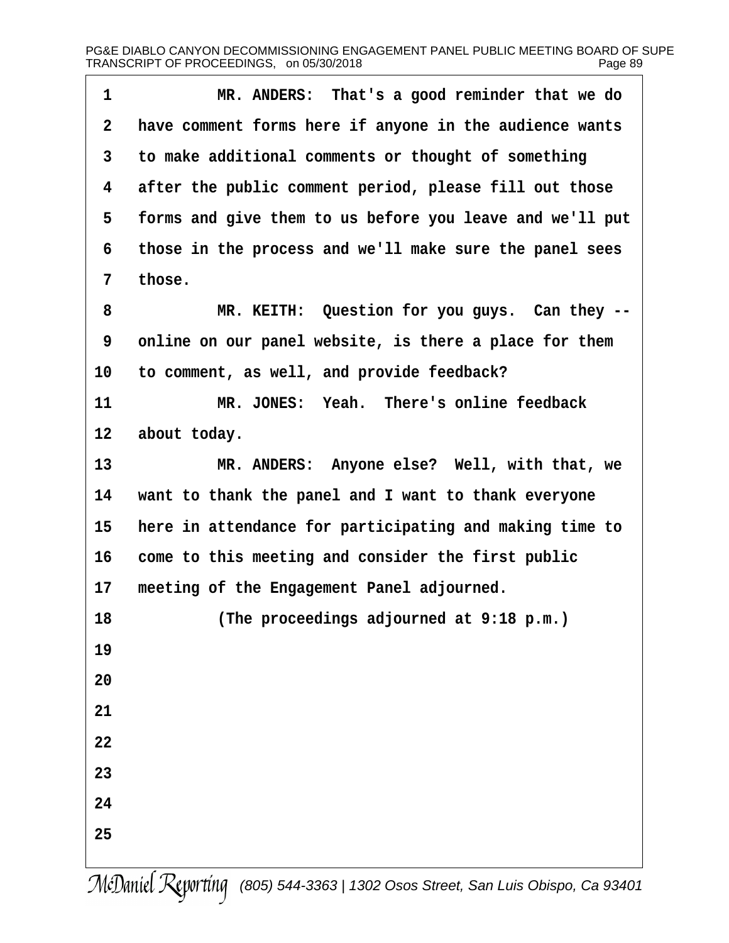| 1               | MR. ANDERS: That's a good reminder that we do            |
|-----------------|----------------------------------------------------------|
| $\overline{2}$  | have comment forms here if anyone in the audience wants  |
| 3               | to make additional comments or thought of something      |
| 4               | after the public comment period, please fill out those   |
| 5               | forms and give them to us before you leave and we'll put |
| 6               | those in the process and we'll make sure the panel sees  |
| 7               | those.                                                   |
| 8               | MR. KEITH: Question for you guys. Can they --            |
| 9               | online on our panel website, is there a place for them   |
| 10              | to comment, as well, and provide feedback?               |
| 11              | MR. JONES: Yeah. There's online feedback                 |
| 12 <sub>2</sub> | about today.                                             |
| 13              | MR. ANDERS: Anyone else? Well, with that, we             |
| 14              | want to thank the panel and I want to thank everyone     |
| 15              | here in attendance for participating and making time to  |
| 16              | come to this meeting and consider the first public       |
| 17              | meeting of the Engagement Panel adjourned.               |
| 18              | (The proceedings adjourned at 9:18 p.m.)                 |
| 19              |                                                          |
| 20              |                                                          |
| 21              |                                                          |
| 22              |                                                          |
| 23              |                                                          |
| 24              |                                                          |
| 25              |                                                          |